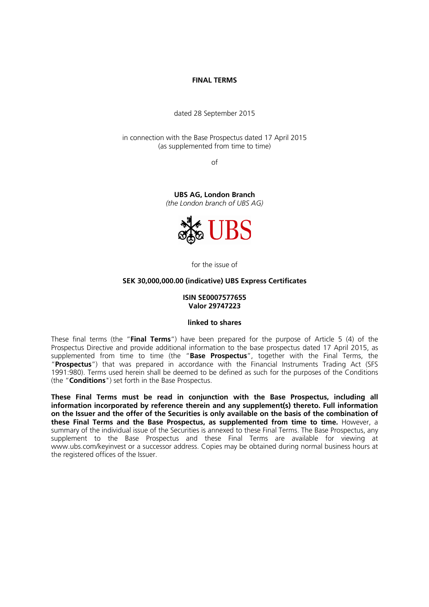### **FINAL TERMS**

dated 28 September 2015

in connection with the Base Prospectus dated 17 April 2015 (as supplemented from time to time)

of

**UBS AG, London Branch**  *(the London branch of UBS AG)*



for the issue of

### **SEK 30,000,000.00 (indicative) UBS Express Certificates**

### **ISIN SE0007577655 Valor 29747223**

### **linked to shares**

These final terms (the "**Final Terms**") have been prepared for the purpose of Article 5 (4) of the Prospectus Directive and provide additional information to the base prospectus dated 17 April 2015, as supplemented from time to time (the "**Base Prospectus**", together with the Final Terms, the "**Prospectus**") that was prepared in accordance with the Financial Instruments Trading Act (SFS 1991:980). Terms used herein shall be deemed to be defined as such for the purposes of the Conditions (the "**Conditions**") set forth in the Base Prospectus.

**These Final Terms must be read in conjunction with the Base Prospectus, including all information incorporated by reference therein and any supplement(s) thereto. Full information on the Issuer and the offer of the Securities is only available on the basis of the combination of these Final Terms and the Base Prospectus, as supplemented from time to time.** However, a summary of the individual issue of the Securities is annexed to these Final Terms. The Base Prospectus, any supplement to the Base Prospectus and these Final Terms are available for viewing at www.ubs.com/keyinvest or a successor address. Copies may be obtained during normal business hours at the registered offices of the Issuer.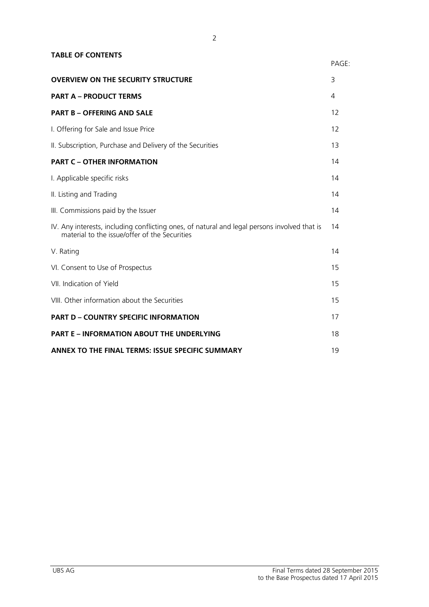# **TABLE OF CONTENTS**

| TABLE OF CONTENTS<br>PAGE:                                                                                                                    |    |  |
|-----------------------------------------------------------------------------------------------------------------------------------------------|----|--|
| <b>OVERVIEW ON THE SECURITY STRUCTURE</b>                                                                                                     | 3  |  |
| <b>PART A - PRODUCT TERMS</b>                                                                                                                 | 4  |  |
| <b>PART B - OFFERING AND SALE</b>                                                                                                             | 12 |  |
| I. Offering for Sale and Issue Price                                                                                                          | 12 |  |
| II. Subscription, Purchase and Delivery of the Securities                                                                                     | 13 |  |
| <b>PART C - OTHER INFORMATION</b>                                                                                                             | 14 |  |
| I. Applicable specific risks                                                                                                                  | 14 |  |
| II. Listing and Trading                                                                                                                       | 14 |  |
| III. Commissions paid by the Issuer                                                                                                           | 14 |  |
| IV. Any interests, including conflicting ones, of natural and legal persons involved that is<br>material to the issue/offer of the Securities | 14 |  |
| V. Rating                                                                                                                                     | 14 |  |
| VI. Consent to Use of Prospectus                                                                                                              | 15 |  |
| VII. Indication of Yield                                                                                                                      | 15 |  |
| VIII. Other information about the Securities                                                                                                  | 15 |  |
| <b>PART D - COUNTRY SPECIFIC INFORMATION</b>                                                                                                  | 17 |  |
| <b>PART E – INFORMATION ABOUT THE UNDERLYING</b>                                                                                              | 18 |  |
| ANNEX TO THE FINAL TERMS: ISSUE SPECIFIC SUMMARY                                                                                              | 19 |  |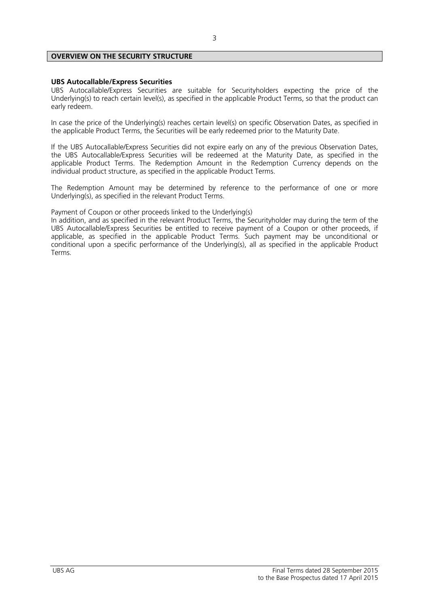### **OVERVIEW ON THE SECURITY STRUCTURE**

### **UBS Autocallable/Express Securities**

UBS Autocallable/Express Securities are suitable for Securityholders expecting the price of the Underlying(s) to reach certain level(s), as specified in the applicable Product Terms, so that the product can early redeem.

In case the price of the Underlying(s) reaches certain level(s) on specific Observation Dates, as specified in the applicable Product Terms, the Securities will be early redeemed prior to the Maturity Date.

If the UBS Autocallable/Express Securities did not expire early on any of the previous Observation Dates, the UBS Autocallable/Express Securities will be redeemed at the Maturity Date, as specified in the applicable Product Terms. The Redemption Amount in the Redemption Currency depends on the individual product structure, as specified in the applicable Product Terms.

The Redemption Amount may be determined by reference to the performance of one or more Underlying(s), as specified in the relevant Product Terms.

Payment of Coupon or other proceeds linked to the Underlying(s)

In addition, and as specified in the relevant Product Terms, the Securityholder may during the term of the UBS Autocallable/Express Securities be entitled to receive payment of a Coupon or other proceeds, if applicable, as specified in the applicable Product Terms. Such payment may be unconditional or conditional upon a specific performance of the Underlying(s), all as specified in the applicable Product Terms.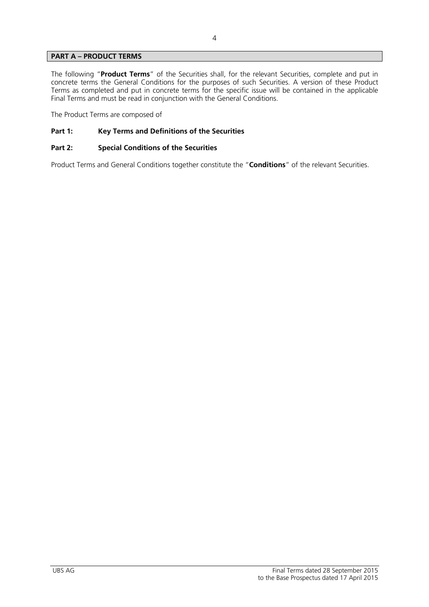# **PART A – PRODUCT TERMS**

The following "**Product Terms**" of the Securities shall, for the relevant Securities, complete and put in concrete terms the General Conditions for the purposes of such Securities. A version of these Product Terms as completed and put in concrete terms for the specific issue will be contained in the applicable Final Terms and must be read in conjunction with the General Conditions.

The Product Terms are composed of

## **Part 1: Key Terms and Definitions of the Securities**

### **Part 2: Special Conditions of the Securities**

Product Terms and General Conditions together constitute the "**Conditions**" of the relevant Securities.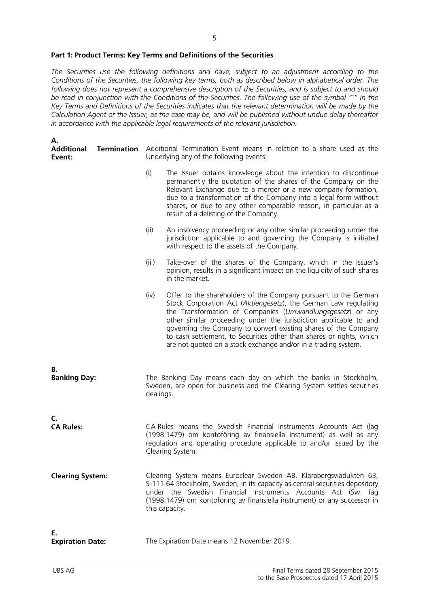### **Part 1: Product Terms: Key Terms and Definitions of the Securities**

*The Securities use the following definitions and have, subject to an adjustment according to the Conditions of the Securities, the following key terms, both as described below in alphabetical order. The following does not represent a comprehensive description of the Securities, and is subject to and should be read in conjunction with the Conditions of the Securities. The following use of the symbol "\*" in the Key Terms and Definitions of the Securities indicates that the relevant determination will be made by the Calculation Agent or the Issuer, as the case may be, and will be published without undue delay thereafter in accordance with the applicable legal requirements of the relevant jurisdiction.* 

| А.<br><b>Additional</b><br>Event: | <b>Termination</b> |                                                                                                                                                                                                                                         | Additional Termination Event means in relation to a share used as the<br>Underlying any of the following events:                                                                                                                                                                                                                                                                                                                                                                   |  |
|-----------------------------------|--------------------|-----------------------------------------------------------------------------------------------------------------------------------------------------------------------------------------------------------------------------------------|------------------------------------------------------------------------------------------------------------------------------------------------------------------------------------------------------------------------------------------------------------------------------------------------------------------------------------------------------------------------------------------------------------------------------------------------------------------------------------|--|
|                                   |                    | (i)                                                                                                                                                                                                                                     | The Issuer obtains knowledge about the intention to discontinue<br>permanently the quotation of the shares of the Company on the<br>Relevant Exchange due to a merger or a new company formation,<br>due to a transformation of the Company into a legal form without<br>shares, or due to any other comparable reason, in particular as a<br>result of a delisting of the Company.                                                                                                |  |
|                                   |                    | (ii)                                                                                                                                                                                                                                    | An insolvency proceeding or any other similar proceeding under the<br>jurisdiction applicable to and governing the Company is initiated<br>with respect to the assets of the Company.                                                                                                                                                                                                                                                                                              |  |
|                                   |                    | (iii)                                                                                                                                                                                                                                   | Take-over of the shares of the Company, which in the Issuer's<br>opinion, results in a significant impact on the liquidity of such shares<br>in the market.                                                                                                                                                                                                                                                                                                                        |  |
|                                   |                    | (iv)                                                                                                                                                                                                                                    | Offer to the shareholders of the Company pursuant to the German<br>Stock Corporation Act (Aktiengesetz), the German Law regulating<br>the Transformation of Companies (Umwandlungsgesetz) or any<br>other similar proceeding under the jurisdiction applicable to and<br>governing the Company to convert existing shares of the Company<br>to cash settlement, to Securities other than shares or rights, which<br>are not quoted on a stock exchange and/or in a trading system. |  |
| В.<br><b>Banking Day:</b>         |                    | dealings.                                                                                                                                                                                                                               | The Banking Day means each day on which the banks in Stockholm,<br>Sweden, are open for business and the Clearing System settles securities                                                                                                                                                                                                                                                                                                                                        |  |
| C.<br><b>CA Rules:</b>            |                    | CA Rules means the Swedish Financial Instruments Accounts Act (lag<br>(1998:1479) om kontoföring av finansiella instrument) as well as any<br>regulation and operating procedure applicable to and/or issued by the<br>Clearing System. |                                                                                                                                                                                                                                                                                                                                                                                                                                                                                    |  |
| <b>Clearing System:</b>           |                    |                                                                                                                                                                                                                                         | Clearing System means Euroclear Sweden AB, Klarabergsviadukten 63,<br>S-111 64 Stockholm, Sweden, in its capacity as central securities depository<br>under the Swedish Financial Instruments Accounts Act (Sw. lag<br>(1998:1479) om kontoföring av finansiella instrument) or any successor in<br>this capacity.                                                                                                                                                                 |  |
| Е.<br><b>Expiration Date:</b>     |                    |                                                                                                                                                                                                                                         | The Expiration Date means 12 November 2019.                                                                                                                                                                                                                                                                                                                                                                                                                                        |  |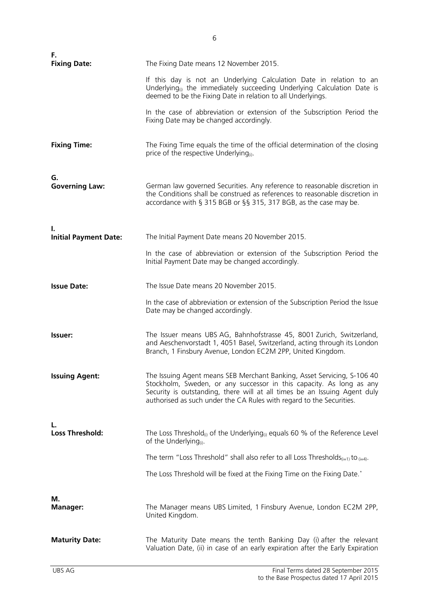| F.<br><b>Fixing Date:</b>          | The Fixing Date means 12 November 2015.                                                                                                                                                                                                                                                              |  |  |  |  |
|------------------------------------|------------------------------------------------------------------------------------------------------------------------------------------------------------------------------------------------------------------------------------------------------------------------------------------------------|--|--|--|--|
|                                    | If this day is not an Underlying Calculation Date in relation to an<br>Underlying <sup>®</sup> the immediately succeeding Underlying Calculation Date is<br>deemed to be the Fixing Date in relation to all Underlyings.                                                                             |  |  |  |  |
|                                    | In the case of abbreviation or extension of the Subscription Period the<br>Fixing Date may be changed accordingly.                                                                                                                                                                                   |  |  |  |  |
| <b>Fixing Time:</b>                | The Fixing Time equals the time of the official determination of the closing<br>price of the respective Underlying <sub>(i)</sub> .                                                                                                                                                                  |  |  |  |  |
| G.<br><b>Governing Law:</b>        | German law governed Securities. Any reference to reasonable discretion in<br>the Conditions shall be construed as references to reasonable discretion in<br>accordance with § 315 BGB or §§ 315, 317 BGB, as the case may be.                                                                        |  |  |  |  |
| ı.<br><b>Initial Payment Date:</b> | The Initial Payment Date means 20 November 2015.                                                                                                                                                                                                                                                     |  |  |  |  |
|                                    | In the case of abbreviation or extension of the Subscription Period the<br>Initial Payment Date may be changed accordingly.                                                                                                                                                                          |  |  |  |  |
| <b>Issue Date:</b>                 | The Issue Date means 20 November 2015.                                                                                                                                                                                                                                                               |  |  |  |  |
|                                    | In the case of abbreviation or extension of the Subscription Period the Issue<br>Date may be changed accordingly.                                                                                                                                                                                    |  |  |  |  |
| Issuer:                            | The Issuer means UBS AG, Bahnhofstrasse 45, 8001 Zurich, Switzerland,<br>and Aeschenvorstadt 1, 4051 Basel, Switzerland, acting through its London<br>Branch, 1 Finsbury Avenue, London EC2M 2PP, United Kingdom.                                                                                    |  |  |  |  |
| <b>Issuing Agent:</b>              | The Issuing Agent means SEB Merchant Banking, Asset Servicing, S-106 40<br>Stockholm, Sweden, or any successor in this capacity. As long as any<br>Security is outstanding, there will at all times be an Issuing Agent duly<br>authorised as such under the CA Rules with regard to the Securities. |  |  |  |  |
| L.<br><b>Loss Threshold:</b>       | The Loss Threshold <sub>(i)</sub> of the Underlying <sub>(i)</sub> equals 60 % of the Reference Level<br>of the Underlying <sub>(i)</sub> .                                                                                                                                                          |  |  |  |  |
|                                    | The term "Loss Threshold" shall also refer to all Loss Thresholds $_{(i=1)}$ to $_{(i=4)}$ .                                                                                                                                                                                                         |  |  |  |  |
|                                    | The Loss Threshold will be fixed at the Fixing Time on the Fixing Date.*                                                                                                                                                                                                                             |  |  |  |  |
| М.<br><b>Manager:</b>              | The Manager means UBS Limited, 1 Finsbury Avenue, London EC2M 2PP,<br>United Kingdom.                                                                                                                                                                                                                |  |  |  |  |
| <b>Maturity Date:</b>              | The Maturity Date means the tenth Banking Day (i) after the relevant<br>Valuation Date, (ii) in case of an early expiration after the Early Expiration                                                                                                                                               |  |  |  |  |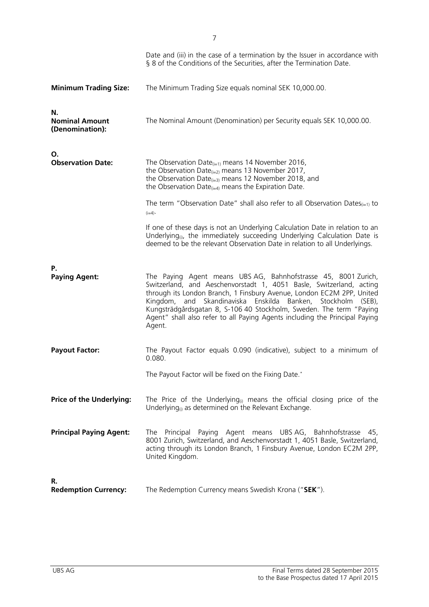|                                                | Date and (iii) in the case of a termination by the Issuer in accordance with<br>§ 8 of the Conditions of the Securities, after the Termination Date.                                                                                                                                                                                                                                                                                                 |
|------------------------------------------------|------------------------------------------------------------------------------------------------------------------------------------------------------------------------------------------------------------------------------------------------------------------------------------------------------------------------------------------------------------------------------------------------------------------------------------------------------|
| <b>Minimum Trading Size:</b>                   | The Minimum Trading Size equals nominal SEK 10,000.00.                                                                                                                                                                                                                                                                                                                                                                                               |
| N.<br><b>Nominal Amount</b><br>(Denomination): | The Nominal Amount (Denomination) per Security equals SEK 10,000.00.                                                                                                                                                                                                                                                                                                                                                                                 |
| О.<br><b>Observation Date:</b>                 | The Observation Date $_{(i=1)}$ means 14 November 2016,<br>the Observation Date $_{(i=2)}$ means 13 November 2017,<br>the Observation Date $_{(i=3)}$ means 12 November 2018, and<br>the Observation Date $_{(i=4)}$ means the Expiration Date.                                                                                                                                                                                                      |
|                                                | The term "Observation Date" shall also refer to all Observation Dates $_{(i=1)}$ to<br>$(i=4)$                                                                                                                                                                                                                                                                                                                                                       |
|                                                | If one of these days is not an Underlying Calculation Date in relation to an<br>Underlying <sub>(i)</sub> , the immediately succeeding Underlying Calculation Date is<br>deemed to be the relevant Observation Date in relation to all Underlyings.                                                                                                                                                                                                  |
| Р.<br><b>Paying Agent:</b>                     | The Paying Agent means UBS AG, Bahnhofstrasse 45, 8001 Zurich,<br>Switzerland, and Aeschenvorstadt 1, 4051 Basle, Switzerland, acting<br>through its London Branch, 1 Finsbury Avenue, London EC2M 2PP, United<br>Kingdom,<br>Skandinaviska Enskilda Banken, Stockholm (SEB),<br>and<br>Kungsträdgårdsgatan 8, S-106 40 Stockholm, Sweden. The term "Paying<br>Agent" shall also refer to all Paying Agents including the Principal Paying<br>Agent. |
| <b>Payout Factor:</b>                          | The Payout Factor equals 0.090 (indicative), subject to a minimum of<br>0.080.                                                                                                                                                                                                                                                                                                                                                                       |
|                                                | The Payout Factor will be fixed on the Fixing Date.*                                                                                                                                                                                                                                                                                                                                                                                                 |
| <b>Price of the Underlying:</b>                | The Price of the Underlying <sub>(i)</sub> means the official closing price of the<br>Underlying <sub>(i)</sub> as determined on the Relevant Exchange.                                                                                                                                                                                                                                                                                              |
| <b>Principal Paying Agent:</b>                 | Paying Agent means UBS AG, Bahnhofstrasse 45,<br>The<br>Principal<br>8001 Zurich, Switzerland, and Aeschenvorstadt 1, 4051 Basle, Switzerland,<br>acting through its London Branch, 1 Finsbury Avenue, London EC2M 2PP,<br>United Kingdom.                                                                                                                                                                                                           |
| R.<br><b>Redemption Currency:</b>              | The Redemption Currency means Swedish Krona ("SEK").                                                                                                                                                                                                                                                                                                                                                                                                 |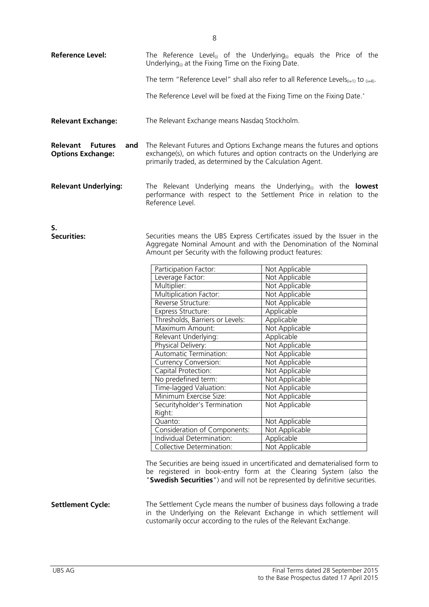| <b>Reference Level:</b>                                              | The Reference Level <sub>(i)</sub> of the Underlying <sub>(i)</sub> equals the Price of the<br>Underlying <sub>(i)</sub> at the Fixing Time on the Fixing Date.                                                  |  |  |  |  |  |  |
|----------------------------------------------------------------------|------------------------------------------------------------------------------------------------------------------------------------------------------------------------------------------------------------------|--|--|--|--|--|--|
|                                                                      | The term "Reference Level" shall also refer to all Reference Levels <sub>(i=1)</sub> to $_{(i=4)}$ .                                                                                                             |  |  |  |  |  |  |
|                                                                      | The Reference Level will be fixed at the Fixing Time on the Fixing Date.*                                                                                                                                        |  |  |  |  |  |  |
| <b>Relevant Exchange:</b>                                            | The Relevant Exchange means Nasdag Stockholm.                                                                                                                                                                    |  |  |  |  |  |  |
| <b>Relevant</b><br><b>Futures</b><br>and<br><b>Options Exchange:</b> | The Relevant Futures and Options Exchange means the futures and options<br>exchange(s), on which futures and option contracts on the Underlying are<br>primarily traded, as determined by the Calculation Agent. |  |  |  |  |  |  |
| <b>Relevant Underlying:</b>                                          | The Relevant Underlying means the Underlying <sub>(i)</sub> with the <b>lowest</b><br>performance with respect to the Settlement Price in relation to the<br>Reference Level.                                    |  |  |  |  |  |  |

# S.<br>Securities:

Securities means the UBS Express Certificates issued by the Issuer in the Aggregate Nominal Amount and with the Denomination of the Nominal Amount per Security with the following product features:

| Participation Factor:           | Not Applicable |
|---------------------------------|----------------|
| Leverage Factor:                | Not Applicable |
| Multiplier:                     | Not Applicable |
| Multiplication Factor:          | Not Applicable |
| Reverse Structure:              | Not Applicable |
| Express Structure:              | Applicable     |
| Thresholds, Barriers or Levels: | Applicable     |
| Maximum Amount:                 | Not Applicable |
| Relevant Underlying:            | Applicable     |
| Physical Delivery:              | Not Applicable |
| <b>Automatic Termination:</b>   | Not Applicable |
| Currency Conversion:            | Not Applicable |
| Capital Protection:             | Not Applicable |
| No predefined term:             | Not Applicable |
| Time-lagged Valuation:          | Not Applicable |
| Minimum Exercise Size:          | Not Applicable |
| Securityholder's Termination    | Not Applicable |
| Right:                          |                |
| Quanto:                         | Not Applicable |
| Consideration of Components:    | Not Applicable |
| Individual Determination:       | Applicable     |
| Collective Determination:       | Not Applicable |

The Securities are being issued in uncertificated and dematerialised form to be registered in book-entry form at the Clearing System (also the "**Swedish Securities**") and will not be represented by definitive securities.

**Settlement Cycle:** The Settlement Cycle means the number of business days following a trade in the Underlying on the Relevant Exchange in which settlement will customarily occur according to the rules of the Relevant Exchange.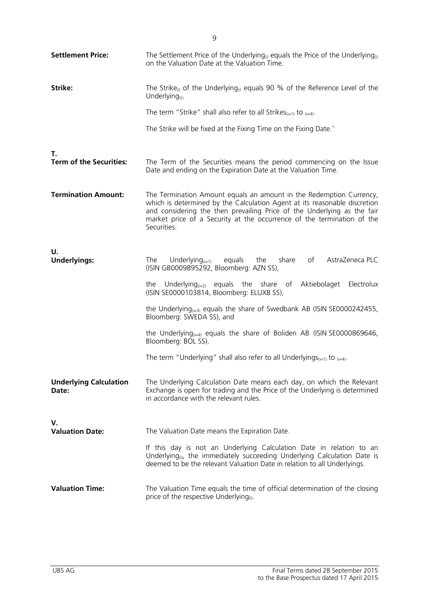| <b>Settlement Price:</b>               | The Settlement Price of the Underlying <sub>(i)</sub> equals the Price of the Underlying <sub>(i)</sub><br>on the Valuation Date at the Valuation Time.                                                                                                                                                                                                                                                                                                                                                                                                                                                   |  |  |  |
|----------------------------------------|-----------------------------------------------------------------------------------------------------------------------------------------------------------------------------------------------------------------------------------------------------------------------------------------------------------------------------------------------------------------------------------------------------------------------------------------------------------------------------------------------------------------------------------------------------------------------------------------------------------|--|--|--|
| Strike:                                | The Strike <sub>(i)</sub> of the Underlying <sub>(i)</sub> equals 90 % of the Reference Level of the<br>Underlying $_{(i)}$ .                                                                                                                                                                                                                                                                                                                                                                                                                                                                             |  |  |  |
|                                        | The term "Strike" shall also refer to all Strikes $_{(i=1)}$ to $_{(i=4)}$ .                                                                                                                                                                                                                                                                                                                                                                                                                                                                                                                              |  |  |  |
|                                        | The Strike will be fixed at the Fixing Time on the Fixing Date.*                                                                                                                                                                                                                                                                                                                                                                                                                                                                                                                                          |  |  |  |
| Т.<br><b>Term of the Securities:</b>   | The Term of the Securities means the period commencing on the Issue<br>Date and ending on the Expiration Date at the Valuation Time.                                                                                                                                                                                                                                                                                                                                                                                                                                                                      |  |  |  |
| <b>Termination Amount:</b>             | The Termination Amount equals an amount in the Redemption Currency,<br>which is determined by the Calculation Agent at its reasonable discretion<br>and considering the then prevailing Price of the Underlying as the fair<br>market price of a Security at the occurrence of the termination of the<br>Securities.                                                                                                                                                                                                                                                                                      |  |  |  |
| U.<br><b>Underlyings:</b>              | Underlying $(i=1)$<br>AstraZeneca PLC<br>The<br>equals<br>the<br>share<br>of<br>(ISIN GB0009895292, Bloomberg: AZN SS),<br>Underlying <sub><math>(i=2)</math></sub> equals the share of<br>Aktiebolaget<br>Electrolux<br>the<br>(ISIN SE0000103814, Bloomberg: ELUXB SS),<br>the Underlying $_{(i=3)}$ equals the share of Swedbank AB (ISIN SE0000242455,<br>Bloomberg: SWEDA SS), and<br>the Underlying <sub><math>(i=4)</math></sub> equals the share of Boliden AB (ISIN SE0000869646,<br>Bloomberg: BOL SS).<br>The term "Underlying" shall also refer to all Underlyings $_{(i=1)}$ to $_{(i=4)}$ . |  |  |  |
| <b>Underlying Calculation</b><br>Date: | The Underlying Calculation Date means each day, on which the Relevant<br>Exchange is open for trading and the Price of the Underlying is determined<br>in accordance with the relevant rules.                                                                                                                                                                                                                                                                                                                                                                                                             |  |  |  |
| V.<br><b>Valuation Date:</b>           | The Valuation Date means the Expiration Date.<br>If this day is not an Underlying Calculation Date in relation to an<br>Underlying <sub>(i)</sub> , the immediately succeeding Underlying Calculation Date is<br>deemed to be the relevant Valuation Date in relation to all Underlyings.                                                                                                                                                                                                                                                                                                                 |  |  |  |
| <b>Valuation Time:</b>                 | The Valuation Time equals the time of official determination of the closing<br>price of the respective Underlying <sub>(i)</sub> .                                                                                                                                                                                                                                                                                                                                                                                                                                                                        |  |  |  |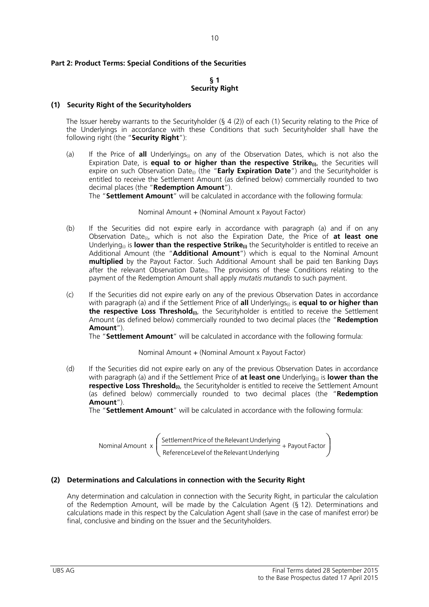### **Part 2: Product Terms: Special Conditions of the Securities**

### **§ 1 Security Right**

### **(1) Security Right of the Securityholders**

The Issuer hereby warrants to the Securityholder (§ 4 (2)) of each (1) Security relating to the Price of the Underlyings in accordance with these Conditions that such Securityholder shall have the following right (the "**Security Right**"):

(a) If the Price of **all** Underlyings<sub>(i)</sub> on any of the Observation Dates, which is not also the Expiration Date, is **equal to or higher than the respective Strike**<sub>(i)</sub>, the Securities will expire on such Observation Date<sub>(i)</sub> (the "**Early Expiration Date**") and the Securityholder is entitled to receive the Settlement Amount (as defined below) commercially rounded to two decimal places (the "**Redemption Amount**").

The "**Settlement Amount**" will be calculated in accordance with the following formula:

Nominal Amount + (Nominal Amount x Payout Factor)

- (b) If the Securities did not expire early in accordance with paragraph (a) and if on any Observation Date(i), which is not also the Expiration Date, the Price of **at least one**  Underlying<sub>(i)</sub> is **lower than the respective Strike**<sub>(i)</sub> the Securityholder is entitled to receive an Additional Amount (the "**Additional Amount**") which is equal to the Nominal Amount **multiplied** by the Payout Factor. Such Additional Amount shall be paid ten Banking Days after the relevant Observation Date<sub>(i)</sub>. The provisions of these Conditions relating to the payment of the Redemption Amount shall apply *mutatis mutandis* to such payment.
- (c) If the Securities did not expire early on any of the previous Observation Dates in accordance with paragraph (a) and if the Settlement Price of **all** Underlyings<sub>(i)</sub> is **equal to or higher than the respective Loss Threshold**<sub>(i)</sub>, the Securityholder is entitled to receive the Settlement Amount (as defined below) commercially rounded to two decimal places (the "**Redemption Amount**").

The "**Settlement Amount**" will be calculated in accordance with the following formula:

#### Nominal Amount + (Nominal Amount x Payout Factor)

(d) If the Securities did not expire early on any of the previous Observation Dates in accordance with paragraph (a) and if the Settlement Price of **at least one** Underlying<sub>(a)</sub> is **lower than the respective Loss Threshold**<sup>6</sup>, the Securityholder is entitled to receive the Settlement Amount (as defined below) commercially rounded to two decimal places (the "**Redemption Amount**").

The "**Settlement Amount**" will be calculated in accordance with the following formula:

$$
Normal Amount x \left( \frac{Settlement Price of the Relevant Underlying}{ReferenceLevel of the Relevant Underlying} + Payout Factor \right)
$$

# **(2) Determinations and Calculations in connection with the Security Right**

Any determination and calculation in connection with the Security Right, in particular the calculation of the Redemption Amount, will be made by the Calculation Agent (§ 12). Determinations and calculations made in this respect by the Calculation Agent shall (save in the case of manifest error) be final, conclusive and binding on the Issuer and the Securityholders.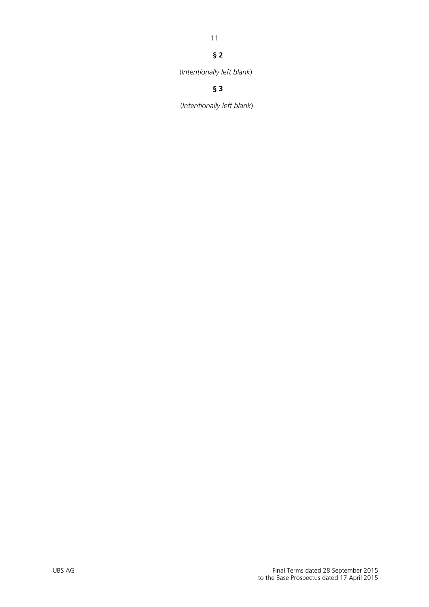# 11

# **§ 2**

(*Intentionally left blank*)

# **§ 3**

(*Intentionally left blank*)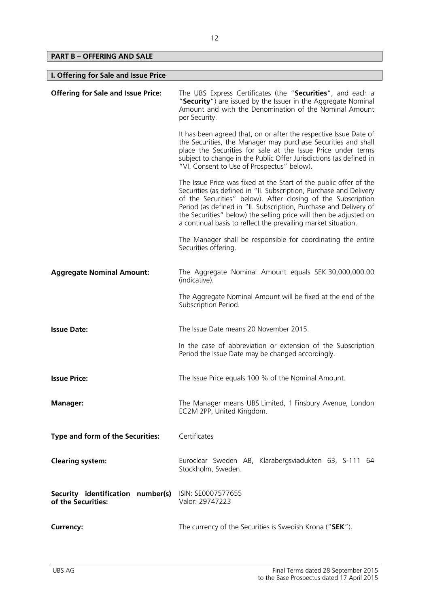**PART B – OFFERING AND SALE** 

 $\overline{\phantom{a}}$ 

| I. Offering for Sale and Issue Price                    |                                                                                                                                                                                                                                                                                                                                                                                                                    |  |  |  |
|---------------------------------------------------------|--------------------------------------------------------------------------------------------------------------------------------------------------------------------------------------------------------------------------------------------------------------------------------------------------------------------------------------------------------------------------------------------------------------------|--|--|--|
| <b>Offering for Sale and Issue Price:</b>               | The UBS Express Certificates (the "Securities", and each a<br>"Security") are issued by the Issuer in the Aggregate Nominal<br>Amount and with the Denomination of the Nominal Amount<br>per Security.                                                                                                                                                                                                             |  |  |  |
|                                                         | It has been agreed that, on or after the respective Issue Date of<br>the Securities, the Manager may purchase Securities and shall<br>place the Securities for sale at the Issue Price under terms<br>subject to change in the Public Offer Jurisdictions (as defined in<br>"VI. Consent to Use of Prospectus" below).                                                                                             |  |  |  |
|                                                         | The Issue Price was fixed at the Start of the public offer of the<br>Securities (as defined in "II. Subscription, Purchase and Delivery<br>of the Securities" below). After closing of the Subscription<br>Period (as defined in "II. Subscription, Purchase and Delivery of<br>the Securities" below) the selling price will then be adjusted on<br>a continual basis to reflect the prevailing market situation. |  |  |  |
|                                                         | The Manager shall be responsible for coordinating the entire<br>Securities offering.                                                                                                                                                                                                                                                                                                                               |  |  |  |
| <b>Aggregate Nominal Amount:</b>                        | The Aggregate Nominal Amount equals SEK 30,000,000.00<br>(indicative).                                                                                                                                                                                                                                                                                                                                             |  |  |  |
|                                                         | The Aggregate Nominal Amount will be fixed at the end of the<br>Subscription Period.                                                                                                                                                                                                                                                                                                                               |  |  |  |
| <b>Issue Date:</b>                                      | The Issue Date means 20 November 2015.                                                                                                                                                                                                                                                                                                                                                                             |  |  |  |
|                                                         | In the case of abbreviation or extension of the Subscription<br>Period the Issue Date may be changed accordingly.                                                                                                                                                                                                                                                                                                  |  |  |  |
| <b>Issue Price:</b>                                     | The Issue Price equals 100 % of the Nominal Amount.                                                                                                                                                                                                                                                                                                                                                                |  |  |  |
| <b>Manager:</b>                                         | The Manager means UBS Limited, 1 Finsbury Avenue, London<br>EC2M 2PP, United Kingdom.                                                                                                                                                                                                                                                                                                                              |  |  |  |
| Type and form of the Securities:                        | Certificates                                                                                                                                                                                                                                                                                                                                                                                                       |  |  |  |
| <b>Clearing system:</b>                                 | Euroclear Sweden AB, Klarabergsviadukten 63, S-111 64<br>Stockholm, Sweden.                                                                                                                                                                                                                                                                                                                                        |  |  |  |
| Security identification number(s)<br>of the Securities: | ISIN: SE0007577655<br>Valor: 29747223                                                                                                                                                                                                                                                                                                                                                                              |  |  |  |
| <b>Currency:</b>                                        | The currency of the Securities is Swedish Krona ("SEK").                                                                                                                                                                                                                                                                                                                                                           |  |  |  |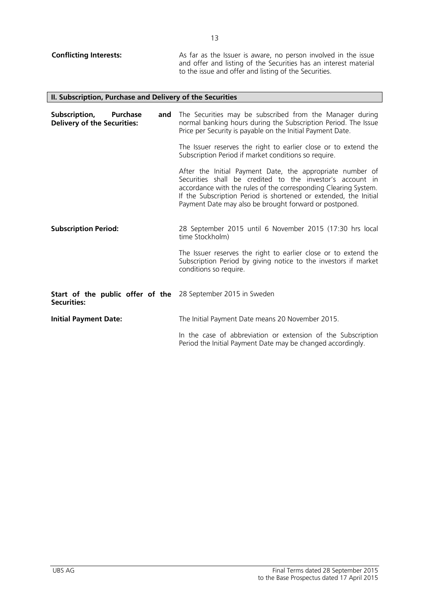| <b>Conflicting Interests:</b>                                                 | As far as the Issuer is aware, no person involved in the issue<br>and offer and listing of the Securities has an interest material<br>to the issue and offer and listing of the Securities.                                                                                                                             |  |  |  |
|-------------------------------------------------------------------------------|-------------------------------------------------------------------------------------------------------------------------------------------------------------------------------------------------------------------------------------------------------------------------------------------------------------------------|--|--|--|
| II. Subscription, Purchase and Delivery of the Securities                     |                                                                                                                                                                                                                                                                                                                         |  |  |  |
| Subscription,<br><b>Purchase</b><br>and<br><b>Delivery of the Securities:</b> | The Securities may be subscribed from the Manager during<br>normal banking hours during the Subscription Period. The Issue<br>Price per Security is payable on the Initial Payment Date.                                                                                                                                |  |  |  |
|                                                                               | The Issuer reserves the right to earlier close or to extend the<br>Subscription Period if market conditions so require.                                                                                                                                                                                                 |  |  |  |
|                                                                               | After the Initial Payment Date, the appropriate number of<br>Securities shall be credited to the investor's account in<br>accordance with the rules of the corresponding Clearing System.<br>If the Subscription Period is shortened or extended, the Initial<br>Payment Date may also be brought forward or postponed. |  |  |  |
| <b>Subscription Period:</b>                                                   | 28 September 2015 until 6 November 2015 (17:30 hrs local<br>time Stockholm)                                                                                                                                                                                                                                             |  |  |  |
|                                                                               | The Issuer reserves the right to earlier close or to extend the<br>Subscription Period by giving notice to the investors if market<br>conditions so require.                                                                                                                                                            |  |  |  |
| Start of the public offer of the<br><b>Securities:</b>                        | 28 September 2015 in Sweden                                                                                                                                                                                                                                                                                             |  |  |  |
| <b>Initial Payment Date:</b>                                                  | The Initial Payment Date means 20 November 2015.                                                                                                                                                                                                                                                                        |  |  |  |
|                                                                               | In the case of abbreviation or extension of the Subscription<br>Period the Initial Payment Date may be changed accordingly.                                                                                                                                                                                             |  |  |  |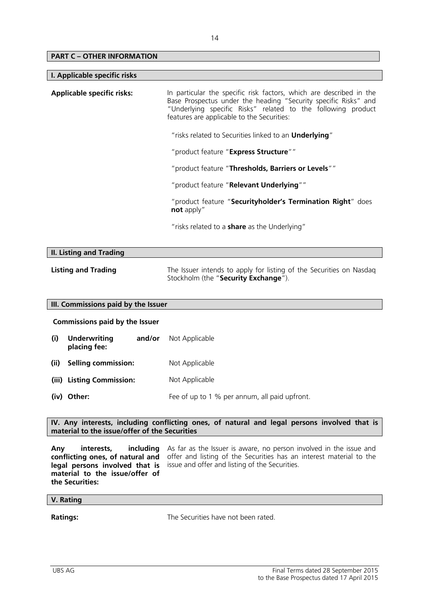# **PART C – OTHER INFORMATION**

| I. Applicable specific risks      |                                                                                                                                                                                                                                                      |  |  |  |
|-----------------------------------|------------------------------------------------------------------------------------------------------------------------------------------------------------------------------------------------------------------------------------------------------|--|--|--|
| <b>Applicable specific risks:</b> | In particular the specific risk factors, which are described in the<br>Base Prospectus under the heading "Security specific Risks" and<br>"Underlying specific Risks" related to the following product<br>features are applicable to the Securities: |  |  |  |
|                                   | " risks related to Securities linked to an <b>Underlying</b> "                                                                                                                                                                                       |  |  |  |
|                                   | "product feature "Express Structure""                                                                                                                                                                                                                |  |  |  |
|                                   | "product feature "Thresholds, Barriers or Levels""                                                                                                                                                                                                   |  |  |  |
|                                   | "product feature "Relevant Underlying""                                                                                                                                                                                                              |  |  |  |
|                                   | "product feature "Securityholder's Termination Right" does<br>not apply"                                                                                                                                                                             |  |  |  |
|                                   | "risks related to a <b>share</b> as the Underlying"                                                                                                                                                                                                  |  |  |  |
|                                   |                                                                                                                                                                                                                                                      |  |  |  |
| <b>II. Listing and Trading</b>    |                                                                                                                                                                                                                                                      |  |  |  |
| <b>Listing and Trading</b>        | The Issuer intends to apply for listing of the Securities on Nasdaq<br>Stockholm (the "Security Exchange").                                                                                                                                          |  |  |  |

| III. Commissions paid by the Issuer                                                                            |  |
|----------------------------------------------------------------------------------------------------------------|--|
| Administration of the state for the control of the second state of the second state of the second state of the |  |

| <b>Commissions paid by the Issuer</b> |  |  |  |
|---------------------------------------|--|--|--|
|                                       |  |  |  |

| (i)   | Underwriting<br>and/or<br>placing fee: | Not Applicable                                |
|-------|----------------------------------------|-----------------------------------------------|
| (ii)  | Selling commission:                    | Not Applicable                                |
| (iii) | <b>Listing Commission:</b>             | Not Applicable                                |
| (iv)  | Other:                                 | Fee of up to 1 % per annum, all paid upfront. |

### **IV. Any interests, including conflicting ones, of natural and legal persons involved that is material to the issue/offer of the Securities**

Any interests, **conflicting ones, of natural and**  offer and listing of the Securities has an interest material to the legal persons involved that is lissue and offer and listing of the Securities. **material to the issue/offer of the Securities:**  including As far as the Issuer is aware, no person involved in the issue and

### **V. Rating**

**Ratings: Ratings:** The Securities have not been rated.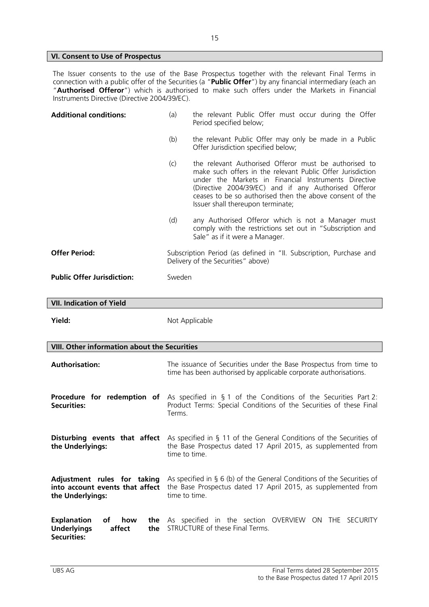### **VI. Consent to Use of Prospectus**

The Issuer consents to the use of the Base Prospectus together with the relevant Final Terms in connection with a public offer of the Securities (a "**Public Offer**") by any financial intermediary (each an "**Authorised Offeror**") which is authorised to make such offers under the Markets in Financial Instruments Directive (Directive 2004/39/EC).

| <b>Additional conditions:</b>                                                      | (a)           | the relevant Public Offer must occur during the Offer<br>Period specified below;                                                                                                                                                                                                                                                     |
|------------------------------------------------------------------------------------|---------------|--------------------------------------------------------------------------------------------------------------------------------------------------------------------------------------------------------------------------------------------------------------------------------------------------------------------------------------|
|                                                                                    | (b)           | the relevant Public Offer may only be made in a Public<br>Offer Jurisdiction specified below;                                                                                                                                                                                                                                        |
|                                                                                    | (c)           | the relevant Authorised Offeror must be authorised to<br>make such offers in the relevant Public Offer Jurisdiction<br>under the Markets in Financial Instruments Directive<br>(Directive 2004/39/EC) and if any Authorised Offeror<br>ceases to be so authorised then the above consent of the<br>Issuer shall thereupon terminate; |
|                                                                                    | (d)           | any Authorised Offeror which is not a Manager must<br>comply with the restrictions set out in "Subscription and<br>Sale" as if it were a Manager.                                                                                                                                                                                    |
| <b>Offer Period:</b>                                                               |               | Subscription Period (as defined in "II. Subscription, Purchase and<br>Delivery of the Securities" above)                                                                                                                                                                                                                             |
| <b>Public Offer Jurisdiction:</b>                                                  | Sweden        |                                                                                                                                                                                                                                                                                                                                      |
| <b>VII. Indication of Yield</b>                                                    |               |                                                                                                                                                                                                                                                                                                                                      |
| Yield:                                                                             |               | Not Applicable                                                                                                                                                                                                                                                                                                                       |
|                                                                                    |               |                                                                                                                                                                                                                                                                                                                                      |
| <b>VIII. Other information about the Securities</b>                                |               |                                                                                                                                                                                                                                                                                                                                      |
| <b>Authorisation:</b>                                                              |               | The issuance of Securities under the Base Prospectus from time to<br>time has been authorised by applicable corporate authorisations.                                                                                                                                                                                                |
| Procedure for redemption of<br><b>Securities:</b>                                  | Terms.        | As specified in $\S$ 1 of the Conditions of the Securities Part 2:<br>Product Terms: Special Conditions of the Securities of these Final                                                                                                                                                                                             |
| the Underlyings:                                                                   | time to time. | <b>Disturbing events that affect</b> As specified in § 11 of the General Conditions of the Securities of<br>the Base Prospectus dated 17 April 2015, as supplemented from                                                                                                                                                            |
| Adjustment rules for taking<br>into account events that affect<br>the Underlyings: | time to time. | As specified in § 6 (b) of the General Conditions of the Securities of<br>the Base Prospectus dated 17 April 2015, as supplemented from                                                                                                                                                                                              |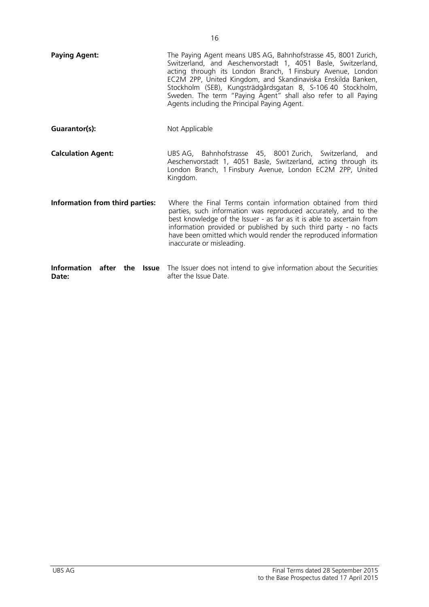Paying Agent: The Paying Agent means UBS AG, Bahnhofstrasse 45, 8001 Zurich, Switzerland, and Aeschenvorstadt 1, 4051 Basle, Switzerland, acting through its London Branch, 1 Finsbury Avenue, London EC2M 2PP, United Kingdom, and Skandinaviska Enskilda Banken, Stockholm (SEB), Kungsträdgårdsgatan 8, S-106 40 Stockholm, Sweden. The term "Paying Agent" shall also refer to all Paying Agents including the Principal Paying Agent. **Guarantor(s):** Not Applicable **Calculation Agent:** UBS AG, Bahnhofstrasse 45, 8001 Zurich, Switzerland, and Aeschenvorstadt 1, 4051 Basle, Switzerland, acting through its London Branch, 1 Finsbury Avenue, London EC2M 2PP, United Kingdom. **Information from third parties:** Where the Final Terms contain information obtained from third parties, such information was reproduced accurately, and to the best knowledge of the Issuer - as far as it is able to ascertain from information provided or published by such third party - no facts have been omitted which would render the reproduced information inaccurate or misleading. **Information after the Issue Date:** The Issuer does not intend to give information about the Securities after the Issue Date.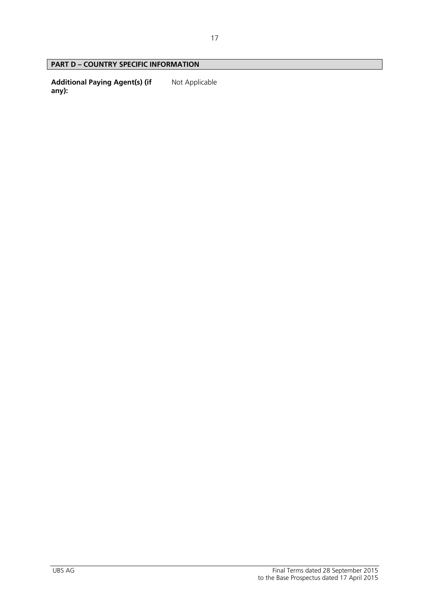# **PART D – COUNTRY SPECIFIC INFORMATION**

**Additional Paying Agent(s) (if any):**  Not Applicable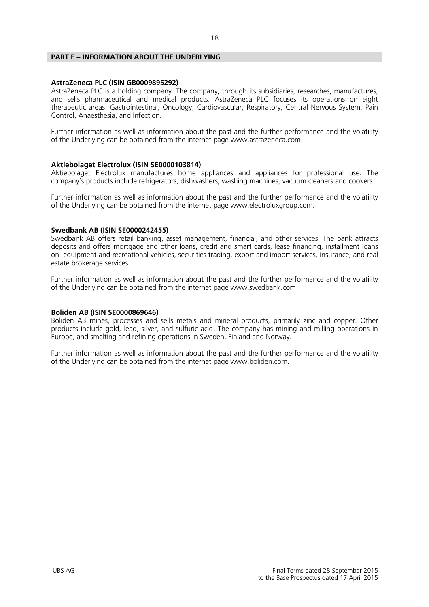### **PART E – INFORMATION ABOUT THE UNDERLYING**

### **AstraZeneca PLC (ISIN GB0009895292)**

AstraZeneca PLC is a holding company. The company, through its subsidiaries, researches, manufactures, and sells pharmaceutical and medical products. AstraZeneca PLC focuses its operations on eight therapeutic areas: Gastrointestinal, Oncology, Cardiovascular, Respiratory, Central Nervous System, Pain Control, Anaesthesia, and Infection.

18

Further information as well as information about the past and the further performance and the volatility of the Underlying can be obtained from the internet page www.astrazeneca.com.

### **Aktiebolaget Electrolux (ISIN SE0000103814)**

Aktiebolaget Electrolux manufactures home appliances and appliances for professional use. The company's products include refrigerators, dishwashers, washing machines, vacuum cleaners and cookers.

Further information as well as information about the past and the further performance and the volatility of the Underlying can be obtained from the internet page www.electroluxgroup.com.

#### **Swedbank AB (ISIN SE0000242455)**

Swedbank AB offers retail banking, asset management, financial, and other services. The bank attracts deposits and offers mortgage and other loans, credit and smart cards, lease financing, installment loans on equipment and recreational vehicles, securities trading, export and import services, insurance, and real estate brokerage services.

Further information as well as information about the past and the further performance and the volatility of the Underlying can be obtained from the internet page www.swedbank.com.

#### **Boliden AB (ISIN SE0000869646)**

Boliden AB mines, processes and sells metals and mineral products, primarily zinc and copper. Other products include gold, lead, silver, and sulfuric acid. The company has mining and milling operations in Europe, and smelting and refining operations in Sweden, Finland and Norway.

Further information as well as information about the past and the further performance and the volatility of the Underlying can be obtained from the internet page www.boliden.com.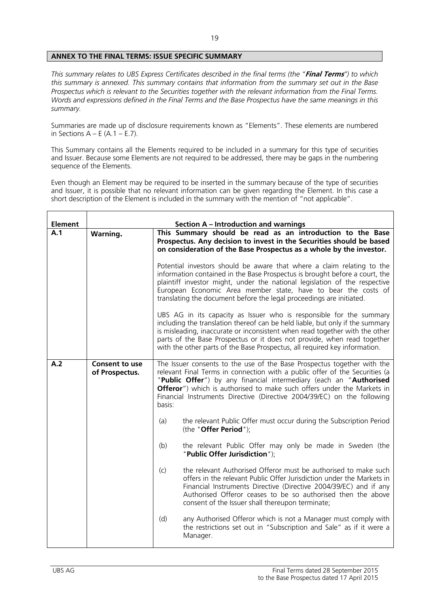## **ANNEX TO THE FINAL TERMS: ISSUE SPECIFIC SUMMARY**

*This summary relates to UBS Express Certificates described in the final terms (the "***Final Terms***") to which this summary is annexed. This summary contains that information from the summary set out in the Base Prospectus which is relevant to the Securities together with the relevant information from the Final Terms. Words and expressions defined in the Final Terms and the Base Prospectus have the same meanings in this summary.* 

Summaries are made up of disclosure requirements known as "Elements". These elements are numbered in Sections  $A - E(A.1 - E.7)$ .

This Summary contains all the Elements required to be included in a summary for this type of securities and Issuer. Because some Elements are not required to be addressed, there may be gaps in the numbering sequence of the Elements.

Even though an Element may be required to be inserted in the summary because of the type of securities and Issuer, it is possible that no relevant information can be given regarding the Element. In this case a short description of the Element is included in the summary with the mention of "not applicable".

| <b>Element</b> | <b>Section A - Introduction and warnings</b> |                                                                                                                                                                                                                                                                                                                                                                                                     |  |  |
|----------------|----------------------------------------------|-----------------------------------------------------------------------------------------------------------------------------------------------------------------------------------------------------------------------------------------------------------------------------------------------------------------------------------------------------------------------------------------------------|--|--|
| A.1            | <b>Warning.</b>                              | This Summary should be read as an introduction to the Base<br>Prospectus. Any decision to invest in the Securities should be based<br>on consideration of the Base Prospectus as a whole by the investor.                                                                                                                                                                                           |  |  |
|                |                                              | Potential investors should be aware that where a claim relating to the<br>information contained in the Base Prospectus is brought before a court, the<br>plaintiff investor might, under the national legislation of the respective<br>European Economic Area member state, have to bear the costs of<br>translating the document before the legal proceedings are initiated.                       |  |  |
|                |                                              | UBS AG in its capacity as Issuer who is responsible for the summary<br>including the translation thereof can be held liable, but only if the summary<br>is misleading, inaccurate or inconsistent when read together with the other<br>parts of the Base Prospectus or it does not provide, when read together<br>with the other parts of the Base Prospectus, all required key information.        |  |  |
| A.2            | <b>Consent to use</b><br>of Prospectus.      | The Issuer consents to the use of the Base Prospectus together with the<br>relevant Final Terms in connection with a public offer of the Securities (a<br>"Public Offer") by any financial intermediary (each an "Authorised<br><b>Offeror</b> ") which is authorised to make such offers under the Markets in<br>Financial Instruments Directive (Directive 2004/39/EC) on the following<br>basis: |  |  |
|                |                                              | (a)<br>the relevant Public Offer must occur during the Subscription Period<br>(the "Offer Period");                                                                                                                                                                                                                                                                                                 |  |  |
|                |                                              | the relevant Public Offer may only be made in Sweden (the<br>(b)<br>"Public Offer Jurisdiction");                                                                                                                                                                                                                                                                                                   |  |  |
|                |                                              | the relevant Authorised Offeror must be authorised to make such<br>(c)<br>offers in the relevant Public Offer Jurisdiction under the Markets in<br>Financial Instruments Directive (Directive 2004/39/EC) and if any<br>Authorised Offeror ceases to be so authorised then the above<br>consent of the Issuer shall thereupon terminate;                                                            |  |  |
|                |                                              | (d)<br>any Authorised Offeror which is not a Manager must comply with<br>the restrictions set out in "Subscription and Sale" as if it were a<br>Manager.                                                                                                                                                                                                                                            |  |  |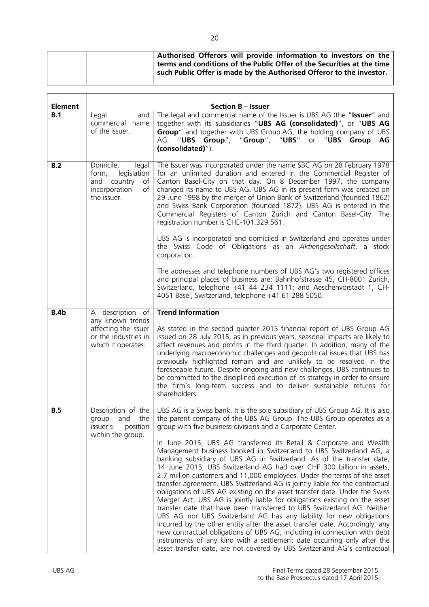| Authorised Offerors will provide information to investors on the<br>terms and conditions of the Public Offer of the Securities at the time<br>such Public Offer is made by the Authorised Offeror to the investor. |
|--------------------------------------------------------------------------------------------------------------------------------------------------------------------------------------------------------------------|
|                                                                                                                                                                                                                    |

| <b>Element</b> | <b>Section B - Issuer</b>                                                                                    |                                                                                                                                                                                                                                                                                                                                                                                                                                                                                                                                                                                                                                                                                                                                                                                                                                                                                                                                                                                                                                                                                        |  |
|----------------|--------------------------------------------------------------------------------------------------------------|----------------------------------------------------------------------------------------------------------------------------------------------------------------------------------------------------------------------------------------------------------------------------------------------------------------------------------------------------------------------------------------------------------------------------------------------------------------------------------------------------------------------------------------------------------------------------------------------------------------------------------------------------------------------------------------------------------------------------------------------------------------------------------------------------------------------------------------------------------------------------------------------------------------------------------------------------------------------------------------------------------------------------------------------------------------------------------------|--|
| B.1            | Legal<br>and<br>commercial name<br>of the issuer.                                                            | The legal and commercial name of the Issuer is UBS AG (the "Issuer" and<br>together with its subsidiaries "UBS AG (consolidated)", or "UBS AG<br>Group" and together with UBS Group AG, the holding company of UBS<br>AG, "UBS Group", "Group", "UBS"<br>or "UBS Group AG<br>(consolidated)").                                                                                                                                                                                                                                                                                                                                                                                                                                                                                                                                                                                                                                                                                                                                                                                         |  |
| B.2            | Domicile,<br>legal<br>legislation  <br>form,<br>country<br>and<br>of<br>incorporation<br>of I<br>the issuer. | The Issuer was incorporated under the name SBC AG on 28 February 1978<br>for an unlimited duration and entered in the Commercial Register of<br>Canton Basel-City on that day. On 8 December 1997, the company<br>changed its name to UBS AG. UBS AG in its present form was created on<br>29 June 1998 by the merger of Union Bank of Switzerland (founded 1862)<br>and Swiss Bank Corporation (founded 1872). UBS AG is entered in the<br>Commercial Registers of Canton Zurich and Canton Basel-City. The<br>registration number is CHE-101.329.561.                                                                                                                                                                                                                                                                                                                                                                                                                                                                                                                                |  |
|                |                                                                                                              | UBS AG is incorporated and domiciled in Switzerland and operates under<br>the Swiss Code of Obligations as an Aktiengesellschaft, a stock<br>corporation.                                                                                                                                                                                                                                                                                                                                                                                                                                                                                                                                                                                                                                                                                                                                                                                                                                                                                                                              |  |
|                |                                                                                                              | The addresses and telephone numbers of UBS AG's two registered offices<br>and principal places of business are: Bahnhofstrasse 45, CH-8001 Zurich,<br>Switzerland, telephone +41 44 234 1111; and Aeschenvorstadt 1, CH-<br>4051 Basel, Switzerland, telephone +41 61 288 5050.                                                                                                                                                                                                                                                                                                                                                                                                                                                                                                                                                                                                                                                                                                                                                                                                        |  |
| <b>B.4b</b>    | A description of                                                                                             | <b>Trend Information</b>                                                                                                                                                                                                                                                                                                                                                                                                                                                                                                                                                                                                                                                                                                                                                                                                                                                                                                                                                                                                                                                               |  |
|                | any known trends<br>affecting the issuer<br>or the industries in<br>which it operates.                       | As stated in the second quarter 2015 financial report of UBS Group AG<br>issued on 28 July 2015, as in previous years, seasonal impacts are likely to<br>affect revenues and profits in the third quarter. In addition, many of the<br>underlying macroeconomic challenges and geopolitical issues that UBS has<br>previously highlighted remain and are unlikely to be resolved in the<br>foreseeable future. Despite ongoing and new challenges, UBS continues to<br>be committed to the disciplined execution of its strategy in order to ensure<br>the firm's long-term success and to deliver sustainable returns for<br>shareholders.                                                                                                                                                                                                                                                                                                                                                                                                                                            |  |
| <b>B.5</b>     | Description of the<br>group and the<br>issuer's<br>position<br>within the group.                             | UBS AG is a Swiss bank. It is the sole subsidiary of UBS Group AG. It is also<br>the parent company of the UBS AG Group. The UBS Group operates as a<br>group with five business divisions and a Corporate Center.                                                                                                                                                                                                                                                                                                                                                                                                                                                                                                                                                                                                                                                                                                                                                                                                                                                                     |  |
|                |                                                                                                              | In June 2015, UBS AG transferred its Retail & Corporate and Wealth<br>Management business booked in Switzerland to UBS Switzerland AG, a<br>banking subsidiary of UBS AG in Switzerland. As of the transfer date,<br>14 June 2015, UBS Switzerland AG had over CHF 300 billion in assets,<br>2.7 million customers and 11,000 employees. Under the terms of the asset<br>transfer agreement, UBS Switzerland AG is jointly liable for the contractual<br>obligations of UBS AG existing on the asset transfer date. Under the Swiss<br>Merger Act, UBS AG is jointly liable for obligations existing on the asset<br>transfer date that have been transferred to UBS Switzerland AG. Neither<br>UBS AG nor UBS Switzerland AG has any liability for new obligations<br>incurred by the other entity after the asset transfer date. Accordingly, any<br>new contractual obligations of UBS AG, including in connection with debt<br>instruments of any kind with a settlement date occurring only after the<br>asset transfer date, are not covered by UBS Switzerland AG's contractual |  |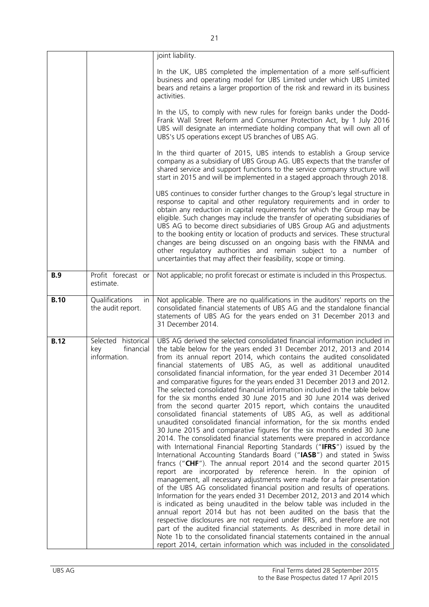|             |                                                         | joint liability.<br>In the UK, UBS completed the implementation of a more self-sufficient<br>business and operating model for UBS Limited under which UBS Limited<br>bears and retains a larger proportion of the risk and reward in its business<br>activities.<br>In the US, to comply with new rules for foreign banks under the Dodd-<br>Frank Wall Street Reform and Consumer Protection Act, by 1 July 2016<br>UBS will designate an intermediate holding company that will own all of<br>UBS's US operations except US branches of UBS AG.<br>In the third quarter of 2015, UBS intends to establish a Group service<br>company as a subsidiary of UBS Group AG. UBS expects that the transfer of<br>shared service and support functions to the service company structure will<br>start in 2015 and will be implemented in a staged approach through 2018.<br>UBS continues to consider further changes to the Group's legal structure in                                                                                                                                                                                                                                                                                                                                                                                                                                                                                                                                                                                                                                                                                                                                                                                                                                                                                                                                                                                                                          |
|-------------|---------------------------------------------------------|----------------------------------------------------------------------------------------------------------------------------------------------------------------------------------------------------------------------------------------------------------------------------------------------------------------------------------------------------------------------------------------------------------------------------------------------------------------------------------------------------------------------------------------------------------------------------------------------------------------------------------------------------------------------------------------------------------------------------------------------------------------------------------------------------------------------------------------------------------------------------------------------------------------------------------------------------------------------------------------------------------------------------------------------------------------------------------------------------------------------------------------------------------------------------------------------------------------------------------------------------------------------------------------------------------------------------------------------------------------------------------------------------------------------------------------------------------------------------------------------------------------------------------------------------------------------------------------------------------------------------------------------------------------------------------------------------------------------------------------------------------------------------------------------------------------------------------------------------------------------------------------------------------------------------------------------------------------------------|
|             |                                                         | response to capital and other regulatory requirements and in order to<br>obtain any reduction in capital requirements for which the Group may be<br>eligible. Such changes may include the transfer of operating subsidiaries of<br>UBS AG to become direct subsidiaries of UBS Group AG and adjustments<br>to the booking entity or location of products and services. These structural<br>changes are being discussed on an ongoing basis with the FINMA and<br>other regulatory authorities and remain subject to a number of<br>uncertainties that may affect their feasibility, scope or timing.                                                                                                                                                                                                                                                                                                                                                                                                                                                                                                                                                                                                                                                                                                                                                                                                                                                                                                                                                                                                                                                                                                                                                                                                                                                                                                                                                                      |
| <b>B.9</b>  | Profit forecast or<br>estimate.                         | Not applicable; no profit forecast or estimate is included in this Prospectus.                                                                                                                                                                                                                                                                                                                                                                                                                                                                                                                                                                                                                                                                                                                                                                                                                                                                                                                                                                                                                                                                                                                                                                                                                                                                                                                                                                                                                                                                                                                                                                                                                                                                                                                                                                                                                                                                                             |
| <b>B.10</b> | Qualifications<br><i>in</i><br>the audit report.        | Not applicable. There are no qualifications in the auditors' reports on the<br>consolidated financial statements of UBS AG and the standalone financial<br>statements of UBS AG for the years ended on 31 December 2013 and<br>31 December 2014.                                                                                                                                                                                                                                                                                                                                                                                                                                                                                                                                                                                                                                                                                                                                                                                                                                                                                                                                                                                                                                                                                                                                                                                                                                                                                                                                                                                                                                                                                                                                                                                                                                                                                                                           |
| <b>B.12</b> | Selected historical<br>financial<br>key<br>information. | UBS AG derived the selected consolidated financial information included in<br>the table below for the years ended 31 December 2012, 2013 and 2014<br>from its annual report 2014, which contains the audited consolidated<br>financial statements of UBS AG, as well as additional unaudited<br>consolidated financial information, for the year ended 31 December 2014<br>and comparative figures for the years ended 31 December 2013 and 2012.<br>The selected consolidated financial information included in the table below<br>for the six months ended 30 June 2015 and 30 June 2014 was derived<br>from the second quarter 2015 report, which contains the unaudited<br>consolidated financial statements of UBS AG, as well as additional<br>unaudited consolidated financial information, for the six months ended<br>30 June 2015 and comparative figures for the six months ended 30 June<br>2014. The consolidated financial statements were prepared in accordance<br>with International Financial Reporting Standards ("IFRS") issued by the<br>International Accounting Standards Board ("IASB") and stated in Swiss<br>francs ("CHF"). The annual report 2014 and the second quarter 2015<br>report are incorporated by reference herein. In the opinion of<br>management, all necessary adjustments were made for a fair presentation<br>of the UBS AG consolidated financial position and results of operations.<br>Information for the years ended 31 December 2012, 2013 and 2014 which<br>is indicated as being unaudited in the below table was included in the<br>annual report 2014 but has not been audited on the basis that the<br>respective disclosures are not required under IFRS, and therefore are not<br>part of the audited financial statements. As described in more detail in<br>Note 1b to the consolidated financial statements contained in the annual<br>report 2014, certain information which was included in the consolidated |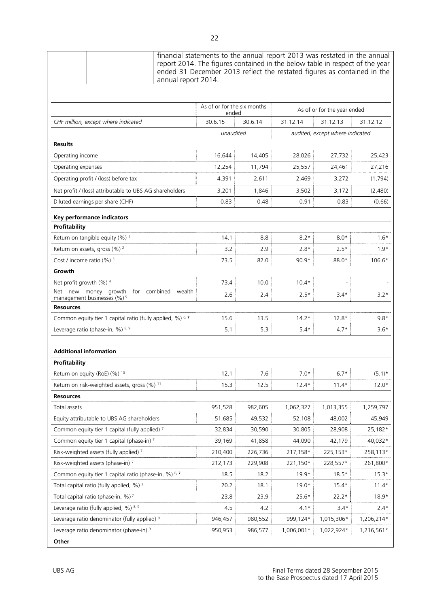|                                                                             | financial statements to the annual report 2013 was restated in the annual<br>report 2014. The figures contained in the below table in respect of the year<br>ended 31 December 2013 reflect the restated figures as contained in the<br>annual report 2014. |                             |            |                                 |            |
|-----------------------------------------------------------------------------|-------------------------------------------------------------------------------------------------------------------------------------------------------------------------------------------------------------------------------------------------------------|-----------------------------|------------|---------------------------------|------------|
|                                                                             |                                                                                                                                                                                                                                                             | As of or for the six months |            |                                 |            |
|                                                                             |                                                                                                                                                                                                                                                             | ended                       |            | As of or for the year ended     |            |
| CHF million, except where indicated                                         | 30.6.15                                                                                                                                                                                                                                                     | 30.6.14                     | 31.12.14   | 31.12.13                        | 31.12.12   |
|                                                                             |                                                                                                                                                                                                                                                             | unaudited                   |            | audited, except where indicated |            |
| <b>Results</b><br>Operating income                                          | 16,644                                                                                                                                                                                                                                                      | 14,405                      | 28,026     | 27,732                          | 25,423     |
|                                                                             |                                                                                                                                                                                                                                                             |                             |            |                                 |            |
| Operating expenses                                                          | 12,254                                                                                                                                                                                                                                                      | 11,794                      | 25,557     | 24,461                          | 27,216     |
| Operating profit / (loss) before tax                                        | 4,391                                                                                                                                                                                                                                                       | 2,611                       | 2,469      | 3,272                           | (1,794)    |
| Net profit / (loss) attributable to UBS AG shareholders                     | 3,201                                                                                                                                                                                                                                                       | 1,846                       | 3,502      | 3,172                           | (2,480)    |
| Diluted earnings per share (CHF)                                            | 0.83                                                                                                                                                                                                                                                        | 0.48                        | 0.91       | 0.83                            | (0.66)     |
| Key performance indicators                                                  |                                                                                                                                                                                                                                                             |                             |            |                                 |            |
| Profitability                                                               |                                                                                                                                                                                                                                                             |                             |            |                                 |            |
| Return on tangible equity (%) <sup>1</sup>                                  | 14.1                                                                                                                                                                                                                                                        | 8.8                         | $8.2*$     | $8.0*$                          | $1.6*$     |
| Return on assets, gross (%) <sup>2</sup>                                    | 3.2                                                                                                                                                                                                                                                         | 2.9                         | $2.8*$     | $2.5*$                          | $1.9*$     |
| Cost / income ratio $(\%)$ <sup>3</sup>                                     | 73.5                                                                                                                                                                                                                                                        | 82.0                        | $90.9*$    | 88.0*                           | 106.6*     |
| Growth                                                                      |                                                                                                                                                                                                                                                             |                             |            |                                 |            |
| Net profit growth $(\%)$ <sup>4</sup>                                       | 73.4                                                                                                                                                                                                                                                        | 10.0                        | $10.4*$    |                                 |            |
| Net new money growth for combined<br>management businesses (%) <sup>5</sup> | wealth<br>2.6                                                                                                                                                                                                                                               | 2.4                         | $2.5*$     | $3.4*$                          | $3.2*$     |
| <b>Resources</b>                                                            |                                                                                                                                                                                                                                                             |                             |            |                                 |            |
| Common equity tier 1 capital ratio (fully applied, %) 6,7                   | 15.6                                                                                                                                                                                                                                                        | 13.5                        | $14.2*$    | $12.8*$                         | $9.8*$     |
| Leverage ratio (phase-in, %) 8, 9                                           | 5.1                                                                                                                                                                                                                                                         | 5.3                         | $5.4*$     | $4.7*$                          | $3.6*$     |
|                                                                             |                                                                                                                                                                                                                                                             |                             |            |                                 |            |
| <b>Additional information</b>                                               |                                                                                                                                                                                                                                                             |                             |            |                                 |            |
| Profitability                                                               |                                                                                                                                                                                                                                                             |                             |            |                                 |            |
| Return on equity (RoE) (%) 10                                               | 12.1                                                                                                                                                                                                                                                        | 7.6                         | $7.0*$     | $6.7*$                          | $(5.1)^*$  |
| Return on risk-weighted assets, gross (%) 11                                | 15.3                                                                                                                                                                                                                                                        | 12.5                        | $12.4*$    | $11.4*$                         | $12.0*$    |
| <b>Resources</b>                                                            |                                                                                                                                                                                                                                                             |                             |            |                                 |            |
| Total assets                                                                | 951,528                                                                                                                                                                                                                                                     | 982,605                     | 1,062,327  | 1,013,355                       | 1,259,797  |
| Equity attributable to UBS AG shareholders                                  | 51,685                                                                                                                                                                                                                                                      | 49,532                      | 52,108     | 48,002                          | 45,949     |
| Common equity tier 1 capital (fully applied) 7                              | 32,834                                                                                                                                                                                                                                                      | 30,590                      | 30,805     | 28,908                          | 25,182*    |
| Common equity tier 1 capital (phase-in) 7                                   | 39,169                                                                                                                                                                                                                                                      | 41,858                      | 44,090     | 42,179                          | 40,032*    |
| Risk-weighted assets (fully applied) 7                                      | 210,400                                                                                                                                                                                                                                                     | 226,736                     | 217,158*   | 225,153*                        | 258,113*   |
| Risk-weighted assets (phase-in) 7                                           | 212,173                                                                                                                                                                                                                                                     | 229,908                     | 221,150*   | 228,557*                        | 261,800*   |
| Common equity tier 1 capital ratio (phase-in, %) 6.7                        | 18.5                                                                                                                                                                                                                                                        | 18.2                        | $19.9*$    | $18.5*$                         | $15.3*$    |
| Total capital ratio (fully applied, %) <sup>7</sup>                         | 20.2                                                                                                                                                                                                                                                        | 18.1                        | $19.0*$    | $15.4*$                         | $11.4*$    |
| Total capital ratio (phase-in, %) <sup>7</sup>                              | 23.8                                                                                                                                                                                                                                                        | 23.9                        | $25.6*$    | $22.2*$                         | 18.9*      |
| Leverage ratio (fully applied, %) $8,9$                                     | 4.5                                                                                                                                                                                                                                                         | 4.2                         | $4.1*$     | $3.4*$                          | $2.4*$     |
| Leverage ratio denominator (fully applied) <sup>9</sup>                     | 946,457                                                                                                                                                                                                                                                     | 980,552                     | 999,124*   | 1,015,306*                      | 1,206,214* |
| Leverage ratio denominator (phase-in) 9                                     | 950,953                                                                                                                                                                                                                                                     | 986,577                     | 1,006,001* | 1,022,924*                      | 1,216,561* |
| Other                                                                       |                                                                                                                                                                                                                                                             |                             |            |                                 |            |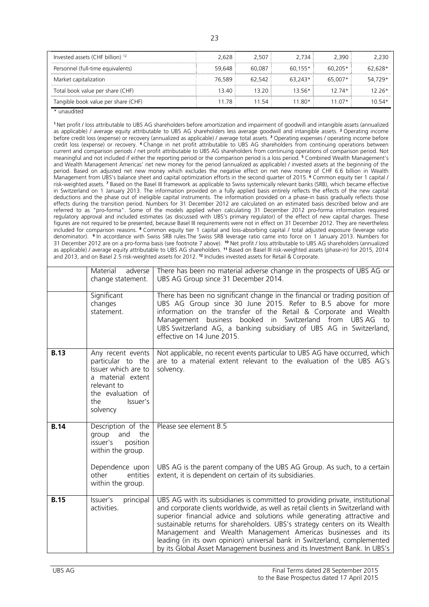| Invested assets (CHF billion) <sup>12</sup> | 2.628  | 2.507  | 2.734    | 2.390    | 2,230    |
|---------------------------------------------|--------|--------|----------|----------|----------|
| Personnel (full-time equivalents)           | 59.648 | 60.087 | 60.155*  | 60.205*  | 62.628*  |
| Market capitalization                       | 76.589 | 62.542 | 63,243*  | 65.007*  | 54.729*  |
| Total book value per share (CHF)            | 13.40  | 13.20  | $13.56*$ | $12.74*$ | $12.26*$ |
| Tangible book value per share (CHF)         | 1178   | 11 54  | 11 80*   | 11 07*   | $10.54*$ |

\* unaudited

**<sup>1</sup>**Net profit / loss attributable to UBS AG shareholders before amortization and impairment of goodwill and intangible assets (annualized as applicable) / average equity attributable to UBS AG shareholders less average goodwill and intangible assets. **<sup>2</sup>** Operating income before credit loss (expense) or recovery (annualized as applicable) / average total assets. **<sup>3</sup>** Operating expenses / operating income before credit loss (expense) or recovery. **<sup>4</sup>** Change in net profit attributable to UBS AG shareholders from continuing operations between current and comparison periods / net profit attributable to UBS AG shareholders from continuing operations of comparison period. Not meaningful and not included if either the reporting period or the comparison period is a loss period. **<sup>5</sup>** Combined Wealth Management's and Wealth Management Americas' net new money for the period (annualized as applicable) / invested assets at the beginning of the period. Based on adjusted net new money which excludes the negative effect on net new money of CHF 6.6 billion in Wealth Management from UBS's balance sheet and capital optimization efforts in the second quarter of 2015. **<sup>6</sup>** Common equity tier 1 capital / risk-weighted assets. **<sup>7</sup>** Based on the Basel III framework as applicable to Swiss systemically relevant banks (SRB), which became effective in Switzerland on 1 January 2013. The information provided on a fully applied basis entirely reflects the effects of the new capital deductions and the phase out of ineligible capital instruments. The information provided on a phase-in basis gradually reflects those effects during the transition period. Numbers for 31 December 2012 are calculated on an estimated basis described below and are referred to as "pro-forma". Some of the models applied when calculating 31 December 2012 pro-forma information required regulatory approval and included estimates (as discussed with UBS's primary regulator) of the effect of new capital charges. These figures are not required to be presented, because Basel III requirements were not in effect on 31 December 2012. They are nevertheless included for comparison reasons. **<sup>8</sup>**Common equity tier 1 capital and loss-absorbing capital / total adjusted exposure (leverage ratio denominator). **<sup>9</sup>**In accordance with Swiss SRB rules.The Swiss SRB leverage ratio came into force on 1 January 2013. Numbers for 31 December 2012 are on a pro-forma basis (see footnote 7 above). **<sup>10</sup>** Net profit / loss attributable to UBS AG shareholders (annualized as applicable) / average equity attributable to UBS AG shareholders. **<sup>11</sup>** Based on Basel III risk-weighted assets (phase-in) for 2015, 2014 and 2013, and on Basel 2.5 risk-weighted assets for 2012. **<sup>12</sup>** Includes invested assets for Retail & Corporate.

|             | Material<br>adverse<br>change statement.                                                                                                              | There has been no material adverse change in the prospects of UBS AG or<br>UBS AG Group since 31 December 2014.                                                                                                                                                                                                                                                                                                                                                                                                                                   |
|-------------|-------------------------------------------------------------------------------------------------------------------------------------------------------|---------------------------------------------------------------------------------------------------------------------------------------------------------------------------------------------------------------------------------------------------------------------------------------------------------------------------------------------------------------------------------------------------------------------------------------------------------------------------------------------------------------------------------------------------|
|             | Significant<br>changes<br>statement.                                                                                                                  | There has been no significant change in the financial or trading position of<br>UBS AG Group since 30 June 2015. Refer to B.5 above for more<br>information on the transfer of the Retail & Corporate and Wealth<br>Management business booked in Switzerland from<br>UBS AG to<br>UBS Switzerland AG, a banking subsidiary of UBS AG in Switzerland,<br>effective on 14 June 2015.                                                                                                                                                               |
| <b>B.13</b> | Any recent events<br>particular to the<br>Issuer which are to<br>a material extent<br>relevant to<br>the evaluation of<br>the<br>Issuer's<br>solvency | Not applicable, no recent events particular to UBS AG have occurred, which<br>are to a material extent relevant to the evaluation of the UBS AG's<br>solvency.                                                                                                                                                                                                                                                                                                                                                                                    |
| <b>B.14</b> | Description of the<br>the<br>and<br>group<br>issuer's<br>position<br>within the group.<br>Dependence upon<br>other<br>entities<br>within the group.   | Please see element B.5<br>UBS AG is the parent company of the UBS AG Group. As such, to a certain<br>extent, it is dependent on certain of its subsidiaries.                                                                                                                                                                                                                                                                                                                                                                                      |
| <b>B.15</b> | Issuer's<br>principal<br>activities.                                                                                                                  | UBS AG with its subsidiaries is committed to providing private, institutional<br>and corporate clients worldwide, as well as retail clients in Switzerland with<br>superior financial advice and solutions while generating attractive and<br>sustainable returns for shareholders. UBS's strategy centers on its Wealth<br>Management and Wealth Management Americas businesses and its<br>leading (in its own opinion) universal bank in Switzerland, complemented<br>by its Global Asset Management business and its Investment Bank. In UBS's |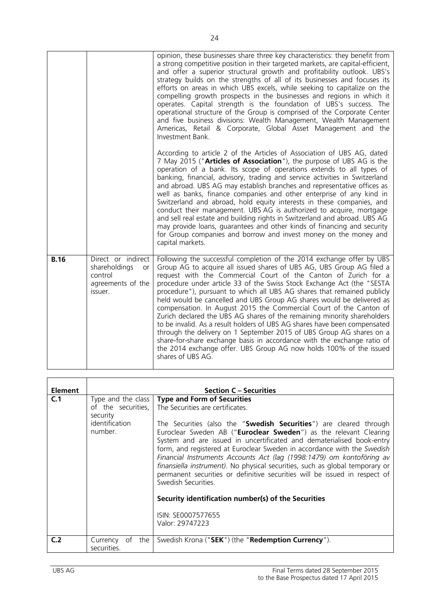|             |                                                                                             | opinion, these businesses share three key characteristics: they benefit from<br>a strong competitive position in their targeted markets, are capital-efficient,<br>and offer a superior structural growth and profitability outlook. UBS's<br>strategy builds on the strengths of all of its businesses and focuses its<br>efforts on areas in which UBS excels, while seeking to capitalize on the<br>compelling growth prospects in the businesses and regions in which it<br>operates. Capital strength is the foundation of UBS's success. The<br>operational structure of the Group is comprised of the Corporate Center<br>and five business divisions: Wealth Management, Wealth Management<br>Americas, Retail & Corporate, Global Asset Management and the<br>Investment Bank.                                                                                                                                      |
|-------------|---------------------------------------------------------------------------------------------|------------------------------------------------------------------------------------------------------------------------------------------------------------------------------------------------------------------------------------------------------------------------------------------------------------------------------------------------------------------------------------------------------------------------------------------------------------------------------------------------------------------------------------------------------------------------------------------------------------------------------------------------------------------------------------------------------------------------------------------------------------------------------------------------------------------------------------------------------------------------------------------------------------------------------|
|             |                                                                                             | According to article 2 of the Articles of Association of UBS AG, dated<br>7 May 2015 ("Articles of Association"), the purpose of UBS AG is the<br>operation of a bank. Its scope of operations extends to all types of<br>banking, financial, advisory, trading and service activities in Switzerland<br>and abroad. UBS AG may establish branches and representative offices as<br>well as banks, finance companies and other enterprise of any kind in<br>Switzerland and abroad, hold equity interests in these companies, and<br>conduct their management. UBS AG is authorized to acquire, mortgage<br>and sell real estate and building rights in Switzerland and abroad. UBS AG<br>may provide loans, guarantees and other kinds of financing and security<br>for Group companies and borrow and invest money on the money and<br>capital markets.                                                                    |
| <b>B.16</b> | Direct or indirect<br>shareholdings<br><b>or</b><br>control<br>agreements of the<br>issuer. | Following the successful completion of the 2014 exchange offer by UBS<br>Group AG to acquire all issued shares of UBS AG, UBS Group AG filed a<br>request with the Commercial Court of the Canton of Zurich for a<br>procedure under article 33 of the Swiss Stock Exchange Act (the "SESTA<br>procedure"), pursuant to which all UBS AG shares that remained publicly<br>held would be cancelled and UBS Group AG shares would be delivered as<br>compensation. In August 2015 the Commercial Court of the Canton of<br>Zurich declared the UBS AG shares of the remaining minority shareholders<br>to be invalid. As a result holders of UBS AG shares have been compensated<br>through the delivery on 1 September 2015 of UBS Group AG shares on a<br>share-for-share exchange basis in accordance with the exchange ratio of<br>the 2014 exchange offer. UBS Group AG now holds 100% of the issued<br>shares of UBS AG. |

| Element        |                                                                                   | <b>Section C – Securities</b>                                                                                                                                                                                                                                                                                                                                                                                                                                                                                                                                                                                                                                                                                                               |
|----------------|-----------------------------------------------------------------------------------|---------------------------------------------------------------------------------------------------------------------------------------------------------------------------------------------------------------------------------------------------------------------------------------------------------------------------------------------------------------------------------------------------------------------------------------------------------------------------------------------------------------------------------------------------------------------------------------------------------------------------------------------------------------------------------------------------------------------------------------------|
| C.1            | Type and the class<br>of the securities,<br>security<br>identification<br>number. | <b>Type and Form of Securities</b><br>The Securities are certificates.<br>The Securities (also the "Swedish Securities") are cleared through<br>Euroclear Sweden AB (" <b>Euroclear Sweden</b> ") as the relevant Clearing<br>System and are issued in uncertificated and dematerialised book-entry<br>form, and registered at Euroclear Sweden in accordance with the Swedish<br>Financial Instruments Accounts Act (lag (1998:1479) om kontoföring av<br>finansiella instrument). No physical securities, such as global temporary or<br>permanent securities or definitive securities will be issued in respect of<br>Swedish Securities<br>Security identification number(s) of the Securities<br>ISIN: SE0007577655<br>Valor: 29747223 |
| C <sub>2</sub> | of<br>Currency<br>the<br>securities.                                              | Swedish Krona ("SEK") (the "Redemption Currency").                                                                                                                                                                                                                                                                                                                                                                                                                                                                                                                                                                                                                                                                                          |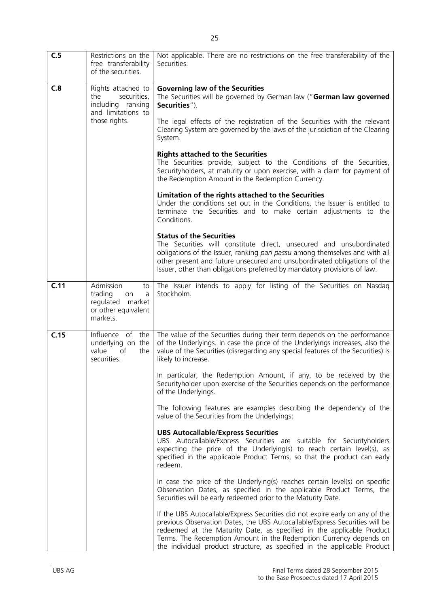| C.5  | Restrictions on the<br>free transferability<br>of the securities.                                    | Not applicable. There are no restrictions on the free transferability of the<br>Securities.                                                                                                                                                                                                                                                                                                                                                                                                                                                                                                                                                                                                                                                                                                                                                                                                                                                                                                                                                                                                                                                                                                                                                                                                                                                                                                                                                                                       |
|------|------------------------------------------------------------------------------------------------------|-----------------------------------------------------------------------------------------------------------------------------------------------------------------------------------------------------------------------------------------------------------------------------------------------------------------------------------------------------------------------------------------------------------------------------------------------------------------------------------------------------------------------------------------------------------------------------------------------------------------------------------------------------------------------------------------------------------------------------------------------------------------------------------------------------------------------------------------------------------------------------------------------------------------------------------------------------------------------------------------------------------------------------------------------------------------------------------------------------------------------------------------------------------------------------------------------------------------------------------------------------------------------------------------------------------------------------------------------------------------------------------------------------------------------------------------------------------------------------------|
| C.8  | Rights attached to<br>the<br>securities,<br>including ranking<br>and limitations to<br>those rights. | <b>Governing law of the Securities</b><br>The Securities will be governed by German law ("German law governed<br>Securities").<br>The legal effects of the registration of the Securities with the relevant<br>Clearing System are governed by the laws of the jurisdiction of the Clearing<br>System.<br><b>Rights attached to the Securities</b><br>The Securities provide, subject to the Conditions of the Securities,<br>Securityholders, at maturity or upon exercise, with a claim for payment of<br>the Redemption Amount in the Redemption Currency.<br>Limitation of the rights attached to the Securities<br>Under the conditions set out in the Conditions, the Issuer is entitled to<br>terminate the Securities and to make certain adjustments to the<br>Conditions.<br><b>Status of the Securities</b><br>The Securities will constitute direct, unsecured and unsubordinated<br>obligations of the Issuer, ranking pari passu among themselves and with all<br>other present and future unsecured and unsubordinated obligations of the<br>Issuer, other than obligations preferred by mandatory provisions of law.                                                                                                                                                                                                                                                                                                                                              |
| C.11 | Admission<br>to<br>trading<br>a<br>on<br>regulated market<br>or other equivalent<br>markets.         | The Issuer intends to apply for listing of the Securities on Nasdaq<br>Stockholm.                                                                                                                                                                                                                                                                                                                                                                                                                                                                                                                                                                                                                                                                                                                                                                                                                                                                                                                                                                                                                                                                                                                                                                                                                                                                                                                                                                                                 |
| C.15 | Influence of the<br>underlying on the<br>of<br>value<br>the<br>securities.                           | The value of the Securities during their term depends on the performance<br>of the Underlyings. In case the price of the Underlyings increases, also the<br>value of the Securities (disregarding any special features of the Securities) is<br>likely to increase.<br>In particular, the Redemption Amount, if any, to be received by the<br>Securityholder upon exercise of the Securities depends on the performance<br>of the Underlyings.<br>The following features are examples describing the dependency of the<br>value of the Securities from the Underlyings:<br><b>UBS Autocallable/Express Securities</b><br>UBS Autocallable/Express Securities are suitable for Securityholders<br>expecting the price of the Underlying(s) to reach certain level(s), as<br>specified in the applicable Product Terms, so that the product can early<br>redeem.<br>In case the price of the Underlying(s) reaches certain level(s) on specific<br>Observation Dates, as specified in the applicable Product Terms, the<br>Securities will be early redeemed prior to the Maturity Date.<br>If the UBS Autocallable/Express Securities did not expire early on any of the<br>previous Observation Dates, the UBS Autocallable/Express Securities will be<br>redeemed at the Maturity Date, as specified in the applicable Product<br>Terms. The Redemption Amount in the Redemption Currency depends on<br>the individual product structure, as specified in the applicable Product |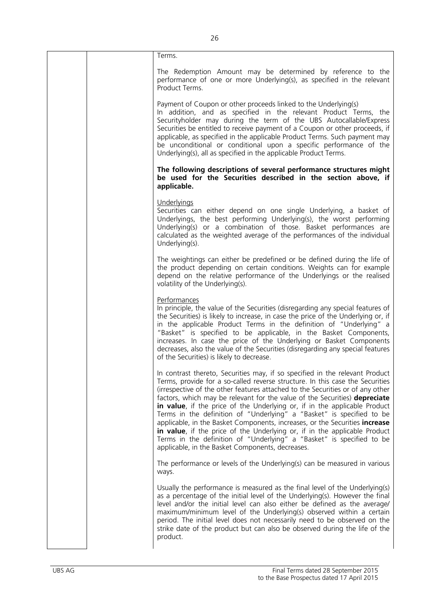| Terms.                                                                                                                                                                                                                                                                                                                                                                                                                                                                                                                                                                                                                                                                                                                                                                       |
|------------------------------------------------------------------------------------------------------------------------------------------------------------------------------------------------------------------------------------------------------------------------------------------------------------------------------------------------------------------------------------------------------------------------------------------------------------------------------------------------------------------------------------------------------------------------------------------------------------------------------------------------------------------------------------------------------------------------------------------------------------------------------|
| The Redemption Amount may be determined by reference to the<br>performance of one or more Underlying(s), as specified in the relevant<br>Product Terms.                                                                                                                                                                                                                                                                                                                                                                                                                                                                                                                                                                                                                      |
| Payment of Coupon or other proceeds linked to the Underlying(s)<br>In addition, and as specified in the relevant Product Terms, the<br>Securityholder may during the term of the UBS Autocallable/Express<br>Securities be entitled to receive payment of a Coupon or other proceeds, if<br>applicable, as specified in the applicable Product Terms. Such payment may<br>be unconditional or conditional upon a specific performance of the<br>Underlying(s), all as specified in the applicable Product Terms.                                                                                                                                                                                                                                                             |
| The following descriptions of several performance structures might<br>be used for the Securities described in the section above, if<br>applicable.                                                                                                                                                                                                                                                                                                                                                                                                                                                                                                                                                                                                                           |
| Underlyings<br>Securities can either depend on one single Underlying, a basket of<br>Underlyings, the best performing Underlying(s), the worst performing<br>Underlying(s) or a combination of those. Basket performances are<br>calculated as the weighted average of the performances of the individual<br>Underlying(s).                                                                                                                                                                                                                                                                                                                                                                                                                                                  |
| The weightings can either be predefined or be defined during the life of<br>the product depending on certain conditions. Weights can for example<br>depend on the relative performance of the Underlyings or the realised<br>volatility of the Underlying(s).                                                                                                                                                                                                                                                                                                                                                                                                                                                                                                                |
| Performances<br>In principle, the value of the Securities (disregarding any special features of<br>the Securities) is likely to increase, in case the price of the Underlying or, if<br>in the applicable Product Terms in the definition of "Underlying" a<br>"Basket" is specified to be applicable, in the Basket Components,<br>increases. In case the price of the Underlying or Basket Components<br>decreases, also the value of the Securities (disregarding any special features<br>of the Securities) is likely to decrease.                                                                                                                                                                                                                                       |
| In contrast thereto, Securities may, if so specified in the relevant Product<br>Terms, provide for a so-called reverse structure. In this case the Securities<br>(irrespective of the other features attached to the Securities or of any other<br>factors, which may be relevant for the value of the Securities) depreciate<br>in value, if the price of the Underlying or, if in the applicable Product<br>Terms in the definition of "Underlying" a "Basket" is specified to be<br>applicable, in the Basket Components, increases, or the Securities increase<br>in value, if the price of the Underlying or, if in the applicable Product<br>Terms in the definition of "Underlying" a "Basket" is specified to be<br>applicable, in the Basket Components, decreases. |
| The performance or levels of the Underlying(s) can be measured in various<br>ways.                                                                                                                                                                                                                                                                                                                                                                                                                                                                                                                                                                                                                                                                                           |
| Usually the performance is measured as the final level of the Underlying(s)<br>as a percentage of the initial level of the Underlying(s). However the final<br>level and/or the initial level can also either be defined as the average/<br>maximum/minimum level of the Underlying(s) observed within a certain<br>period. The initial level does not necessarily need to be observed on the<br>strike date of the product but can also be observed during the life of the<br>product.                                                                                                                                                                                                                                                                                      |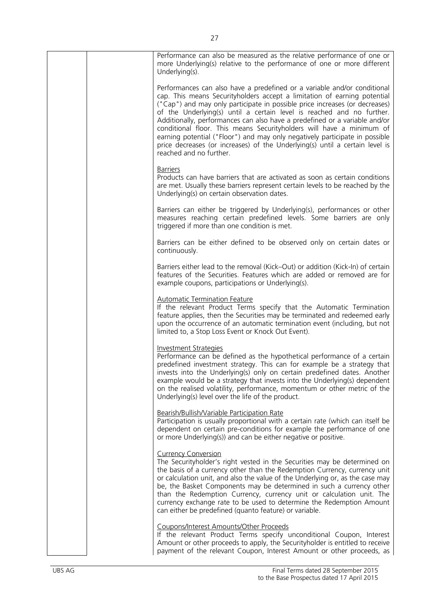| Performance can also be measured as the relative performance of one or<br>more Underlying(s) relative to the performance of one or more different<br>Underlying(s).                                                                                                                                                                                                                                                                                                                                                                                                                                                                                          |
|--------------------------------------------------------------------------------------------------------------------------------------------------------------------------------------------------------------------------------------------------------------------------------------------------------------------------------------------------------------------------------------------------------------------------------------------------------------------------------------------------------------------------------------------------------------------------------------------------------------------------------------------------------------|
| Performances can also have a predefined or a variable and/or conditional<br>cap. This means Securityholders accept a limitation of earning potential<br>("Cap") and may only participate in possible price increases (or decreases)<br>of the Underlying(s) until a certain level is reached and no further.<br>Additionally, performances can also have a predefined or a variable and/or<br>conditional floor. This means Securityholders will have a minimum of<br>earning potential ("Floor") and may only negatively participate in possible<br>price decreases (or increases) of the Underlying(s) until a certain level is<br>reached and no further. |
| <b>Barriers</b><br>Products can have barriers that are activated as soon as certain conditions<br>are met. Usually these barriers represent certain levels to be reached by the<br>Underlying(s) on certain observation dates.                                                                                                                                                                                                                                                                                                                                                                                                                               |
| Barriers can either be triggered by Underlying(s), performances or other<br>measures reaching certain predefined levels. Some barriers are only<br>triggered if more than one condition is met.                                                                                                                                                                                                                                                                                                                                                                                                                                                              |
| Barriers can be either defined to be observed only on certain dates or<br>continuously.                                                                                                                                                                                                                                                                                                                                                                                                                                                                                                                                                                      |
| Barriers either lead to the removal (Kick–Out) or addition (Kick-In) of certain<br>features of the Securities. Features which are added or removed are for<br>example coupons, participations or Underlying(s).                                                                                                                                                                                                                                                                                                                                                                                                                                              |
| <b>Automatic Termination Feature</b><br>If the relevant Product Terms specify that the Automatic Termination<br>feature applies, then the Securities may be terminated and redeemed early<br>upon the occurrence of an automatic termination event (including, but not<br>limited to, a Stop Loss Event or Knock Out Event).                                                                                                                                                                                                                                                                                                                                 |
| <b>Investment Strategies</b><br>Performance can be defined as the hypothetical performance of a certain<br>predefined investment strategy. This can for example be a strategy that<br>invests into the Underlying(s) only on certain predefined dates. Another<br>example would be a strategy that invests into the Underlying(s) dependent<br>on the realised volatility, performance, momentum or other metric of the<br>Underlying(s) level over the life of the product.                                                                                                                                                                                 |
| Bearish/Bullish/Variable Participation Rate<br>Participation is usually proportional with a certain rate (which can itself be<br>dependent on certain pre-conditions for example the performance of one<br>or more Underlying(s)) and can be either negative or positive.                                                                                                                                                                                                                                                                                                                                                                                    |
| <b>Currency Conversion</b><br>The Securityholder's right vested in the Securities may be determined on<br>the basis of a currency other than the Redemption Currency, currency unit<br>or calculation unit, and also the value of the Underlying or, as the case may<br>be, the Basket Components may be determined in such a currency other<br>than the Redemption Currency, currency unit or calculation unit. The<br>currency exchange rate to be used to determine the Redemption Amount<br>can either be predefined (quanto feature) or variable.                                                                                                       |
| Coupons/Interest Amounts/Other Proceeds<br>If the relevant Product Terms specify unconditional Coupon, Interest<br>Amount or other proceeds to apply, the Securityholder is entitled to receive<br>payment of the relevant Coupon, Interest Amount or other proceeds, as                                                                                                                                                                                                                                                                                                                                                                                     |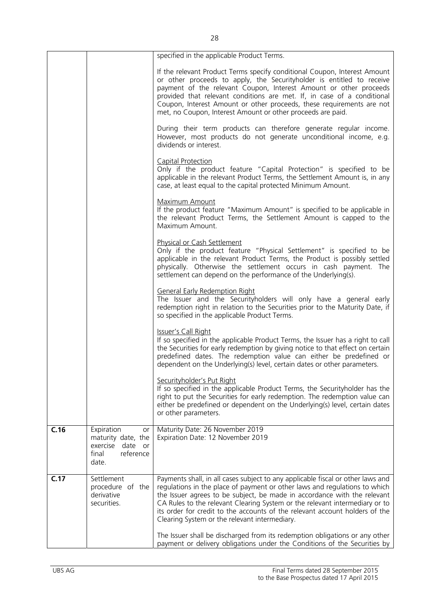|      |                                                                                                 | specified in the applicable Product Terms.                                                                                                                                                                                                                                                                                                                                                                                                               |
|------|-------------------------------------------------------------------------------------------------|----------------------------------------------------------------------------------------------------------------------------------------------------------------------------------------------------------------------------------------------------------------------------------------------------------------------------------------------------------------------------------------------------------------------------------------------------------|
|      |                                                                                                 | If the relevant Product Terms specify conditional Coupon, Interest Amount<br>or other proceeds to apply, the Securityholder is entitled to receive<br>payment of the relevant Coupon, Interest Amount or other proceeds<br>provided that relevant conditions are met. If, in case of a conditional<br>Coupon, Interest Amount or other proceeds, these requirements are not<br>met, no Coupon, Interest Amount or other proceeds are paid.               |
|      |                                                                                                 | During their term products can therefore generate regular income.<br>However, most products do not generate unconditional income, e.g.<br>dividends or interest.                                                                                                                                                                                                                                                                                         |
|      |                                                                                                 | Capital Protection<br>Only if the product feature "Capital Protection" is specified to be<br>applicable in the relevant Product Terms, the Settlement Amount is, in any<br>case, at least equal to the capital protected Minimum Amount.                                                                                                                                                                                                                 |
|      |                                                                                                 | Maximum Amount<br>If the product feature "Maximum Amount" is specified to be applicable in<br>the relevant Product Terms, the Settlement Amount is capped to the<br>Maximum Amount.                                                                                                                                                                                                                                                                      |
|      |                                                                                                 | <b>Physical or Cash Settlement</b><br>Only if the product feature "Physical Settlement" is specified to be<br>applicable in the relevant Product Terms, the Product is possibly settled<br>physically. Otherwise the settlement occurs in cash payment. The<br>settlement can depend on the performance of the Underlying(s).                                                                                                                            |
|      |                                                                                                 | <b>General Early Redemption Right</b><br>The Issuer and the Securityholders will only have a general early<br>redemption right in relation to the Securities prior to the Maturity Date, if<br>so specified in the applicable Product Terms.                                                                                                                                                                                                             |
|      |                                                                                                 | <b>Issuer's Call Right</b><br>If so specified in the applicable Product Terms, the Issuer has a right to call<br>the Securities for early redemption by giving notice to that effect on certain<br>predefined dates. The redemption value can either be predefined or<br>dependent on the Underlying(s) level, certain dates or other parameters.                                                                                                        |
|      |                                                                                                 | Securityholder's Put Right<br>If so specified in the applicable Product Terms, the Securityholder has the<br>right to put the Securities for early redemption. The redemption value can<br>either be predefined or dependent on the Underlying(s) level, certain dates<br>or other parameters.                                                                                                                                                           |
| C.16 | Expiration<br>or<br>maturity date, the<br>date<br>exercise<br>or<br>final<br>reference<br>date. | Maturity Date: 26 November 2019<br>Expiration Date: 12 November 2019                                                                                                                                                                                                                                                                                                                                                                                     |
| C.17 | Settlement<br>procedure of the<br>derivative<br>securities.                                     | Payments shall, in all cases subject to any applicable fiscal or other laws and<br>regulations in the place of payment or other laws and regulations to which<br>the Issuer agrees to be subject, be made in accordance with the relevant<br>CA Rules to the relevant Clearing System or the relevant intermediary or to<br>its order for credit to the accounts of the relevant account holders of the<br>Clearing System or the relevant intermediary. |
|      |                                                                                                 | The Issuer shall be discharged from its redemption obligations or any other<br>payment or delivery obligations under the Conditions of the Securities by                                                                                                                                                                                                                                                                                                 |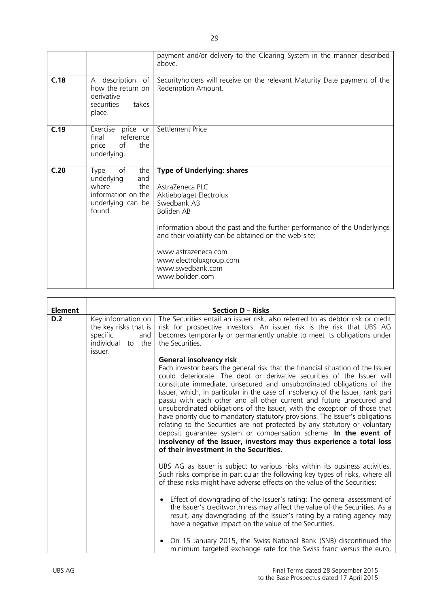|      |                                                                                                             | payment and/or delivery to the Clearing System in the manner described<br>above                                                                                                                                                                                                                                                             |
|------|-------------------------------------------------------------------------------------------------------------|---------------------------------------------------------------------------------------------------------------------------------------------------------------------------------------------------------------------------------------------------------------------------------------------------------------------------------------------|
| C.18 | A description of<br>how the return on<br>derivative<br>takes<br>securities<br>place.                        | Securityholders will receive on the relevant Maturity Date payment of the<br>Redemption Amount.                                                                                                                                                                                                                                             |
| C.19 | Exercise price or<br>reference<br>final<br>of<br>the<br>price<br>underlying.                                | Settlement Price                                                                                                                                                                                                                                                                                                                            |
| C.20 | of<br>the<br>Type<br>underlying<br>and<br>where<br>the<br>information on the<br>underlying can be<br>found. | <b>Type of Underlying: shares</b><br>Astra7eneca PLC<br>Aktiebolaget Electrolux<br>Swedbank AB<br>Boliden AB<br>Information about the past and the further performance of the Underlyings<br>and their volatility can be obtained on the web-site:<br>www.astrazeneca.com<br>www.electroluxgroup.com<br>www.swedbank.com<br>www.boliden.com |

| <b>Element</b> |                                                                                                | <b>Section D - Risks</b>                                                                                                                                                                                                                                                                                                                                                                                                                                                                                                                                                                                                                                                                                                                                                                                                          |  |  |
|----------------|------------------------------------------------------------------------------------------------|-----------------------------------------------------------------------------------------------------------------------------------------------------------------------------------------------------------------------------------------------------------------------------------------------------------------------------------------------------------------------------------------------------------------------------------------------------------------------------------------------------------------------------------------------------------------------------------------------------------------------------------------------------------------------------------------------------------------------------------------------------------------------------------------------------------------------------------|--|--|
| D.2            | Key information on<br>the key risks that is<br>specific<br>and<br>individual to the<br>issuer. | The Securities entail an issuer risk, also referred to as debtor risk or credit<br>risk for prospective investors. An issuer risk is the risk that UBS AG<br>becomes temporarily or permanently unable to meet its obligations under<br>the Securities.                                                                                                                                                                                                                                                                                                                                                                                                                                                                                                                                                                           |  |  |
|                |                                                                                                | <b>General insolvency risk</b>                                                                                                                                                                                                                                                                                                                                                                                                                                                                                                                                                                                                                                                                                                                                                                                                    |  |  |
|                |                                                                                                | Each investor bears the general risk that the financial situation of the Issuer<br>could deteriorate. The debt or derivative securities of the Issuer will<br>constitute immediate, unsecured and unsubordinated obligations of the<br>Issuer, which, in particular in the case of insolvency of the Issuer, rank pari<br>passu with each other and all other current and future unsecured and<br>unsubordinated obligations of the Issuer, with the exception of those that<br>have priority due to mandatory statutory provisions. The Issuer's obligations<br>relating to the Securities are not protected by any statutory or voluntary<br>deposit guarantee system or compensation scheme. In the event of<br>insolvency of the Issuer, investors may thus experience a total loss<br>of their investment in the Securities. |  |  |
|                |                                                                                                | UBS AG as Issuer is subject to various risks within its business activities.<br>Such risks comprise in particular the following key types of risks, where all<br>of these risks might have adverse effects on the value of the Securities:                                                                                                                                                                                                                                                                                                                                                                                                                                                                                                                                                                                        |  |  |
|                |                                                                                                | Effect of downgrading of the Issuer's rating: The general assessment of<br>$\bullet$<br>the Issuer's creditworthiness may affect the value of the Securities. As a<br>result, any downgrading of the Issuer's rating by a rating agency may<br>have a negative impact on the value of the Securities.                                                                                                                                                                                                                                                                                                                                                                                                                                                                                                                             |  |  |
|                |                                                                                                | On 15 January 2015, the Swiss National Bank (SNB) discontinued the<br>$\bullet$<br>minimum targeted exchange rate for the Swiss franc versus the euro,                                                                                                                                                                                                                                                                                                                                                                                                                                                                                                                                                                                                                                                                            |  |  |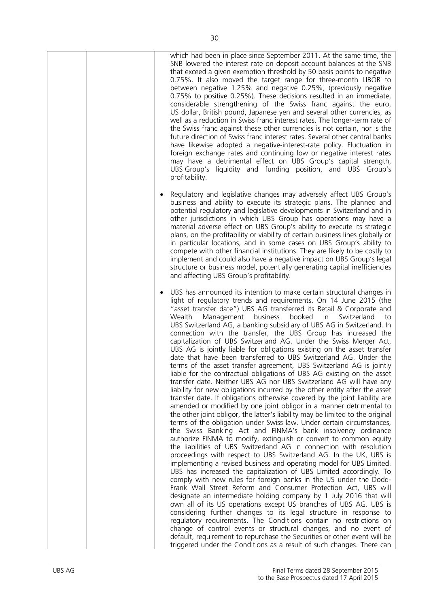| which had been in place since September 2011. At the same time, the<br>SNB lowered the interest rate on deposit account balances at the SNB<br>that exceed a given exemption threshold by 50 basis points to negative<br>0.75%. It also moved the target range for three-month LIBOR to<br>between negative 1.25% and negative 0.25%, (previously negative<br>0.75% to positive 0.25%). These decisions resulted in an immediate,<br>considerable strengthening of the Swiss franc against the euro,<br>US dollar, British pound, Japanese yen and several other currencies, as<br>well as a reduction in Swiss franc interest rates. The longer-term rate of<br>the Swiss franc against these other currencies is not certain, nor is the<br>future direction of Swiss franc interest rates. Several other central banks<br>have likewise adopted a negative-interest-rate policy. Fluctuation in<br>foreign exchange rates and continuing low or negative interest rates<br>may have a detrimental effect on UBS Group's capital strength,<br>UBS Group's liquidity and funding position, and UBS Group's<br>profitability.                                                                                                                                                                                                                                                                                                                                                                                                                                                                                                                                                                                                                                                                                                                                                                                                                                                                                                                                                                                                                                                                                                                                                                            |
|----------------------------------------------------------------------------------------------------------------------------------------------------------------------------------------------------------------------------------------------------------------------------------------------------------------------------------------------------------------------------------------------------------------------------------------------------------------------------------------------------------------------------------------------------------------------------------------------------------------------------------------------------------------------------------------------------------------------------------------------------------------------------------------------------------------------------------------------------------------------------------------------------------------------------------------------------------------------------------------------------------------------------------------------------------------------------------------------------------------------------------------------------------------------------------------------------------------------------------------------------------------------------------------------------------------------------------------------------------------------------------------------------------------------------------------------------------------------------------------------------------------------------------------------------------------------------------------------------------------------------------------------------------------------------------------------------------------------------------------------------------------------------------------------------------------------------------------------------------------------------------------------------------------------------------------------------------------------------------------------------------------------------------------------------------------------------------------------------------------------------------------------------------------------------------------------------------------------------------------------------------------------------------------------------------|
| Regulatory and legislative changes may adversely affect UBS Group's<br>business and ability to execute its strategic plans. The planned and<br>potential regulatory and legislative developments in Switzerland and in<br>other jurisdictions in which UBS Group has operations may have a<br>material adverse effect on UBS Group's ability to execute its strategic<br>plans, on the profitability or viability of certain business lines globally or<br>in particular locations, and in some cases on UBS Group's ability to<br>compete with other financial institutions. They are likely to be costly to<br>implement and could also have a negative impact on UBS Group's legal<br>structure or business model, potentially generating capital inefficiencies<br>and affecting UBS Group's profitability.                                                                                                                                                                                                                                                                                                                                                                                                                                                                                                                                                                                                                                                                                                                                                                                                                                                                                                                                                                                                                                                                                                                                                                                                                                                                                                                                                                                                                                                                                          |
| UBS has announced its intention to make certain structural changes in<br>$\bullet$<br>light of regulatory trends and requirements. On 14 June 2015 (the<br>"asset transfer date") UBS AG transferred its Retail & Corporate and<br>Management<br>Wealth<br>business<br>booked<br>in.<br>Switzerland<br>to<br>UBS Switzerland AG, a banking subsidiary of UBS AG in Switzerland. In<br>connection with the transfer, the UBS Group has increased the<br>capitalization of UBS Switzerland AG. Under the Swiss Merger Act,<br>UBS AG is jointly liable for obligations existing on the asset transfer<br>date that have been transferred to UBS Switzerland AG. Under the<br>terms of the asset transfer agreement, UBS Switzerland AG is jointly<br>liable for the contractual obligations of UBS AG existing on the asset<br>transfer date. Neither UBS AG nor UBS Switzerland AG will have any<br>liability for new obligations incurred by the other entity after the asset<br>transfer date. If obligations otherwise covered by the joint liability are<br>amended or modified by one joint obligor in a manner detrimental to<br>the other joint obligor, the latter's liability may be limited to the original<br>terms of the obligation under Swiss law. Under certain circumstances,<br>the Swiss Banking Act and FINMA's bank insolvency ordinance<br>authorize FINMA to modify, extinguish or convert to common equity<br>the liabilities of UBS Switzerland AG in connection with resolution<br>proceedings with respect to UBS Switzerland AG. In the UK, UBS is<br>implementing a revised business and operating model for UBS Limited.<br>UBS has increased the capitalization of UBS Limited accordingly. To<br>comply with new rules for foreign banks in the US under the Dodd-<br>Frank Wall Street Reform and Consumer Protection Act, UBS will<br>designate an intermediate holding company by 1 July 2016 that will<br>own all of its US operations except US branches of UBS AG. UBS is<br>considering further changes to its legal structure in response to<br>regulatory requirements. The Conditions contain no restrictions on<br>change of control events or structural changes, and no event of<br>default, requirement to repurchase the Securities or other event will be |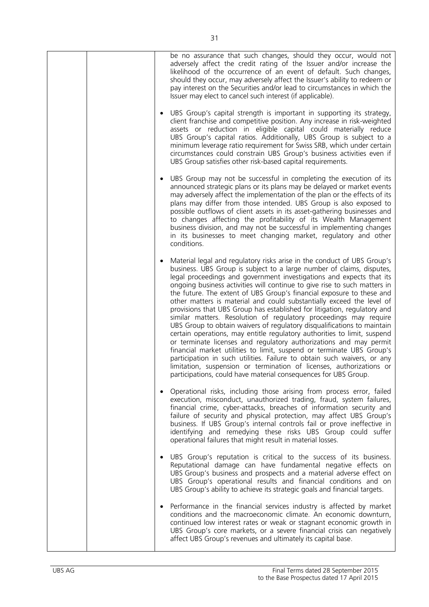|  | be no assurance that such changes, should they occur, would not<br>adversely affect the credit rating of the Issuer and/or increase the<br>likelihood of the occurrence of an event of default. Such changes,<br>should they occur, may adversely affect the Issuer's ability to redeem or<br>pay interest on the Securities and/or lead to circumstances in which the<br>Issuer may elect to cancel such interest (if applicable).                                                                                                                                                                                                                                                                                                                                                                                                                                                                                                                                                                                                                                                                                                  |
|--|--------------------------------------------------------------------------------------------------------------------------------------------------------------------------------------------------------------------------------------------------------------------------------------------------------------------------------------------------------------------------------------------------------------------------------------------------------------------------------------------------------------------------------------------------------------------------------------------------------------------------------------------------------------------------------------------------------------------------------------------------------------------------------------------------------------------------------------------------------------------------------------------------------------------------------------------------------------------------------------------------------------------------------------------------------------------------------------------------------------------------------------|
|  | UBS Group's capital strength is important in supporting its strategy,<br>client franchise and competitive position. Any increase in risk-weighted<br>assets or reduction in eligible capital could materially reduce<br>UBS Group's capital ratios. Additionally, UBS Group is subject to a<br>minimum leverage ratio requirement for Swiss SRB, which under certain<br>circumstances could constrain UBS Group's business activities even if<br>UBS Group satisfies other risk-based capital requirements.                                                                                                                                                                                                                                                                                                                                                                                                                                                                                                                                                                                                                          |
|  | UBS Group may not be successful in completing the execution of its<br>announced strategic plans or its plans may be delayed or market events<br>may adversely affect the implementation of the plan or the effects of its<br>plans may differ from those intended. UBS Group is also exposed to<br>possible outflows of client assets in its asset-gathering businesses and<br>to changes affecting the profitability of its Wealth Management<br>business division, and may not be successful in implementing changes<br>in its businesses to meet changing market, regulatory and other<br>conditions.                                                                                                                                                                                                                                                                                                                                                                                                                                                                                                                             |
|  | Material legal and regulatory risks arise in the conduct of UBS Group's<br>business. UBS Group is subject to a large number of claims, disputes,<br>legal proceedings and government investigations and expects that its<br>ongoing business activities will continue to give rise to such matters in<br>the future. The extent of UBS Group's financial exposure to these and<br>other matters is material and could substantially exceed the level of<br>provisions that UBS Group has established for litigation, regulatory and<br>similar matters. Resolution of regulatory proceedings may require<br>UBS Group to obtain waivers of regulatory disqualifications to maintain<br>certain operations, may entitle regulatory authorities to limit, suspend<br>or terminate licenses and regulatory authorizations and may permit<br>financial market utilities to limit, suspend or terminate UBS Group's<br>participation in such utilities. Failure to obtain such waivers, or any<br>limitation, suspension or termination of licenses, authorizations or<br>participations, could have material consequences for UBS Group. |
|  | Operational risks, including those arising from process error, failed<br>execution, misconduct, unauthorized trading, fraud, system failures,<br>financial crime, cyber-attacks, breaches of information security and<br>failure of security and physical protection, may affect UBS Group's<br>business. If UBS Group's internal controls fail or prove ineffective in<br>identifying and remedying these risks UBS Group could suffer<br>operational failures that might result in material losses.                                                                                                                                                                                                                                                                                                                                                                                                                                                                                                                                                                                                                                |
|  | UBS Group's reputation is critical to the success of its business.<br>Reputational damage can have fundamental negative effects on<br>UBS Group's business and prospects and a material adverse effect on<br>UBS Group's operational results and financial conditions and on<br>UBS Group's ability to achieve its strategic goals and financial targets.                                                                                                                                                                                                                                                                                                                                                                                                                                                                                                                                                                                                                                                                                                                                                                            |
|  | Performance in the financial services industry is affected by market<br>conditions and the macroeconomic climate. An economic downturn,<br>continued low interest rates or weak or stagnant economic growth in<br>UBS Group's core markets, or a severe financial crisis can negatively<br>affect UBS Group's revenues and ultimately its capital base.                                                                                                                                                                                                                                                                                                                                                                                                                                                                                                                                                                                                                                                                                                                                                                              |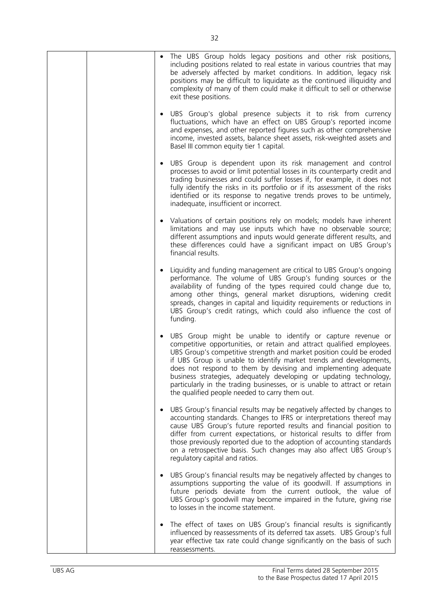| The UBS Group holds legacy positions and other risk positions,<br>including positions related to real estate in various countries that may<br>be adversely affected by market conditions. In addition, legacy risk<br>positions may be difficult to liquidate as the continued illiquidity and<br>complexity of many of them could make it difficult to sell or otherwise<br>exit these positions.                                                                                                                                                                     |
|------------------------------------------------------------------------------------------------------------------------------------------------------------------------------------------------------------------------------------------------------------------------------------------------------------------------------------------------------------------------------------------------------------------------------------------------------------------------------------------------------------------------------------------------------------------------|
| UBS Group's global presence subjects it to risk from currency<br>fluctuations, which have an effect on UBS Group's reported income<br>and expenses, and other reported figures such as other comprehensive<br>income, invested assets, balance sheet assets, risk-weighted assets and<br>Basel III common equity tier 1 capital.                                                                                                                                                                                                                                       |
| UBS Group is dependent upon its risk management and control<br>$\bullet$<br>processes to avoid or limit potential losses in its counterparty credit and<br>trading businesses and could suffer losses if, for example, it does not<br>fully identify the risks in its portfolio or if its assessment of the risks<br>identified or its response to negative trends proves to be untimely,<br>inadequate, insufficient or incorrect.                                                                                                                                    |
| • Valuations of certain positions rely on models; models have inherent<br>limitations and may use inputs which have no observable source;<br>different assumptions and inputs would generate different results, and<br>these differences could have a significant impact on UBS Group's<br>financial results.                                                                                                                                                                                                                                                          |
| Liquidity and funding management are critical to UBS Group's ongoing<br>performance. The volume of UBS Group's funding sources or the<br>availability of funding of the types required could change due to,<br>among other things, general market disruptions, widening credit<br>spreads, changes in capital and liquidity requirements or reductions in<br>UBS Group's credit ratings, which could also influence the cost of<br>funding.                                                                                                                            |
| UBS Group might be unable to identify or capture revenue or<br>$\bullet$<br>competitive opportunities, or retain and attract qualified employees.<br>UBS Group's competitive strength and market position could be eroded<br>if UBS Group is unable to identify market trends and developments,<br>does not respond to them by devising and implementing adequate<br>business strategies, adequately developing or updating technology,<br>particularly in the trading businesses, or is unable to attract or retain<br>the qualified people needed to carry them out. |
| UBS Group's financial results may be negatively affected by changes to<br>$\bullet$<br>accounting standards. Changes to IFRS or interpretations thereof may<br>cause UBS Group's future reported results and financial position to<br>differ from current expectations, or historical results to differ from<br>those previously reported due to the adoption of accounting standards<br>on a retrospective basis. Such changes may also affect UBS Group's<br>regulatory capital and ratios.                                                                          |
| UBS Group's financial results may be negatively affected by changes to<br>assumptions supporting the value of its goodwill. If assumptions in<br>future periods deviate from the current outlook, the value of<br>UBS Group's goodwill may become impaired in the future, giving rise<br>to losses in the income statement.                                                                                                                                                                                                                                            |
| The effect of taxes on UBS Group's financial results is significantly<br>$\bullet$<br>influenced by reassessments of its deferred tax assets. UBS Group's full<br>year effective tax rate could change significantly on the basis of such<br>reassessments.                                                                                                                                                                                                                                                                                                            |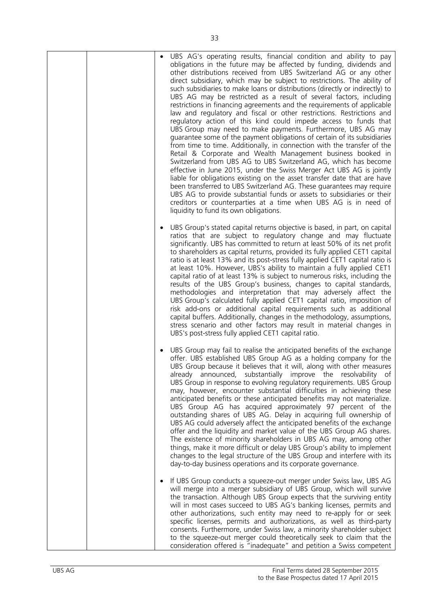|  | UBS AG's operating results, financial condition and ability to pay<br>obligations in the future may be affected by funding, dividends and<br>other distributions received from UBS Switzerland AG or any other<br>direct subsidiary, which may be subject to restrictions. The ability of<br>such subsidiaries to make loans or distributions (directly or indirectly) to<br>UBS AG may be restricted as a result of several factors, including<br>restrictions in financing agreements and the requirements of applicable<br>law and regulatory and fiscal or other restrictions. Restrictions and<br>regulatory action of this kind could impede access to funds that<br>UBS Group may need to make payments. Furthermore, UBS AG may<br>guarantee some of the payment obligations of certain of its subsidiaries<br>from time to time. Additionally, in connection with the transfer of the<br>Retail & Corporate and Wealth Management business booked in<br>Switzerland from UBS AG to UBS Switzerland AG, which has become<br>effective in June 2015, under the Swiss Merger Act UBS AG is jointly<br>liable for obligations existing on the asset transfer date that are have<br>been transferred to UBS Switzerland AG. These guarantees may require<br>UBS AG to provide substantial funds or assets to subsidiaries or their<br>creditors or counterparties at a time when UBS AG is in need of<br>liquidity to fund its own obligations.<br>UBS Group's stated capital returns objective is based, in part, on capital<br>ratios that are subject to regulatory change and may fluctuate<br>significantly. UBS has committed to return at least 50% of its net profit<br>to shareholders as capital returns, provided its fully applied CET1 capital<br>ratio is at least 13% and its post-stress fully applied CET1 capital ratio is<br>at least 10%. However, UBS's ability to maintain a fully applied CET1 |
|--|---------------------------------------------------------------------------------------------------------------------------------------------------------------------------------------------------------------------------------------------------------------------------------------------------------------------------------------------------------------------------------------------------------------------------------------------------------------------------------------------------------------------------------------------------------------------------------------------------------------------------------------------------------------------------------------------------------------------------------------------------------------------------------------------------------------------------------------------------------------------------------------------------------------------------------------------------------------------------------------------------------------------------------------------------------------------------------------------------------------------------------------------------------------------------------------------------------------------------------------------------------------------------------------------------------------------------------------------------------------------------------------------------------------------------------------------------------------------------------------------------------------------------------------------------------------------------------------------------------------------------------------------------------------------------------------------------------------------------------------------------------------------------------------------------------------------------------------------------------------------------------------------------------------------------|
|  | capital ratio of at least 13% is subject to numerous risks, including the<br>results of the UBS Group's business, changes to capital standards,<br>methodologies and interpretation that may adversely affect the<br>UBS Group's calculated fully applied CET1 capital ratio, imposition of<br>risk add-ons or additional capital requirements such as additional<br>capital buffers. Additionally, changes in the methodology, assumptions,<br>stress scenario and other factors may result in material changes in<br>UBS's post-stress fully applied CET1 capital ratio.                                                                                                                                                                                                                                                                                                                                                                                                                                                                                                                                                                                                                                                                                                                                                                                                                                                                                                                                                                                                                                                                                                                                                                                                                                                                                                                                                |
|  | UBS Group may fail to realise the anticipated benefits of the exchange<br>offer. UBS established UBS Group AG as a holding company for the<br>UBS Group because it believes that it will, along with other measures<br>already announced, substantially improve the resolvability of<br>UBS Group in response to evolving regulatory requirements. UBS Group<br>may, however, encounter substantial difficulties in achieving these<br>anticipated benefits or these anticipated benefits may not materialize.<br>UBS Group AG has acquired approximately 97 percent of the<br>outstanding shares of UBS AG. Delay in acquiring full ownership of<br>UBS AG could adversely affect the anticipated benefits of the exchange<br>offer and the liquidity and market value of the UBS Group AG shares.<br>The existence of minority shareholders in UBS AG may, among other<br>things, make it more difficult or delay UBS Group's ability to implement<br>changes to the legal structure of the UBS Group and interfere with its<br>day-to-day business operations and its corporate governance.                                                                                                                                                                                                                                                                                                                                                                                                                                                                                                                                                                                                                                                                                                                                                                                                                            |
|  | If UBS Group conducts a squeeze-out merger under Swiss law, UBS AG<br>will merge into a merger subsidiary of UBS Group, which will survive<br>the transaction. Although UBS Group expects that the surviving entity<br>will in most cases succeed to UBS AG's banking licenses, permits and<br>other authorizations, such entity may need to re-apply for or seek<br>specific licenses, permits and authorizations, as well as third-party<br>consents. Furthermore, under Swiss law, a minority shareholder subject<br>to the squeeze-out merger could theoretically seek to claim that the<br>consideration offered is "inadequate" and petition a Swiss competent                                                                                                                                                                                                                                                                                                                                                                                                                                                                                                                                                                                                                                                                                                                                                                                                                                                                                                                                                                                                                                                                                                                                                                                                                                                      |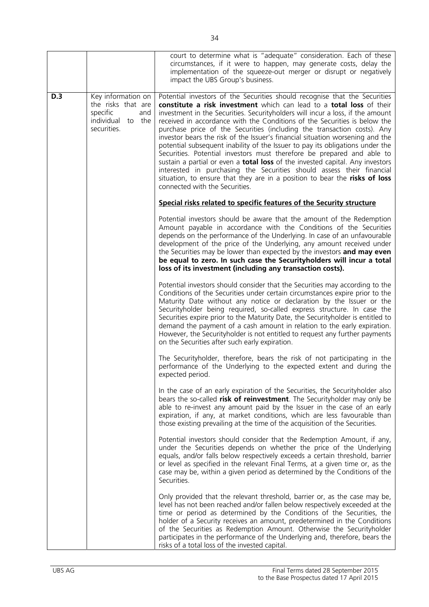|            |                                                                                                    | court to determine what is "adequate" consideration. Each of these                                                                                                                                                                                                                                                                                                                                                                                                                                                                                                                                                                                                                                                                                                                                                                                                                                                        |
|------------|----------------------------------------------------------------------------------------------------|---------------------------------------------------------------------------------------------------------------------------------------------------------------------------------------------------------------------------------------------------------------------------------------------------------------------------------------------------------------------------------------------------------------------------------------------------------------------------------------------------------------------------------------------------------------------------------------------------------------------------------------------------------------------------------------------------------------------------------------------------------------------------------------------------------------------------------------------------------------------------------------------------------------------------|
|            |                                                                                                    | circumstances, if it were to happen, may generate costs, delay the<br>implementation of the squeeze-out merger or disrupt or negatively<br>impact the UBS Group's business.                                                                                                                                                                                                                                                                                                                                                                                                                                                                                                                                                                                                                                                                                                                                               |
| <b>D.3</b> | Key information on<br>the risks that are<br>specific<br>and<br>individual<br>to the<br>securities. | Potential investors of the Securities should recognise that the Securities<br>constitute a risk investment which can lead to a total loss of their<br>investment in the Securities. Securityholders will incur a loss, if the amount<br>received in accordance with the Conditions of the Securities is below the<br>purchase price of the Securities (including the transaction costs). Any<br>investor bears the risk of the Issuer's financial situation worsening and the<br>potential subsequent inability of the Issuer to pay its obligations under the<br>Securities. Potential investors must therefore be prepared and able to<br>sustain a partial or even a <b>total loss</b> of the invested capital. Any investors<br>interested in purchasing the Securities should assess their financial<br>situation, to ensure that they are in a position to bear the risks of loss<br>connected with the Securities. |
|            |                                                                                                    | Special risks related to specific features of the Security structure                                                                                                                                                                                                                                                                                                                                                                                                                                                                                                                                                                                                                                                                                                                                                                                                                                                      |
|            |                                                                                                    | Potential investors should be aware that the amount of the Redemption<br>Amount payable in accordance with the Conditions of the Securities<br>depends on the performance of the Underlying. In case of an unfavourable<br>development of the price of the Underlying, any amount received under<br>the Securities may be lower than expected by the investors and may even<br>be equal to zero. In such case the Securityholders will incur a total<br>loss of its investment (including any transaction costs).                                                                                                                                                                                                                                                                                                                                                                                                         |
|            |                                                                                                    | Potential investors should consider that the Securities may according to the<br>Conditions of the Securities under certain circumstances expire prior to the<br>Maturity Date without any notice or declaration by the Issuer or the<br>Securityholder being required, so-called express structure. In case the<br>Securities expire prior to the Maturity Date, the Securityholder is entitled to<br>demand the payment of a cash amount in relation to the early expiration.<br>However, the Securityholder is not entitled to request any further payments<br>on the Securities after such early expiration.                                                                                                                                                                                                                                                                                                           |
|            |                                                                                                    | The Securityholder, therefore, bears the risk of not participating in the<br>performance of the Underlying to the expected extent and during the<br>expected period.                                                                                                                                                                                                                                                                                                                                                                                                                                                                                                                                                                                                                                                                                                                                                      |
|            |                                                                                                    | In the case of an early expiration of the Securities, the Securityholder also<br>bears the so-called risk of reinvestment. The Securityholder may only be<br>able to re-invest any amount paid by the Issuer in the case of an early<br>expiration, if any, at market conditions, which are less favourable than<br>those existing prevailing at the time of the acquisition of the Securities.                                                                                                                                                                                                                                                                                                                                                                                                                                                                                                                           |
|            |                                                                                                    | Potential investors should consider that the Redemption Amount, if any,<br>under the Securities depends on whether the price of the Underlying<br>equals, and/or falls below respectively exceeds a certain threshold, barrier<br>or level as specified in the relevant Final Terms, at a given time or, as the<br>case may be, within a given period as determined by the Conditions of the<br>Securities.                                                                                                                                                                                                                                                                                                                                                                                                                                                                                                               |
|            |                                                                                                    | Only provided that the relevant threshold, barrier or, as the case may be,<br>level has not been reached and/or fallen below respectively exceeded at the<br>time or period as determined by the Conditions of the Securities, the<br>holder of a Security receives an amount, predetermined in the Conditions<br>of the Securities as Redemption Amount. Otherwise the Securityholder<br>participates in the performance of the Underlying and, therefore, bears the<br>risks of a total loss of the invested capital.                                                                                                                                                                                                                                                                                                                                                                                                   |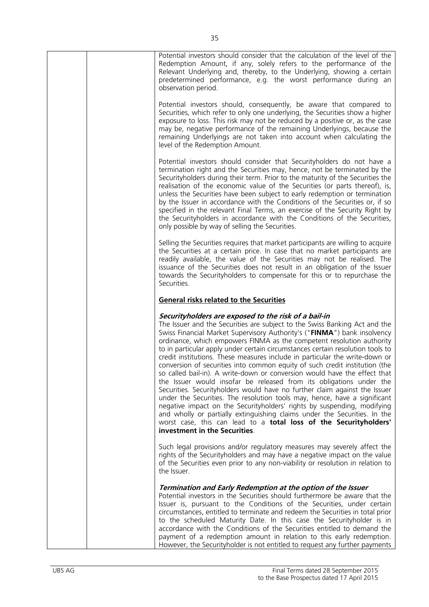| Potential investors should consider that the calculation of the level of the<br>Redemption Amount, if any, solely refers to the performance of the<br>Relevant Underlying and, thereby, to the Underlying, showing a certain<br>predetermined performance, e.g. the worst performance during an<br>observation period.                                                                                                                                                                                                                                                                                                                                                                                                                                                                                                                                                                                                                                                                                                                                                                                               |
|----------------------------------------------------------------------------------------------------------------------------------------------------------------------------------------------------------------------------------------------------------------------------------------------------------------------------------------------------------------------------------------------------------------------------------------------------------------------------------------------------------------------------------------------------------------------------------------------------------------------------------------------------------------------------------------------------------------------------------------------------------------------------------------------------------------------------------------------------------------------------------------------------------------------------------------------------------------------------------------------------------------------------------------------------------------------------------------------------------------------|
| Potential investors should, consequently, be aware that compared to<br>Securities, which refer to only one underlying, the Securities show a higher<br>exposure to loss. This risk may not be reduced by a positive or, as the case<br>may be, negative performance of the remaining Underlyings, because the<br>remaining Underlyings are not taken into account when calculating the<br>level of the Redemption Amount.                                                                                                                                                                                                                                                                                                                                                                                                                                                                                                                                                                                                                                                                                            |
| Potential investors should consider that Security holders do not have a<br>termination right and the Securities may, hence, not be terminated by the<br>Security holders during their term. Prior to the maturity of the Securities the<br>realisation of the economic value of the Securities (or parts thereof), is,<br>unless the Securities have been subject to early redemption or termination<br>by the Issuer in accordance with the Conditions of the Securities or, if so<br>specified in the relevant Final Terms, an exercise of the Security Right by<br>the Securityholders in accordance with the Conditions of the Securities,<br>only possible by way of selling the Securities.                                                                                                                                                                                                                                                                                                                                                                                                                    |
| Selling the Securities requires that market participants are willing to acquire<br>the Securities at a certain price. In case that no market participants are<br>readily available, the value of the Securities may not be realised. The<br>issuance of the Securities does not result in an obligation of the Issuer<br>towards the Securityholders to compensate for this or to repurchase the<br>Securities.                                                                                                                                                                                                                                                                                                                                                                                                                                                                                                                                                                                                                                                                                                      |
| <b>General risks related to the Securities</b>                                                                                                                                                                                                                                                                                                                                                                                                                                                                                                                                                                                                                                                                                                                                                                                                                                                                                                                                                                                                                                                                       |
| Securityholders are exposed to the risk of a bail-in<br>The Issuer and the Securities are subject to the Swiss Banking Act and the<br>Swiss Financial Market Supervisory Authority's ("FINMA") bank insolvency<br>ordinance, which empowers FINMA as the competent resolution authority<br>to in particular apply under certain circumstances certain resolution tools to<br>credit institutions. These measures include in particular the write-down or<br>conversion of securities into common equity of such credit institution (the<br>so called bail-in). A write-down or conversion would have the effect that<br>the Issuer would insofar be released from its obligations under the<br>Securities. Securityholders would have no further claim against the Issuer<br>under the Securities. The resolution tools may, hence, have a significant<br>negative impact on the Securityholders' rights by suspending, modifying<br>and wholly or partially extinguishing claims under the Securities. In the<br>worst case, this can lead to a total loss of the Securityholders'<br>investment in the Securities. |
| Such legal provisions and/or regulatory measures may severely affect the<br>rights of the Securityholders and may have a negative impact on the value<br>of the Securities even prior to any non-viability or resolution in relation to<br>the Issuer.                                                                                                                                                                                                                                                                                                                                                                                                                                                                                                                                                                                                                                                                                                                                                                                                                                                               |
| Termination and Early Redemption at the option of the Issuer<br>Potential investors in the Securities should furthermore be aware that the<br>Issuer is, pursuant to the Conditions of the Securities, under certain<br>circumstances, entitled to terminate and redeem the Securities in total prior<br>to the scheduled Maturity Date. In this case the Securityholder is in<br>accordance with the Conditions of the Securities entitled to demand the<br>payment of a redemption amount in relation to this early redemption.<br>However, the Securityholder is not entitled to request any further payments                                                                                                                                                                                                                                                                                                                                                                                                                                                                                                     |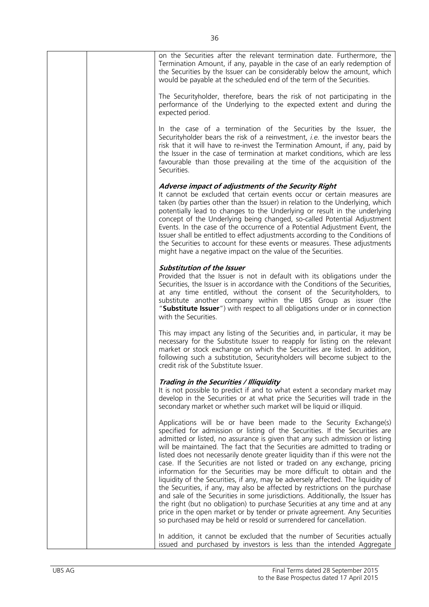| on the Securities after the relevant termination date. Furthermore, the<br>Termination Amount, if any, payable in the case of an early redemption of<br>the Securities by the Issuer can be considerably below the amount, which<br>would be payable at the scheduled end of the term of the Securities.                                                                                                                                                                                                                                                                                                                                                                                                                                                                                                                                                                                                                                                                                                                                            |
|-----------------------------------------------------------------------------------------------------------------------------------------------------------------------------------------------------------------------------------------------------------------------------------------------------------------------------------------------------------------------------------------------------------------------------------------------------------------------------------------------------------------------------------------------------------------------------------------------------------------------------------------------------------------------------------------------------------------------------------------------------------------------------------------------------------------------------------------------------------------------------------------------------------------------------------------------------------------------------------------------------------------------------------------------------|
| The Securityholder, therefore, bears the risk of not participating in the<br>performance of the Underlying to the expected extent and during the<br>expected period.                                                                                                                                                                                                                                                                                                                                                                                                                                                                                                                                                                                                                                                                                                                                                                                                                                                                                |
| In the case of a termination of the Securities by the Issuer, the<br>Securityholder bears the risk of a reinvestment, <i>i.e.</i> the investor bears the<br>risk that it will have to re-invest the Termination Amount, if any, paid by<br>the Issuer in the case of termination at market conditions, which are less<br>favourable than those prevailing at the time of the acquisition of the<br>Securities.                                                                                                                                                                                                                                                                                                                                                                                                                                                                                                                                                                                                                                      |
| Adverse impact of adjustments of the Security Right<br>It cannot be excluded that certain events occur or certain measures are<br>taken (by parties other than the Issuer) in relation to the Underlying, which<br>potentially lead to changes to the Underlying or result in the underlying<br>concept of the Underlying being changed, so-called Potential Adjustment<br>Events. In the case of the occurrence of a Potential Adjustment Event, the<br>Issuer shall be entitled to effect adjustments according to the Conditions of<br>the Securities to account for these events or measures. These adjustments<br>might have a negative impact on the value of the Securities.                                                                                                                                                                                                                                                                                                                                                                 |
| <b>Substitution of the Issuer</b><br>Provided that the Issuer is not in default with its obligations under the<br>Securities, the Issuer is in accordance with the Conditions of the Securities,<br>at any time entitled, without the consent of the Securityholders, to<br>substitute another company within the UBS Group as issuer (the<br>"Substitute Issuer") with respect to all obligations under or in connection<br>with the Securities.                                                                                                                                                                                                                                                                                                                                                                                                                                                                                                                                                                                                   |
| This may impact any listing of the Securities and, in particular, it may be<br>necessary for the Substitute Issuer to reapply for listing on the relevant<br>market or stock exchange on which the Securities are listed. In addition,<br>following such a substitution, Securityholders will become subject to the<br>credit risk of the Substitute Issuer.                                                                                                                                                                                                                                                                                                                                                                                                                                                                                                                                                                                                                                                                                        |
| Trading in the Securities / Illiquidity<br>It is not possible to predict if and to what extent a secondary market may<br>develop in the Securities or at what price the Securities will trade in the<br>secondary market or whether such market will be liquid or illiquid.                                                                                                                                                                                                                                                                                                                                                                                                                                                                                                                                                                                                                                                                                                                                                                         |
| Applications will be or have been made to the Security Exchange(s)<br>specified for admission or listing of the Securities. If the Securities are<br>admitted or listed, no assurance is given that any such admission or listing<br>will be maintained. The fact that the Securities are admitted to trading or<br>listed does not necessarily denote greater liquidity than if this were not the<br>case. If the Securities are not listed or traded on any exchange, pricing<br>information for the Securities may be more difficult to obtain and the<br>liquidity of the Securities, if any, may be adversely affected. The liquidity of<br>the Securities, if any, may also be affected by restrictions on the purchase<br>and sale of the Securities in some jurisdictions. Additionally, the Issuer has<br>the right (but no obligation) to purchase Securities at any time and at any<br>price in the open market or by tender or private agreement. Any Securities<br>so purchased may be held or resold or surrendered for cancellation. |
| In addition, it cannot be excluded that the number of Securities actually<br>issued and purchased by investors is less than the intended Aggregate                                                                                                                                                                                                                                                                                                                                                                                                                                                                                                                                                                                                                                                                                                                                                                                                                                                                                                  |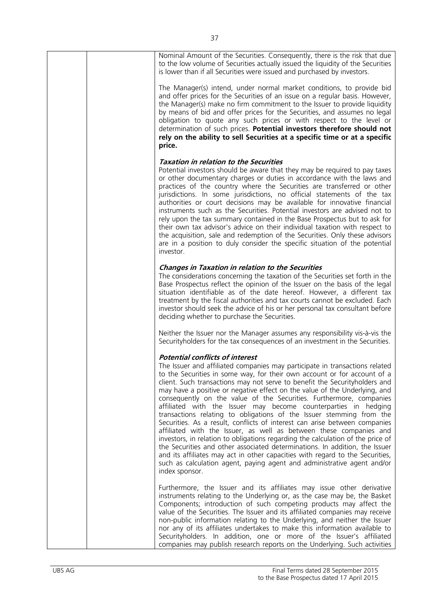| Nominal Amount of the Securities. Consequently, there is the risk that due<br>to the low volume of Securities actually issued the liquidity of the Securities<br>is lower than if all Securities were issued and purchased by investors.                                                                                                                                                                                                                                                                                                                                                                                                                                                                                                                                                                                                                                                                                                                                                                                                                                            |
|-------------------------------------------------------------------------------------------------------------------------------------------------------------------------------------------------------------------------------------------------------------------------------------------------------------------------------------------------------------------------------------------------------------------------------------------------------------------------------------------------------------------------------------------------------------------------------------------------------------------------------------------------------------------------------------------------------------------------------------------------------------------------------------------------------------------------------------------------------------------------------------------------------------------------------------------------------------------------------------------------------------------------------------------------------------------------------------|
| The Manager(s) intend, under normal market conditions, to provide bid<br>and offer prices for the Securities of an issue on a regular basis. However,<br>the Manager(s) make no firm commitment to the Issuer to provide liquidity<br>by means of bid and offer prices for the Securities, and assumes no legal<br>obligation to quote any such prices or with respect to the level or<br>determination of such prices. Potential investors therefore should not<br>rely on the ability to sell Securities at a specific time or at a specific<br>price.                                                                                                                                                                                                                                                                                                                                                                                                                                                                                                                            |
| <b>Taxation in relation to the Securities</b><br>Potential investors should be aware that they may be required to pay taxes<br>or other documentary charges or duties in accordance with the laws and<br>practices of the country where the Securities are transferred or other<br>jurisdictions. In some jurisdictions, no official statements of the tax<br>authorities or court decisions may be available for innovative financial<br>instruments such as the Securities. Potential investors are advised not to<br>rely upon the tax summary contained in the Base Prospectus but to ask for<br>their own tax advisor's advice on their individual taxation with respect to<br>the acquisition, sale and redemption of the Securities. Only these advisors<br>are in a position to duly consider the specific situation of the potential<br>investor.                                                                                                                                                                                                                          |
| <b>Changes in Taxation in relation to the Securities</b><br>The considerations concerning the taxation of the Securities set forth in the<br>Base Prospectus reflect the opinion of the Issuer on the basis of the legal<br>situation identifiable as of the date hereof. However, a different tax<br>treatment by the fiscal authorities and tax courts cannot be excluded. Each<br>investor should seek the advice of his or her personal tax consultant before<br>deciding whether to purchase the Securities.                                                                                                                                                                                                                                                                                                                                                                                                                                                                                                                                                                   |
| Neither the Issuer nor the Manager assumes any responsibility vis-à-vis the<br>Securityholders for the tax consequences of an investment in the Securities.                                                                                                                                                                                                                                                                                                                                                                                                                                                                                                                                                                                                                                                                                                                                                                                                                                                                                                                         |
| <b>Potential conflicts of interest</b><br>The Issuer and affiliated companies may participate in transactions related<br>to the Securities in some way, for their own account or for account of a<br>client. Such transactions may not serve to benefit the Securityholders and<br>may have a positive or negative effect on the value of the Underlying, and<br>consequently on the value of the Securities. Furthermore, companies<br>affiliated with the Issuer may become counterparties in hedging<br>transactions relating to obligations of the Issuer stemming from the<br>Securities. As a result, conflicts of interest can arise between companies<br>affiliated with the Issuer, as well as between these companies and<br>investors, in relation to obligations regarding the calculation of the price of<br>the Securities and other associated determinations. In addition, the Issuer<br>and its affiliates may act in other capacities with regard to the Securities,<br>such as calculation agent, paying agent and administrative agent and/or<br>index sponsor. |
| Furthermore, the Issuer and its affiliates may issue other derivative<br>instruments relating to the Underlying or, as the case may be, the Basket<br>Components; introduction of such competing products may affect the<br>value of the Securities. The Issuer and its affiliated companies may receive<br>non-public information relating to the Underlying, and neither the Issuer<br>nor any of its affiliates undertakes to make this information available to<br>Securityholders. In addition, one or more of the Issuer's affiliated<br>companies may publish research reports on the Underlying. Such activities                                                                                                                                                                                                                                                                                                                                                                                                                                                            |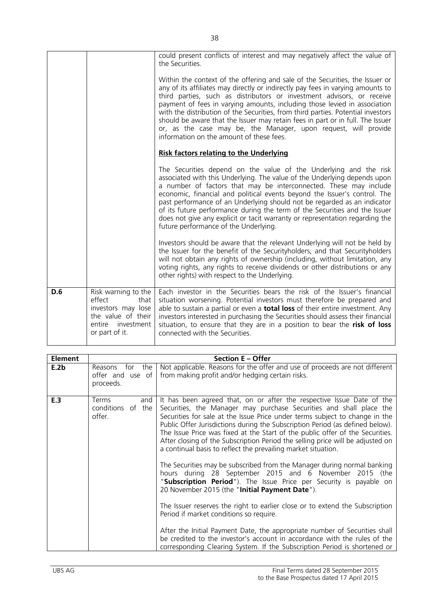|     |                                                                                                                          | could present conflicts of interest and may negatively affect the value of<br>the Securities.<br>Within the context of the offering and sale of the Securities, the Issuer or<br>any of its affiliates may directly or indirectly pay fees in varying amounts to<br>third parties, such as distributors or investment advisors, or receive<br>payment of fees in varying amounts, including those levied in association<br>with the distribution of the Securities, from third parties. Potential investors<br>should be aware that the Issuer may retain fees in part or in full. The Issuer<br>or, as the case may be, the Manager, upon request, will provide<br>information on the amount of these fees. |
|-----|--------------------------------------------------------------------------------------------------------------------------|--------------------------------------------------------------------------------------------------------------------------------------------------------------------------------------------------------------------------------------------------------------------------------------------------------------------------------------------------------------------------------------------------------------------------------------------------------------------------------------------------------------------------------------------------------------------------------------------------------------------------------------------------------------------------------------------------------------|
|     |                                                                                                                          | <b>Risk factors relating to the Underlying</b>                                                                                                                                                                                                                                                                                                                                                                                                                                                                                                                                                                                                                                                               |
|     |                                                                                                                          | The Securities depend on the value of the Underlying and the risk<br>associated with this Underlying. The value of the Underlying depends upon<br>a number of factors that may be interconnected. These may include<br>economic, financial and political events beyond the Issuer's control. The<br>past performance of an Underlying should not be regarded as an indicator<br>of its future performance during the term of the Securities and the Issuer<br>does not give any explicit or tacit warranty or representation regarding the<br>future performance of the Underlying.                                                                                                                          |
|     |                                                                                                                          | Investors should be aware that the relevant Underlying will not be held by<br>the Issuer for the benefit of the Securityholders, and that Securityholders<br>will not obtain any rights of ownership (including, without limitation, any<br>voting rights, any rights to receive dividends or other distributions or any<br>other rights) with respect to the Underlying.                                                                                                                                                                                                                                                                                                                                    |
| D.6 | Risk warning to the<br>effect<br>that<br>investors may lose<br>the value of their<br>entire investment<br>or part of it. | Each investor in the Securities bears the risk of the Issuer's financial<br>situation worsening. Potential investors must therefore be prepared and<br>able to sustain a partial or even a <b>total loss</b> of their entire investment. Any<br>investors interested in purchasing the Securities should assess their financial<br>situation, to ensure that they are in a position to bear the risk of loss<br>connected with the Securities.                                                                                                                                                                                                                                                               |

| <b>Element</b> |                                                        | <b>Section E - Offer</b>                                                                                                                                                                                                                                                                                                                                                                                                                                                                                                                         |
|----------------|--------------------------------------------------------|--------------------------------------------------------------------------------------------------------------------------------------------------------------------------------------------------------------------------------------------------------------------------------------------------------------------------------------------------------------------------------------------------------------------------------------------------------------------------------------------------------------------------------------------------|
| E.2b           | Reasons<br>for<br>the<br>offer and use of<br>proceeds. | Not applicable. Reasons for the offer and use of proceeds are not different<br>from making profit and/or hedging certain risks.                                                                                                                                                                                                                                                                                                                                                                                                                  |
| E.3            | Terms<br>and<br>conditions of the<br>offer.            | It has been agreed that, on or after the respective Issue Date of the<br>Securities, the Manager may purchase Securities and shall place the<br>Securities for sale at the Issue Price under terms subject to change in the<br>Public Offer Jurisdictions during the Subscription Period (as defined below).<br>The Issue Price was fixed at the Start of the public offer of the Securities.<br>After closing of the Subscription Period the selling price will be adjusted on<br>a continual basis to reflect the prevailing market situation. |
|                |                                                        | The Securities may be subscribed from the Manager during normal banking<br>hours during 28 September 2015 and 6 November 2015 (the<br>" <b>Subscription Period</b> "). The Issue Price per Security is payable on<br>20 November 2015 (the "Initial Payment Date").                                                                                                                                                                                                                                                                              |
|                |                                                        | The Issuer reserves the right to earlier close or to extend the Subscription<br>Period if market conditions so require.                                                                                                                                                                                                                                                                                                                                                                                                                          |
|                |                                                        | After the Initial Payment Date, the appropriate number of Securities shall<br>be credited to the investor's account in accordance with the rules of the<br>corresponding Clearing System. If the Subscription Period is shortened or                                                                                                                                                                                                                                                                                                             |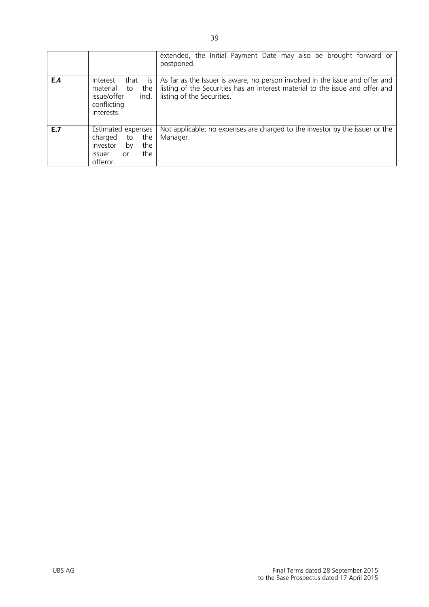|     |                                                                                                               | extended, the Initial Payment Date may also be brought forward or<br>postponed.                                                                                                             |
|-----|---------------------------------------------------------------------------------------------------------------|---------------------------------------------------------------------------------------------------------------------------------------------------------------------------------------------|
| E.4 | Interest<br>that<br>is.<br>material<br>the<br>to<br>incl.<br>issue/offer<br>conflicting<br>interests.         | As far as the Issuer is aware, no person involved in the issue and offer and<br>listing of the Securities has an interest material to the issue and offer and<br>listing of the Securities. |
| E.7 | Estimated expenses<br>to<br>the<br>charged<br>investor<br>the<br>by<br>the<br><b>or</b><br>issuer<br>offeror. | Not applicable; no expenses are charged to the investor by the issuer or the<br>Manager.                                                                                                    |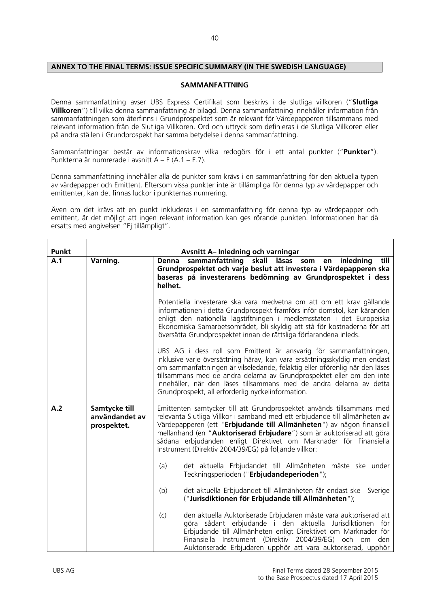# **ANNEX TO THE FINAL TERMS: ISSUE SPECIFIC SUMMARY (IN THE SWEDISH LANGUAGE)**

### **SAMMANFATTNING**

Denna sammanfattning avser UBS Express Certifikat som beskrivs i de slutliga villkoren ("**Slutliga Villkoren**") till vilka denna sammanfattning är bilagd. Denna sammanfattning innehåller information från sammanfattningen som återfinns i Grundprospektet som är relevant för Värdepapperen tillsammans med relevant information från de Slutliga Villkoren. Ord och uttryck som definieras i de Slutliga Villkoren eller på andra ställen i Grundprospekt har samma betydelse i denna sammanfattning.

Sammanfattningar består av informationskrav vilka redogörs för i ett antal punkter ("**Punkter**"). Punkterna är numrerade i avsnitt A – E (A.1 – E.7).

Denna sammanfattning innehåller alla de punkter som krävs i en sammanfattning för den aktuella typen av värdepapper och Emittent. Eftersom vissa punkter inte är tillämpliga för denna typ av värdepapper och emittenter, kan det finnas luckor i punkternas numrering.

Även om det krävs att en punkt inkluderas i en sammanfattning för denna typ av värdepapper och emittent, är det möjligt att ingen relevant information kan ges rörande punkten. Informationen har då ersatts med angivelsen "Ej tillämpligt".

| Punkt | Avsnitt A- Inledning och varningar             |                                                                                                                                                                                                                                                                                                                                                                                                                                      |  |  |  |
|-------|------------------------------------------------|--------------------------------------------------------------------------------------------------------------------------------------------------------------------------------------------------------------------------------------------------------------------------------------------------------------------------------------------------------------------------------------------------------------------------------------|--|--|--|
| A.1   | Varning.                                       | sammanfattning skall läsas som<br>en inledning till<br><b>Denna</b><br>Grundprospektet och varje beslut att investera i Värdepapperen ska<br>baseras på investerarens bedömning av Grundprospektet i dess<br>helhet.                                                                                                                                                                                                                 |  |  |  |
|       |                                                | Potentiella investerare ska vara medvetna om att om ett krav gällande<br>informationen i detta Grundprospekt framförs inför domstol, kan käranden<br>enligt den nationella lagstiftningen i medlemsstaten i det Europeiska<br>Ekonomiska Samarbetsområdet, bli skyldig att stå för kostnaderna för att<br>översätta Grundprospektet innan de rättsliga förfarandena inleds.                                                          |  |  |  |
|       |                                                | UBS AG i dess roll som Emittent är ansvarig för sammanfattningen,<br>inklusive varje översättning härav, kan vara ersättningsskyldig men endast<br>om sammanfattningen är vilseledande, felaktig eller oförenlig när den läses<br>tillsammans med de andra delarna av Grundprospektet eller om den inte<br>innehåller, när den läses tillsammans med de andra delarna av detta<br>Grundprospekt, all erforderlig nyckelinformation.  |  |  |  |
| A.2   | Samtycke till<br>användandet av<br>prospektet. | Emittenten samtycker till att Grundprospektet används tillsammans med<br>relevanta Slutliga Villkor i samband med ett erbjudande till allmänheten av<br>Värdepapperen (ett "Erbjudande till Allmänheten") av någon finansiell<br>mellanhand (en "Auktoriserad Erbjudare") som är auktoriserad att göra<br>sådana erbjudanden enligt Direktivet om Marknader för Finansiella<br>Instrument (Direktiv 2004/39/EG) på följande villkor: |  |  |  |
|       |                                                | (a)<br>det aktuella Erbjudandet till Allmänheten måste ske under<br>Teckningsperioden ("Erbjudandeperioden");                                                                                                                                                                                                                                                                                                                        |  |  |  |
|       |                                                | (b)<br>det aktuella Erbjudandet till Allmänheten får endast ske i Sverige<br>("Jurisdiktionen för Erbjudande till Allmänheten");                                                                                                                                                                                                                                                                                                     |  |  |  |
|       |                                                | (c)<br>den aktuella Auktoriserade Erbjudaren måste vara auktoriserad att<br>göra sådant erbjudande i den aktuella Jurisdiktionen för<br>Erbjudande till Allmänheten enligt Direktivet om Marknader för<br>Finansiella Instrument (Direktiv 2004/39/EG) och om den<br>Auktoriserade Erbjudaren upphör att vara auktoriserad, upphör                                                                                                   |  |  |  |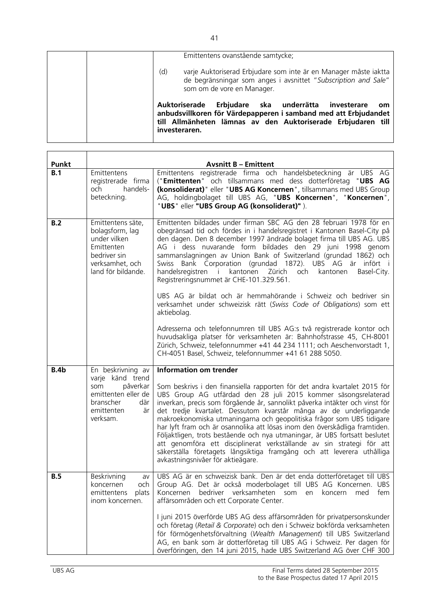| Emittentens ovanstående samtycke;                                                                                                                                                                                  |
|--------------------------------------------------------------------------------------------------------------------------------------------------------------------------------------------------------------------|
| varje Auktoriserad Erbjudare som inte är en Manager måste iaktta<br>(d)<br>de begränsningar som anges i avsnittet "Subscription and Sale"<br>som om de vore en Manager.                                            |
| Erbjudare ska underrätta<br>Auktoriserade<br>investerare<br>om<br>anbudsvillkoren för Värdepapperen i samband med att Erbjudandet<br>till Allmänheten lämnas av den Auktoriserade Erbjudaren till<br>investeraren. |

| <b>Punkt</b>     | <b>Avsnitt B - Emittent</b>                                                                                                 |                                                                                                                                                                                                                                                                                                                                                                                                                                                                                                                                                                                                                                                                                                                              |  |  |
|------------------|-----------------------------------------------------------------------------------------------------------------------------|------------------------------------------------------------------------------------------------------------------------------------------------------------------------------------------------------------------------------------------------------------------------------------------------------------------------------------------------------------------------------------------------------------------------------------------------------------------------------------------------------------------------------------------------------------------------------------------------------------------------------------------------------------------------------------------------------------------------------|--|--|
| B.1              | Emittentens<br>registrerade firma<br>handels-<br>och<br>beteckning.                                                         | Emittentens registrerade firma och handelsbeteckning är UBS AG<br>("Emittenten" och tillsammans med dess dotterföretag "UBS AG<br>(konsoliderat)" eller "UBS AG Koncernen", tillsammans med UBS Group<br>AG, holdingbolaget till UBS AG, "UBS Koncernen", "Koncernen",<br>"UBS" eller "UBS Group AG (konsoliderat)").                                                                                                                                                                                                                                                                                                                                                                                                        |  |  |
| B.2              | Emittentens säte,<br>bolagsform, lag<br>under vilken<br>Emittenten<br>bedriver sin<br>verksamhet, och<br>land för bildande. | Emittenten bildades under firman SBC AG den 28 februari 1978 för en<br>obegränsad tid och fördes in i handelsregistret i Kantonen Basel-City på<br>den dagen. Den 8 december 1997 ändrade bolaget firma till UBS AG. UBS<br>AG i dess nuvarande form bildades den 29 juni 1998 genom<br>sammanslagningen av Union Bank of Switzerland (grundad 1862) och<br>Swiss Bank Corporation (grundad 1872). UBS AG är infört i<br>handelsregistren i kantonen Zürich och<br>kantonen<br>Basel-City.<br>Registreringsnummet är CHE-101.329.561.                                                                                                                                                                                        |  |  |
|                  |                                                                                                                             | UBS AG är bildat och är hemmahörande i Schweiz och bedriver sin<br>verksamhet under schweizisk rätt (Swiss Code of Obligations) som ett<br>aktiebolag.                                                                                                                                                                                                                                                                                                                                                                                                                                                                                                                                                                       |  |  |
|                  |                                                                                                                             | Adresserna och telefonnumren till UBS AG:s två registrerade kontor och<br>huvudsakliga platser för verksamheten är: Bahnhofstrasse 45, CH-8001<br>Zürich, Schweiz, telefonnummer +41 44 234 1111; och Aeschenvorstadt 1,<br>CH-4051 Basel, Schweiz, telefonnummer +41 61 288 5050.                                                                                                                                                                                                                                                                                                                                                                                                                                           |  |  |
| B.4 <sub>b</sub> | En beskrivning av                                                                                                           | <b>Information om trender</b>                                                                                                                                                                                                                                                                                                                                                                                                                                                                                                                                                                                                                                                                                                |  |  |
|                  | varje känd trend<br>påverkar<br>som<br>emittenten eller de<br>branscher<br>där<br>emittenten<br>är<br>verksam.              | Som beskrivs i den finansiella rapporten för det andra kvartalet 2015 för<br>UBS Group AG utfärdad den 28 juli 2015 kommer säsongsrelaterad<br>inverkan, precis som förgående år, sannolikt påverka intäkter och vinst för<br>det tredje kvartalet. Dessutom kvarstår många av de underliggande<br>makroekonomiska utmaningarna och geopolitiska frågor som UBS tidigare<br>har lyft fram och är osannolika att lösas inom den överskådliga framtiden.<br>Följaktligen, trots bestående och nya utmaningar, är UBS fortsatt beslutet<br>att genomföra ett disciplinerat verkställande av sin strategi för att<br>säkerställa företagets långsiktiga framgång och att leverera uthålliga<br>avkastningsnivåer för aktieägare. |  |  |
| B.5              | Beskrivning<br>av<br>koncernen<br>och<br>emittentens<br>plats<br>inom koncernen.                                            | UBS AG är en schweizisk bank. Den är det enda dotterföretaget till UBS<br>Group AG. Det är också moderbolaget till UBS AG Koncernen. UBS<br>bedriver verksamheten som<br>Koncernen<br>koncern<br>med<br>fem<br>en<br>affärsområden och ett Corporate Center.                                                                                                                                                                                                                                                                                                                                                                                                                                                                 |  |  |
|                  |                                                                                                                             | I juni 2015 överförde UBS AG dess affärsområden för privatpersonskunder<br>och företag (Retail & Corporate) och den i Schweiz bokförda verksamheten<br>för förmögenhetsförvaltning (Wealth Management) till UBS Switzerland<br>AG, en bank som är dotterföretag till UBS AG i Schweiz. Per dagen för<br>överföringen, den 14 juni 2015, hade UBS Switzerland AG över CHF 300                                                                                                                                                                                                                                                                                                                                                 |  |  |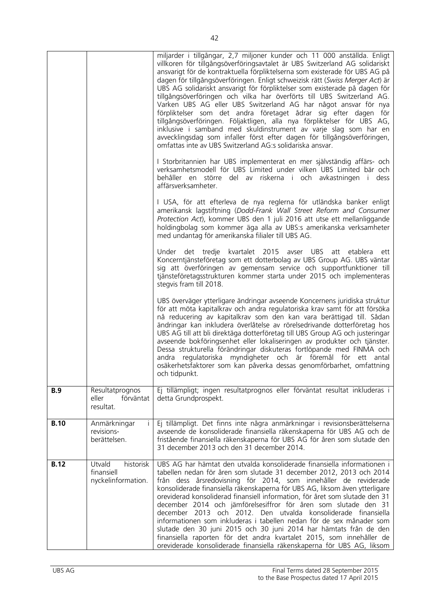|             |                                                         | miljarder i tillgångar, 2,7 miljoner kunder och 11 000 anställda. Enligt                                                                                                                                                                                                                                                                                                                                                                                                                                                                                                                                                                                                                                                                                                                                                          |
|-------------|---------------------------------------------------------|-----------------------------------------------------------------------------------------------------------------------------------------------------------------------------------------------------------------------------------------------------------------------------------------------------------------------------------------------------------------------------------------------------------------------------------------------------------------------------------------------------------------------------------------------------------------------------------------------------------------------------------------------------------------------------------------------------------------------------------------------------------------------------------------------------------------------------------|
|             |                                                         | villkoren för tillgångsöverföringsavtalet är UBS Switzerland AG solidariskt<br>ansvarigt för de kontraktuella förpliktelserna som existerade för UBS AG på<br>dagen för tillgångsöverföringen. Enligt schweizisk rätt (Swiss Merger Act) är<br>UBS AG solidariskt ansvarigt för förpliktelser som existerade på dagen för<br>tillgångsöverföringen och vilka har överförts till UBS Switzerland AG.<br>Varken UBS AG eller UBS Switzerland AG har något ansvar för nya<br>förpliktelser som det andra företaget ådrar sig efter dagen för<br>tillgångsöverföringen. Följaktligen, alla nya förpliktelser för UBS AG,<br>inklusive i samband med skuldinstrument av varje slag som har en<br>avvecklingsdag som infaller först efter dagen för tillgångsöverföringen,<br>omfattas inte av UBS Switzerland AG:s solidariska ansvar. |
|             |                                                         | I Storbritannien har UBS implementerat en mer självständig affärs- och<br>verksamhetsmodell för UBS Limited under vilken UBS Limited bär och<br>behåller en större del av riskerna i och avkastningen i dess<br>affärsverksamheter.                                                                                                                                                                                                                                                                                                                                                                                                                                                                                                                                                                                               |
|             |                                                         | I USA, för att efterleva de nya reglerna för utländska banker enligt<br>amerikansk lagstiftning (Dodd-Frank Wall Street Reform and Consumer<br>Protection Act), kommer UBS den 1 juli 2016 att utse ett mellanliggande<br>holdingbolag som kommer äga alla av UBS:s amerikanska verksamheter<br>med undantag för amerikanska filialer till UBS AG.                                                                                                                                                                                                                                                                                                                                                                                                                                                                                |
|             |                                                         | Under det tredje kvartalet 2015 avser UBS att etablera ett<br>Koncerntjänsteföretag som ett dotterbolag av UBS Group AG. UBS väntar<br>sig att överföringen av gemensam service och supportfunktioner till<br>tjänsteföretagsstrukturen kommer starta under 2015 och implementeras<br>stegvis fram till 2018.                                                                                                                                                                                                                                                                                                                                                                                                                                                                                                                     |
|             |                                                         | UBS överväger ytterligare ändringar avseende Koncernens juridiska struktur<br>för att möta kapitalkrav och andra regulatoriska krav samt för att försöka<br>nå reducering av kapitalkrav som den kan vara berättigad till. Sådan<br>ändringar kan inkludera överlåtelse av rörelsedrivande dotterföretag hos<br>UBS AG till att bli direktäga dotterföretag till UBS Group AG och justeringar<br>avseende bokföringsenhet eller lokaliseringen av produkter och tjänster.<br>Dessa strukturella förändringar diskuteras fortlöpande med FINMA och<br>andra regulatoriska myndigheter och är föremål för ett antal<br>osäkerhetsfaktorer som kan påverka dessas genomförbarhet, omfattning<br>och tidpunkt.                                                                                                                        |
| <b>B.9</b>  | Resultatprognos<br>förväntat<br>eller<br>resultat.      | Ej tillämpligt; ingen resultatprognos eller förväntat resultat inkluderas i<br>detta Grundprospekt.                                                                                                                                                                                                                                                                                                                                                                                                                                                                                                                                                                                                                                                                                                                               |
| <b>B.10</b> | Anmärkningar<br>revisions-<br>berättelsen.              | Ej tillämpligt. Det finns inte några anmärkningar i revisionsberättelserna<br>avseende de konsoliderade finansiella räkenskaperna för UBS AG och de<br>fristående finansiella räkenskaperna för UBS AG för åren som slutade den<br>31 december 2013 och den 31 december 2014.                                                                                                                                                                                                                                                                                                                                                                                                                                                                                                                                                     |
| <b>B.12</b> | Utvald<br>historisk<br>finansiell<br>nyckelinformation. | UBS AG har hämtat den utvalda konsoliderade finansiella informationen i<br>tabellen nedan för åren som slutade 31 december 2012, 2013 och 2014<br>från dess årsredovisning för 2014, som innehåller de reviderade<br>konsoliderade finansiella räkenskaperna för UBS AG, liksom även ytterligare<br>oreviderad konsoliderad finansiell information, för året som slutade den 31<br>december 2014 och jämförelsesiffror för åren som slutade den 31<br>december 2013 och 2012. Den utvalda konsoliderade finansiella<br>informationen som inkluderas i tabellen nedan för de sex månader som<br>slutade den 30 juni 2015 och 30 juni 2014 har hämtats från de den<br>finansiella raporten för det andra kvartalet 2015, som innehåller de<br>oreviderade konsoliderade finansiella räkenskaperna för UBS AG, liksom                |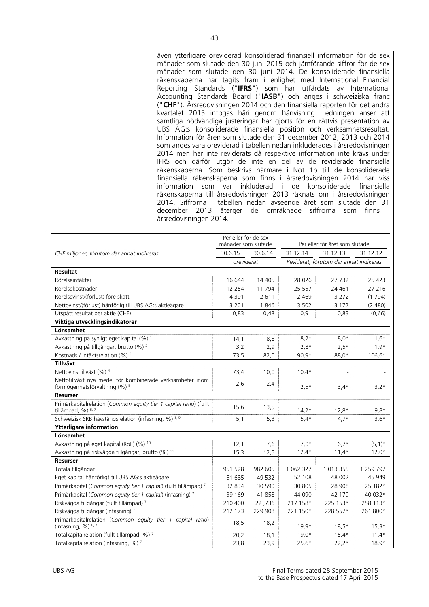| även ytterligare oreviderad konsoliderad finansiell information för de sex<br>månader som slutade den 30 juni 2015 och jämförande siffror för de sex<br>månader som slutade den 30 juni 2014. De konsoliderade finansiella<br>räkenskaperna har tagits fram i enlighet med International Financial<br>Reporting Standards ("IFRS") som har utfärdats av International<br>Accounting Standards Board ("IASB") och anges i schweiziska franc<br>("CHF"). Årsredovisningen 2014 och den finansiella raporten för det andra<br>kvartalet 2015 infogas häri genom hänvisning. Ledningen anser att<br>samtliga nödvändiga justeringar har gjorts för en rättvis presentation av<br>UBS AG:s konsoliderade finansiella position och verksamhetsresultat.<br>Information för åren som slutade den 31 december 2012, 2013 och 2014<br>som anges vara oreviderad i tabellen nedan inkluderades i årsredovisningen<br>2014 men har inte reviderats då respektive information inte krävs under<br>IFRS och därför utgör de inte en del av de reviderade finansiella<br>räkenskaperna. Som beskrivs närmare i Not 1b till de konsoliderade<br>finansiella räkenskaperna som finns i årsredovisningen 2014 har viss<br>information som var inkluderad i de konsoliderade finansiella<br>räkenskaperna till årsredovisningen 2013 räknats om i årsredovisningen<br>2014. Siffrorna i tabellen nedan avseende året som slutade den 31<br>december 2013 återger de omräknade siffrorna som<br>finns i<br>årsredovisningen 2014. |
|----------------------------------------------------------------------------------------------------------------------------------------------------------------------------------------------------------------------------------------------------------------------------------------------------------------------------------------------------------------------------------------------------------------------------------------------------------------------------------------------------------------------------------------------------------------------------------------------------------------------------------------------------------------------------------------------------------------------------------------------------------------------------------------------------------------------------------------------------------------------------------------------------------------------------------------------------------------------------------------------------------------------------------------------------------------------------------------------------------------------------------------------------------------------------------------------------------------------------------------------------------------------------------------------------------------------------------------------------------------------------------------------------------------------------------------------------------------------------------------------------------------|

|                                                                                                       | Per eller för de sex<br>månader som slutade |         |                                        | Per eller för året som slutade |           |
|-------------------------------------------------------------------------------------------------------|---------------------------------------------|---------|----------------------------------------|--------------------------------|-----------|
| CHF miljoner, förutom där annat indikeras                                                             | 30.6.15                                     | 30.6.14 | 31.12.14                               | 31.12.13                       | 31.12.12  |
|                                                                                                       | oreviderat                                  |         | Reviderat, förutom där annat indikeras |                                |           |
|                                                                                                       |                                             |         |                                        |                                |           |
| <b>Resultat</b>                                                                                       |                                             |         |                                        |                                |           |
| Rörelseintäkter                                                                                       | 16 644                                      | 14 4 05 | 28 0 26                                | 27 7 32                        | 25 4 23   |
| Rörelsekostnader                                                                                      | 12 2 5 4                                    | 11 794  | 25 557                                 | 24 4 61                        | 27 216    |
| Rörelsevinst/(förlust) före skatt                                                                     | 4 3 9 1                                     | 2 6 1 1 | 2 4 6 9                                | 3 2 7 2                        | (1794)    |
| Nettovinst/(förlust) hänförlig till UBS AG:s aktieägare                                               | 3 2 0 1                                     | 1846    | 3 5 0 2                                | 3 1 7 2                        | (2480)    |
| Utspätt resultat per aktie (CHF)                                                                      | 0,83                                        | 0,48    | 0,91                                   | 0,83                           | (0,66)    |
| Viktiga utvecklingsindikatorer                                                                        |                                             |         |                                        |                                |           |
| Lönsamhet                                                                                             |                                             |         |                                        |                                |           |
| Avkastning på synligt eget kapital (%) <sup>1</sup>                                                   | 14,1                                        | 8,8     | $8.2*$                                 | $8.0*$                         | $1,6*$    |
| Avkastning på tillgångar, brutto (%) <sup>2</sup>                                                     | 3,2                                         | 2,9     | $2,8*$                                 | $2,5*$                         | $1,9*$    |
| Kostnads / intäktsrelation (%) <sup>3</sup>                                                           | 73,5                                        | 82,0    | $90.9*$                                | 88,0*                          | $106,6*$  |
| Tillväxt                                                                                              |                                             |         |                                        |                                |           |
| Nettovinsttillväxt (%) 4                                                                              | 73,4                                        | 10,0    | $10,4*$                                |                                |           |
| Nettotillväxt nya medel för kombinerade verksamheter inom<br>förmögenhetsförvaltning (%) <sup>5</sup> | 2,6                                         | 2,4     | $2,5*$                                 | $3,4*$                         | $3,2*$    |
| <b>Resurser</b>                                                                                       |                                             |         |                                        |                                |           |
| Primärkapitalrelation (Common equity tier 1 capital ratio) (fullt<br>tillämpad, %) 6, 7               | 15,6                                        | 13,5    | $14,2*$                                | $12,8*$                        | $9,8*$    |
| Schweizisk SRB hävstångsrelation (infasning, %) 8, 9                                                  | 5,1                                         | 5,3     | $5.4*$                                 | $4,7*$                         | $3,6*$    |
| <b>Ytterligare information</b>                                                                        |                                             |         |                                        |                                |           |
| Lönsamhet                                                                                             |                                             |         |                                        |                                |           |
| Avkastning på eget kapital (RoE) (%) 10                                                               | 12,1                                        | 7,6     | $7.0*$                                 | $6.7*$                         | $(5,1)^*$ |
| Avkastning på riskvägda tillgångar, brutto (%) 11                                                     | 15.3                                        | 12,5    | $12.4*$                                | $11.4*$                        | $12.0*$   |
| <b>Resurser</b>                                                                                       |                                             |         |                                        |                                |           |
| Totala tillgångar                                                                                     | 951 528                                     | 982 605 | 1 062 327                              | 1 013 355                      | 1 259 797 |
| Eget kapital hänförligt till UBS AG:s aktieägare                                                      | 51 685                                      | 49 532  | 52 108                                 | 48 002                         | 45 949    |
| Primärkapital (Common equity tier 1 capital) (fullt tillämpad) 7                                      | 32 834                                      | 30 590  | 30 805                                 | 28 908                         | 25 182*   |
| Primärkapital (Common equity tier 1 capital) (infasning) 7                                            | 39 169                                      | 41858   | 44 090                                 | 42 179                         | 40 032*   |
| Riskvägda tillgångar (fullt tillämpad) 7                                                              | 210 400                                     | 22,736  | 217 158*                               | 225 153*                       | 258 113*  |
| Riskvägda tillgångar (infasning) 7                                                                    | 212 173                                     | 229 908 | 221 150*                               | 228 557*                       | 261 800*  |
| Primärkapitalrelation (Common equity tier 1 capital ratio)<br>(infasning, %) $6.7$                    | 18,5                                        | 18,2    | $19.9*$                                | $18,5*$                        | $15,3*$   |
| Totalkapitalrelation (fullt tillämpad, %) <sup>7</sup>                                                | 20,2                                        | 18,1    | $19,0*$                                | $15,4*$                        | $11,4*$   |
| Totalkapitalrelation (infasning, %) <sup>7</sup>                                                      | 23,8                                        | 23,9    | $25,6*$                                | $22,2*$                        | $18,9*$   |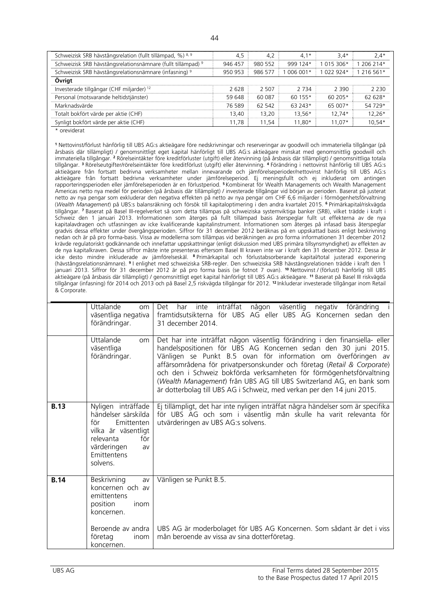| Schweizisk SRB hävstångsrelation (fullt tillämpad, %) <sup>8,9</sup> | 4,5     | 4,2     | $4.1*$   | $3.4*$   | $2.4*$   |
|----------------------------------------------------------------------|---------|---------|----------|----------|----------|
| Schweizisk SRB hävstångsrelationsnämnare (fullt tillämpad) 9         | 946 457 | 980 552 | 999 124* | 015 306* | 206 214* |
| Schweizisk SRB hävstångsrelationsnämnare (infasning) 9               | 950 953 | 986 577 | 006 001* | 022 924* | 216 561* |
| Övriat                                                               |         |         |          |          |          |
| Investerade tillgångar (CHF miljarder) <sup>12</sup>                 | 2628    | 2 5 0 7 | 2 7 3 4  | 2 3 9 0  | 2 2 3 0  |
| Personal (motsvarande heltidstjänster)                               | 59 648  | 60 087  | 60 155*  | 60 205*  | 62 628*  |
| Marknadsvärde                                                        | 76 589  | 62 542  | 63 243*  | 65 007*  | 54 729*  |
| Totalt bokfört värde per aktie (CHF)                                 | 13.40   | 13.20   | $13.56*$ | $12.74*$ | $12,26*$ |
| Synligt bokfört värde per aktie (CHF)                                | 11,78   | 11,54   | $11,80*$ | $11.07*$ | $10,54*$ |

\* oreviderat

**<sup>1</sup>** Nettovinst/förlust hänförlig till UBS AG:s aktieägare före nedskrivningar och reserveringar av goodwill och immateriella tillgångar (på årsbasis där tillämpligt) / genomsnittligt eget kapital hänförligt till UBS AG:s aktieägare minskat med genomsnittlig goodwill och immateriella tillgångar. **<sup>2</sup>** Rörelseintäkter före kreditförluster (utgift) eller återvinning (på årsbasis där tillämpligt) / genomsnittliga totala tillgångar. **<sup>3</sup>** Rörelseutgifter/rörelseintäkter före kreditförlust (utgift) eller återvinning. **<sup>4</sup>** Förändring i nettovinst hänförlig till UBS AG:s aktieägare från fortsatt bedrivna verksamheter mellan innevarande och jämförelseperioder/nettovinst hänförlig till UBS AG:s aktieägare från fortsatt bedrivna verksamheter under jämförelseperiod. Ej meningsfullt och ej inkluderat om antingen rapporteringsperioden eller jämförelseperioden är en förlustperiod. **<sup>5</sup>**Kombinerat för Wealth Managements och Wealth Management Americas netto nya medel för perioden (på årsbasis där tillämpligt) / investerade tillgångar vid början av perioden. Baserat på justerat netto av nya pengar som exkluderar den negativa effekten på netto av nya pengar om CHF 6,6 miljarder i förmögenhetsförvaltning (*Wealth Management*) på UBS:s balansräkning och försök till kapitaloptimering i den andra kvartalet 2015. **<sup>6</sup>** Primärkapital/riskvägda tillgångar. **<sup>7</sup>** Baserat på Basel III-regelverket så som detta tillämpas på schweiziska systemviktiga banker (SRB), vilket trädde i kraft i Schweiz den 1 januari 2013. Informationen som återges på fullt tillämpad basis återspeglar fullt ut effekterna av de nya kapitalavdragen och utfasningen av icke kvalificerande kapitalinstrument. Informationen som återges på infasad basis återspeglar gradvis dessa effekter under övergångsperioden. Siffror för 31 december 2012 beräknas på en uppskattad basis enligt beskrivning nedan och är på pro forma-basis. Vissa av modellerna som tillämpas vid beräkningen av pro forma informationen 31 december 2012 krävde regulatoriskt godkännande och innefattar uppskattningar (enligt diskussion med UBS primära tillsynsmyndighet) av effekten av de nya kapitalkraven. Dessa siffror måste inte presenteras eftersom Basel III kraven inte var i kraft den 31 december 2012. Dessa är icke desto mindre inkluderade av jämförelseskäl. **<sup>8</sup>** Primärkapital och förlustabsorberande kapital/total justerad exponering (hävstångsrelationsnämnare). **<sup>9</sup>** I enlighet med schweiziska SRB-regler. Den schweiziska SRB hävstångsrelationen trädde i kraft den 1 januari 2013. Siffror för 31 december 2012 är på pro forma basis (se fotnot 7 ovan). **<sup>10</sup>** Nettovinst / (förlust) hänförlig till UBS aktieägare (på årsbasis där tillämpligt) / genomsnittligt eget kapital hänförligt till UBS AG:s aktieägare. **<sup>11</sup>** Baserat på Basel III riskvägda tillgångar (infasning) för 2014 och 2013 och på Basel 2,5 riskvägda tillgångar för 2012. **<sup>12</sup>**Inkluderar investerade tillgångar inom Retail & Corporate.

|             | Uttalande<br><b>om</b><br>väsentliga negativa<br>förändringar.                                                                                            | någon väsentlig<br>inträffat<br>negativ förändring<br>inte<br>Det<br>har<br>framtidsutsikterna för UBS AG eller UBS AG Koncernen sedan den<br>31 december 2014.                                                                                                                                                                                                                                                                                                                                                   |
|-------------|-----------------------------------------------------------------------------------------------------------------------------------------------------------|-------------------------------------------------------------------------------------------------------------------------------------------------------------------------------------------------------------------------------------------------------------------------------------------------------------------------------------------------------------------------------------------------------------------------------------------------------------------------------------------------------------------|
|             | Uttalande<br>om<br>väsentliga<br>förändringar.                                                                                                            | Det har inte inträffat någon väsentlig förändring i den finansiella- eller<br>handelspositionen för UBS AG Koncernen sedan den 30 juni 2015.<br>Vänligen se Punkt B.5 ovan för information om överföringen av<br>affärsområdena för privatpersonskunder och företag (Retail & Corporate)<br>och den i Schweiz bokförda verksamheten för förmögenhetsförvaltning<br>(Wealth Management) från UBS AG till UBS Switzerland AG, en bank som<br>är dotterbolag till UBS AG i Schweiz, med verkan per den 14 juni 2015. |
| <b>B.13</b> | Nyligen inträffade<br>händelser särskilda<br>för<br>Emittenten<br>vilka är väsentligt<br>relevanta<br>för<br>värderingen<br>av<br>Emittentens<br>solvens. | Ej tillämpligt, det har inte nyligen inträffat några händelser som är specifika<br>för UBS AG och som i väsentlig mån skulle ha varit relevanta för<br>utvärderingen av UBS AG:s solvens.                                                                                                                                                                                                                                                                                                                         |
| <b>B.14</b> | Beskrivning<br>av<br>koncernen och av<br>emittentens<br>position<br>inom<br>koncernen.<br>Beroende av andra                                               | Vänligen se Punkt B.5.<br>UBS AG är moderbolaget för UBS AG Koncernen. Som sådant är det i viss                                                                                                                                                                                                                                                                                                                                                                                                                   |
|             | företag<br>inom<br>koncernen.                                                                                                                             | mån beroende av vissa av sina dotterföretag.                                                                                                                                                                                                                                                                                                                                                                                                                                                                      |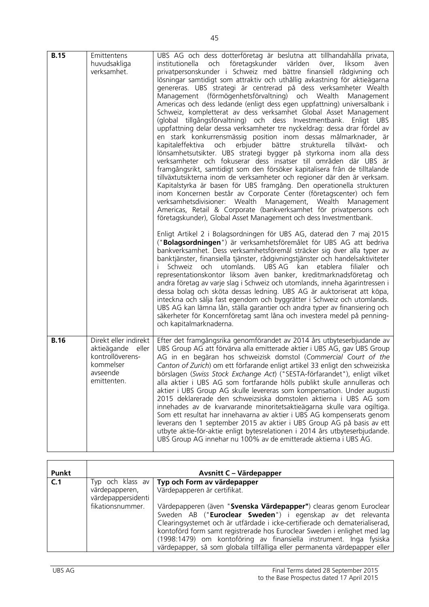| <b>B.15</b> | Emittentens<br>huvudsakliga<br>verksamhet.                                                                | UBS AG och dess dotterföretag är beslutna att tillhandahålla privata,<br>och<br>företagskunder världen över,<br>institutionella<br>liksom<br>även<br>privatpersonskunder i Schweiz med bättre finansiell rådgivning och<br>lösningar samtidigt som attraktiv och uthållig avkastning för aktieägarna<br>genereras. UBS strategi är centrerad på dess verksamheter Wealth<br>Management (förmögenhetsförvaltning) och Wealth Management<br>Americas och dess ledande (enligt dess egen uppfattning) universalbank i<br>Schweiz, kompletterat av dess verksamhet Global Asset Management<br>(global tillgångsförvaltning) och dess Investmentbank. Enligt UBS<br>uppfattning delar dessa verksamheter tre nyckeldrag: dessa drar fördel av<br>en stark konkurrensmässig position inom dessas målmarknader, är<br>erbjuder<br>bättre<br>strukturella<br>kapitaleffektiva<br>och<br>tillväxt-<br>och<br>lönsamhetsutsikter. UBS strategi bygger på styrkorna inom alla dess<br>verksamheter och fokuserar dess insatser till områden där UBS är<br>framgångsrikt, samtidigt som den försöker kapitalisera från de tilltalande<br>tillväxtutsikterna inom de verksamheter och regioner där den är verksam.<br>Kapitalstyrka är basen för UBS framgång. Den operationella strukturen<br>inom Koncernen består av Corporate Center (företagscenter) och fem<br>verksamhetsdivisioner: Wealth Management, Wealth Management<br>Americas, Retail & Corporate (bankverksamhet för privatpersons och<br>företagskunder), Global Asset Management och dess Investmentbank.<br>Enligt Artikel 2 i Bolagsordningen för UBS AG, daterad den 7 maj 2015<br>("Bolagsordningen") är verksamhetsföremålet för UBS AG att bedriva<br>bankverksamhet. Dess verksamhetsföremål sträcker sig över alla typer av |
|-------------|-----------------------------------------------------------------------------------------------------------|------------------------------------------------------------------------------------------------------------------------------------------------------------------------------------------------------------------------------------------------------------------------------------------------------------------------------------------------------------------------------------------------------------------------------------------------------------------------------------------------------------------------------------------------------------------------------------------------------------------------------------------------------------------------------------------------------------------------------------------------------------------------------------------------------------------------------------------------------------------------------------------------------------------------------------------------------------------------------------------------------------------------------------------------------------------------------------------------------------------------------------------------------------------------------------------------------------------------------------------------------------------------------------------------------------------------------------------------------------------------------------------------------------------------------------------------------------------------------------------------------------------------------------------------------------------------------------------------------------------------------------------------------------------------------------------------------------------------------------------------------------------------------------------|
|             |                                                                                                           | banktjänster, finansiella tjänster, rådgivningstjänster och handelsaktiviteter<br>Schweiz och utomlands. UBS AG kan<br>etablera<br>filialer<br>och.<br>representationskontor liksom även banker, kreditmarknadsföretag och<br>andra företag av varje slag i Schweiz och utomlands, inneha ägarintressen i<br>dessa bolag och sköta dessas ledning. UBS AG är auktoriserat att köpa,<br>inteckna och sälja fast egendom och byggrätter i Schweiz och utomlands.<br>UBS AG kan lämna lån, ställa garantier och andra typer av finansiering och<br>säkerheter för Koncernföretag samt låna och investera medel på penning-<br>och kapitalmarknaderna.                                                                                                                                                                                                                                                                                                                                                                                                                                                                                                                                                                                                                                                                                                                                                                                                                                                                                                                                                                                                                                                                                                                                       |
| <b>B.16</b> | Direkt eller indirekt<br>aktieägande<br>eller<br>kontrollöverens-<br>kommelser<br>avseende<br>emittenten. | Efter det framgångsrika genomförandet av 2014 års utbyteserbjudande av<br>UBS Group AG att förvärva alla emitterade aktier i UBS AG, gav UBS Group<br>AG in en begäran hos schweizisk domstol (Commercial Court of the<br>Canton of Zurich) om ett förfarande enligt artikel 33 enligt den schweiziska<br>börslagen (Swiss Stock Exchange Act) ("SESTA-förfarandet"), enligt vilket<br>alla aktier i UBS AG som fortfarande hölls publikt skulle annulleras och<br>aktier i UBS Group AG skulle levereras som kompensation. Under augusti<br>2015 deklarerade den schweizsiska domstolen aktierna i UBS AG som<br>innehades av de kvarvarande minoritetsaktieägarna skulle vara ogiltiga.<br>Som ett resultat har innehavarna av aktier i UBS AG kompenserats genom<br>leverans den 1 september 2015 av aktier i UBS Group AG på basis av ett<br>utbyte aktie-för-aktie enligt bytesrelationen i 2014 års utbyteserbjudande.<br>UBS Group AG innehar nu 100% av de emitterade aktierna i UBS AG.                                                                                                                                                                                                                                                                                                                                                                                                                                                                                                                                                                                                                                                                                                                                                                                         |

| Punkt |                                      | <b>Avsnitt C - Värdepapper</b>                                                                                                                                                                                                                                                                                                                                                                                                                  |
|-------|--------------------------------------|-------------------------------------------------------------------------------------------------------------------------------------------------------------------------------------------------------------------------------------------------------------------------------------------------------------------------------------------------------------------------------------------------------------------------------------------------|
| C.1   | värdepapperen,<br>värdepappersidenti | Typ och klass av   Typ och Form av värdepapper<br>Värdepapperen är certifikat.                                                                                                                                                                                                                                                                                                                                                                  |
|       | fikationsnummer.                     | Värdepapperen (även "Svenska Värdepapper") clearas genom Euroclear<br>Sweden AB ("Euroclear Sweden") i egenskap av det relevanta<br>Clearingsystemet och är utfärdade i icke-certifierade och dematerialiserad,<br>kontoförd form samt registrerade hos Euroclear Sweden i enlighet med lag<br>(1998:1479) om kontoföring av finansiella instrument. Inga fysiska<br>värdepapper, så som globala tillfälliga eller permanenta värdepapper eller |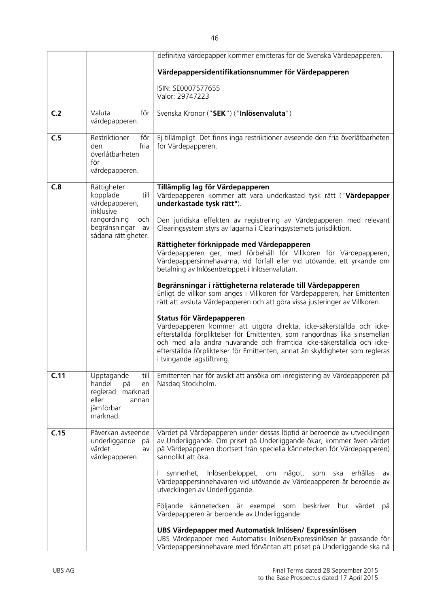|      |                                                                                                                                    | definitiva värdepapper kommer emitteras för de Svenska Värdepapperen.                                                                                                                                                                                                                                                                                                                                                                                                                                                                                                                                                                                                                                                                                                                                                                                                                                                                                                                                                                                                                                                              |
|------|------------------------------------------------------------------------------------------------------------------------------------|------------------------------------------------------------------------------------------------------------------------------------------------------------------------------------------------------------------------------------------------------------------------------------------------------------------------------------------------------------------------------------------------------------------------------------------------------------------------------------------------------------------------------------------------------------------------------------------------------------------------------------------------------------------------------------------------------------------------------------------------------------------------------------------------------------------------------------------------------------------------------------------------------------------------------------------------------------------------------------------------------------------------------------------------------------------------------------------------------------------------------------|
|      |                                                                                                                                    | Värdepappersidentifikationsnummer för Värdepapperen                                                                                                                                                                                                                                                                                                                                                                                                                                                                                                                                                                                                                                                                                                                                                                                                                                                                                                                                                                                                                                                                                |
|      |                                                                                                                                    | ISIN: SE0007577655<br>Valor: 29747223                                                                                                                                                                                                                                                                                                                                                                                                                                                                                                                                                                                                                                                                                                                                                                                                                                                                                                                                                                                                                                                                                              |
| C.2  | Valuta<br>för<br>värdepapperen.                                                                                                    | Svenska Kronor ("SEK") ("Inlösenvaluta")                                                                                                                                                                                                                                                                                                                                                                                                                                                                                                                                                                                                                                                                                                                                                                                                                                                                                                                                                                                                                                                                                           |
| C.5  | Restriktioner<br>för  <br>fria<br>den<br>överlåtbarheten<br>för<br>värdepapperen.                                                  | Ej tillämpligt. Det finns inga restriktioner avseende den fria överlåtbarheten<br>för Värdepapperen.                                                                                                                                                                                                                                                                                                                                                                                                                                                                                                                                                                                                                                                                                                                                                                                                                                                                                                                                                                                                                               |
| C.8  | Rättigheter<br>kopplade<br>till<br>värdepapperen,<br>inklusive<br>rangordning<br>och<br>begränsningar<br>av<br>sådana rättigheter. | Tillämplig lag för Värdepapperen<br>Värdepapperen kommer att vara underkastad tysk rätt ("Värdepapper<br>underkastade tysk rätt").<br>Den juridiska effekten av registrering av Värdepapperen med relevant<br>Clearingsystem styrs av lagarna i Clearingsystemets jurisdiktion.<br>Rättigheter förknippade med Värdepapperen<br>Värdepapperen ger, med förbehåll för Villkoren för Värdepapperen,<br>Värdepappersinnehavarna, vid förfall eller vid utövande, ett yrkande om<br>betalning av Inlösenbeloppet i Inlösenvalutan.<br>Begränsningar i rättigheterna relaterade till Värdepapperen<br>Enligt de villkor som anges i Villkoren för Värdepapperen, har Emittenten<br>rätt att avsluta Värdepapperen och att göra vissa justeringer av Villkoren.<br>Status för Värdepapperen<br>Värdepapperen kommer att utgöra direkta, icke-säkerställda och icke-<br>efterställda förpliktelser för Emittenten, som rangordnas lika sinsemellan<br>och med alla andra nuvarande och framtida icke-säkerställda och icke-<br>efterställda förpliktelser för Emittenten, annat än skyldigheter som regleras<br>i tvingande lagstiftning. |
| C.11 | Upptagande<br>till<br>handel<br>på<br>en<br>reglerad marknad<br>eller<br>annan<br>jämförbar<br>marknad.                            | Emittenten har för avsikt att ansöka om inregistering av Värdepapperen på<br>Nasdag Stockholm.                                                                                                                                                                                                                                                                                                                                                                                                                                                                                                                                                                                                                                                                                                                                                                                                                                                                                                                                                                                                                                     |
| C.15 | Påverkan avseende<br>underliggande<br>på<br>värdet<br>av<br>värdepapperen.                                                         | Värdet på Värdepapperen under dessas löptid är beroende av utvecklingen<br>av Underliggande. Om priset på Underliggande ökar, kommer även värdet<br>på Värdepapperen (bortsett från speciella kännetecken för Värdepapperen)<br>sannolikt att öka.<br>synnerhet, Inlösenbeloppet,<br>något,<br>ska<br>erhållas<br>om<br>som<br>av<br>Värdepappersinnehavaren vid utövande av Värdepapperen är beroende av<br>utvecklingen av Underliggande.<br>Följande kännetecken är exempel som beskriver hur värdet<br>på<br>Värdepapperen är beroende av Underliggande:<br>UBS Värdepapper med Automatisk Inlösen/ Expressinlösen<br>UBS Värdepapper med Automatisk Inlösen/Expressinlösen är passande för<br>Värdepappersinnehavare med förväntan att priset på Underliggande ska nå                                                                                                                                                                                                                                                                                                                                                         |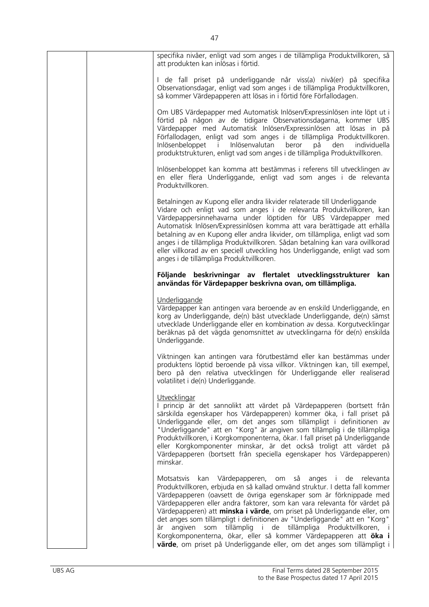| specifika nivåer, enligt vad som anges i de tillämpliga Produktvillkoren, så<br>att produkten kan inlösas i förtid.                                                                                                                                                                                                                                                                                                                                                                                                                                                                                                                                                      |
|--------------------------------------------------------------------------------------------------------------------------------------------------------------------------------------------------------------------------------------------------------------------------------------------------------------------------------------------------------------------------------------------------------------------------------------------------------------------------------------------------------------------------------------------------------------------------------------------------------------------------------------------------------------------------|
| I de fall priset på underliggande når viss(a) nivå(er) på specifika<br>Observationsdagar, enligt vad som anges i de tillämpliga Produktvillkoren,<br>så kommer Värdepapperen att lösas in i förtid före Förfallodagen.                                                                                                                                                                                                                                                                                                                                                                                                                                                   |
| Om UBS Värdepapper med Automatisk Inlösen/Expressinlösen inte löpt ut i<br>förtid på någon av de tidigare Observationsdagarna, kommer UBS<br>Värdepapper med Automatisk Inlösen/Expressinlösen att lösas in på<br>Förfallodagen, enligt vad som anges i de tillämpliga Produktvillkoren.<br>Inlösenbeloppet i<br>Inlösenvalutan<br>beror på den individuella<br>produktstrukturen, enligt vad som anges i de tillämpliga Produktvillkoren.                                                                                                                                                                                                                               |
| Inlösenbeloppet kan komma att bestämmas i referens till utvecklingen av<br>en eller flera Underliggande, enligt vad som anges i de relevanta<br>Produktvillkoren.                                                                                                                                                                                                                                                                                                                                                                                                                                                                                                        |
| Betalningen av Kupong eller andra likvider relaterade till Underliggande<br>Vidare och enligt vad som anges i de relevanta Produktvillkoren, kan<br>Värdepappersinnehavarna under löptiden för UBS Värdepapper med<br>Automatisk Inlösen/Expressinlösen komma att vara berättigade att erhålla<br>betalning av en Kupong eller andra likvider, om tillämpliga, enligt vad som<br>anges i de tillämpliga Produktvillkoren. Sådan betalning kan vara ovillkorad<br>eller villkorad av en speciell utveckling hos Underliggande, enligt vad som<br>anges i de tillämpliga Produktvillkoren.                                                                                 |
| Följande beskrivningar av flertalet utvecklingsstrukturer kan<br>användas för Värdepapper beskrivna ovan, om tillämpliga.                                                                                                                                                                                                                                                                                                                                                                                                                                                                                                                                                |
| Underliggande<br>Värdepapper kan antingen vara beroende av en enskild Underliggande, en<br>korg av Underliggande, de(n) bäst utvecklade Underliggande, de(n) sämst<br>utvecklade Underliggande eller en kombination av dessa. Korgutvecklingar<br>beräknas på det vägda genomsnittet av utvecklingarna för de(n) enskilda<br>Underliggande.                                                                                                                                                                                                                                                                                                                              |
| Viktningen kan antingen vara förutbestämd eller kan bestämmas under<br>produktens löptid beroende på vissa villkor. Viktningen kan, till exempel,<br>bero på den relativa utvecklingen för Underliggande eller realiserad<br>volatilitet i de(n) Underliggande.                                                                                                                                                                                                                                                                                                                                                                                                          |
| Utvecklingar<br>I princip är det sannolikt att värdet på Värdepapperen (bortsett från<br>särskilda egenskaper hos Värdepapperen) kommer öka, i fall priset på<br>Underliggande eller, om det anges som tillämpligt i definitionen av<br>"Underliggande" att en "Korg" är angiven som tillämplig i de tillämpliga<br>Produktvillkoren, i Korgkomponenterna, ökar. I fall priset på Underliggande<br>eller Korgkomponenter minskar, är det också troligt att värdet på<br>Värdepapperen (bortsett från speciella egenskaper hos Värdepapperen)<br>minskar.                                                                                                                 |
| Motsatsvis kan Värdepapperen, om så anges i de relevanta<br>Produktvillkoren, erbjuda en så kallad omvänd struktur. I detta fall kommer<br>Värdepapperen (oavsett de övriga egenskaper som är förknippade med<br>Värdepapperen eller andra faktorer, som kan vara relevanta för värdet på<br>Värdepapperen) att minska i värde, om priset på Underliggande eller, om<br>det anges som tillämpligt i definitionen av "Underliggande" att en "Korg"<br>som tillämplig i de tillämpliga Produktvillkoren, i<br>angiven<br>är<br>Korgkomponenterna, ökar, eller så kommer Värdepapperen att öka i<br>värde, om priset på Underliggande eller, om det anges som tillämpligt i |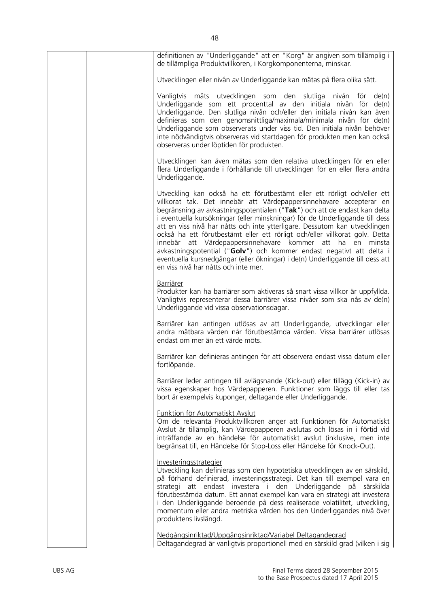| definitionen av "Underliggande" att en "Korg" är angiven som tillämplig i<br>de tillämpliga Produktvillkoren, i Korgkomponenterna, minskar.                                                                                                                                                                                                                                                                                                                                                                                                                                                                                                                                                                                              |
|------------------------------------------------------------------------------------------------------------------------------------------------------------------------------------------------------------------------------------------------------------------------------------------------------------------------------------------------------------------------------------------------------------------------------------------------------------------------------------------------------------------------------------------------------------------------------------------------------------------------------------------------------------------------------------------------------------------------------------------|
| Utvecklingen eller nivån av Underliggande kan mätas på flera olika sätt.                                                                                                                                                                                                                                                                                                                                                                                                                                                                                                                                                                                                                                                                 |
| Vanligtvis mäts utvecklingen som den slutliga nivån för<br>de(n)<br>Underliggande som ett procenttal av den initiala nivån för de(n)<br>Underliggande. Den slutliga nivån och/eller den initiala nivån kan även<br>definieras som den genomsnittliga/maximala/minimala nivån för de(n)<br>Underliggande som observerats under viss tid. Den initiala nivån behöver<br>inte nödvändigtvis observeras vid startdagen för produkten men kan också<br>observeras under löptiden för produkten.                                                                                                                                                                                                                                               |
| Utvecklingen kan även mätas som den relativa utvecklingen för en eller<br>flera Underliggande i förhållande till utvecklingen för en eller flera andra<br>Underliggande.                                                                                                                                                                                                                                                                                                                                                                                                                                                                                                                                                                 |
| Utveckling kan också ha ett förutbestämt eller ett rörligt och/eller ett<br>villkorat tak. Det innebär att Värdepappersinnehavare accepterar en<br>begränsning av avkastningspotentialen ("Tak") och att de endast kan delta<br>i eventuella kursökningar (eller minskningar) för de Underliggande till dess<br>att en viss nivå har nåtts och inte ytterligare. Dessutom kan utvecklingen<br>också ha ett förutbestämt eller ett rörligt och/eller villkorat golv. Detta<br>innebär att Värdepappersinnehavare kommer att ha en minsta<br>avkastningspotential ("Golv") och kommer endast negativt att delta i<br>eventuella kursnedgångar (eller ökningar) i de(n) Underliggande till dess att<br>en viss nivå har nåtts och inte mer. |
| <b>Barriärer</b><br>Produkter kan ha barriärer som aktiveras så snart vissa villkor är uppfyllda.<br>Vanligtvis representerar dessa barriärer vissa nivåer som ska nås av de(n)<br>Underliggande vid vissa observationsdagar.                                                                                                                                                                                                                                                                                                                                                                                                                                                                                                            |
| Barriärer kan antingen utlösas av att Underliggande, utvecklingar eller<br>andra mätbara värden når förutbestämda värden. Vissa barriärer utlösas<br>endast om mer än ett värde möts.                                                                                                                                                                                                                                                                                                                                                                                                                                                                                                                                                    |
| Barriärer kan definieras antingen för att observera endast vissa datum eller<br>fortlöpande.                                                                                                                                                                                                                                                                                                                                                                                                                                                                                                                                                                                                                                             |
| Barriärer leder antingen till avlägsnande (Kick-out) eller tillägg (Kick-in) av<br>vissa egenskaper hos Värdepapperen. Funktioner som läggs till eller tas<br>bort är exempelvis kuponger, deltagande eller Underliggande.                                                                                                                                                                                                                                                                                                                                                                                                                                                                                                               |
| <b>Funktion för Automatiskt Avslut</b><br>Om de relevanta Produktvillkoren anger att Funktionen för Automatiskt<br>Avslut är tillämplig, kan Värdepapperen avslutas och lösas in i förtid vid<br>inträffande av en händelse för automatiskt avslut (inklusive, men inte<br>begränsat till, en Händelse för Stop-Loss eller Händelse för Knock-Out).                                                                                                                                                                                                                                                                                                                                                                                      |
| Investeringsstrategier<br>Utveckling kan definieras som den hypotetiska utvecklingen av en särskild,<br>på förhand definierad, investeringsstrategi. Det kan till exempel vara en<br>strategi att endast investera i den Underliggande på särskilda<br>förutbestämda datum. Ett annat exempel kan vara en strategi att investera<br>i den Underliggande beroende på dess realiserade volatilitet, utveckling,<br>momentum eller andra metriska värden hos den Underliggandes nivå över<br>produktens livslängd.                                                                                                                                                                                                                          |
| Nedgångsinriktad/Uppgångsinriktad/Variabel Deltagandegrad<br>Deltagandegrad är vanligtvis proportionell med en särskild grad (vilken i sig                                                                                                                                                                                                                                                                                                                                                                                                                                                                                                                                                                                               |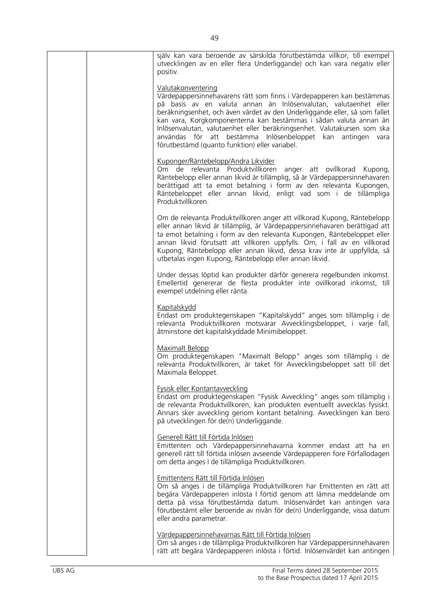| själv kan vara beroende av särskilda förutbestämda villkor, till exempel<br>utvecklingen av en eller flera Underliggande) och kan vara negativ eller<br>positiv.                                                                                                                                                                                                                                                                                                                                                      |
|-----------------------------------------------------------------------------------------------------------------------------------------------------------------------------------------------------------------------------------------------------------------------------------------------------------------------------------------------------------------------------------------------------------------------------------------------------------------------------------------------------------------------|
| <u>Valutakonventering</u><br>Värdepappersinnehavarens rätt som finns i Värdepapperen kan bestämmas<br>på basis av en valuta annan än Inlösenvalutan, valutaenhet eller<br>beräkningsenhet, och även värdet av den Underliggande eller, så som fallet<br>kan vara, Korgkomponenterna kan bestämmas i sådan valuta annan än<br>Inlösenvalutan, valutaenhet eller beräkningsenhet. Valutakursen som ska<br>användas för att bestämma Inlösenbeloppet kan antingen vara<br>förutbestämd (quanto funktion) eller variabel. |
| Kuponger/Räntebelopp/Andra Likvider<br>relevanta Produktvillkoren anger att ovillkorad Kupong,<br>Om de<br>Räntebelopp eller annan likvid är tillämplig, så är Värdepappersinnehavaren<br>berättigad att ta emot betalning i form av den relevanta Kupongen,<br>Räntebeloppet eller annan likvid, enligt vad som i de tillämpliga<br>Produktvillkoren.                                                                                                                                                                |
| Om de relevanta Produktvillkoren anger att villkorad Kupong, Räntebelopp<br>eller annan likvid är tillämplig, är Värdepappersinnehavaren berättigad att<br>ta emot betalning i form av den relevanta Kupongen, Räntebeloppet eller<br>annan likvid förutsatt att villkoren uppfylls. Om, i fall av en villkorad<br>Kupong, Räntebelopp eller annan likvid, dessa krav inte är uppfyllda, så<br>utbetalas ingen Kupong, Räntebelopp eller annan likvid.                                                                |
| Under dessas löptid kan produkter därför generera regelbunden inkomst.<br>Emellertid genererar de flesta produkter inte ovillkorad inkomst, till<br>exempel utdelning eller ränta.                                                                                                                                                                                                                                                                                                                                    |
| Kapitalskydd<br>Endast om produktegenskapen "Kapitalskydd" anges som tillämplig i de<br>relevanta Produktvillkoren motsvarar Avvecklingsbeloppet, i varje fall,<br>åtminstone det kapitalskyddade Minimibeloppet.                                                                                                                                                                                                                                                                                                     |
| Maximalt Belopp<br>Om produktegenskapen "Maximalt Belopp" anges som tillämplig i de<br>relevanta Produktvillkoren, är taket för Avvecklingsbeloppet satt till det<br>Maximala Beloppet.                                                                                                                                                                                                                                                                                                                               |
| <b>Fysisk eller Kontantavveckling</b><br>Endast om produktegenskapen "Fysisk Avveckling" anges som tillämplig i<br>de relevanta Produktvillkoren, kan produkten eventuellt avvecklas fysiskt.<br>Annars sker avveckling genom kontant betalning. Avvecklingen kan bero<br>på utvecklingen för de(n) Underliggande.                                                                                                                                                                                                    |
| Generell Rätt till Förtida Inlösen<br>Emittenten och Värdepappersinnehavarna kommer endast att ha en<br>generell rätt till förtida inlösen avseende Värdepapperen fore Förfallodagen<br>om detta anges I de tillämpliga Produktvillkoren.                                                                                                                                                                                                                                                                             |
| Emittentens Rätt till Förtida Inlösen<br>Om så anges i de tillämpliga Produktvillkoren har Emittenten en rätt att<br>begära Värdepapperen inlösta I förtid genom att lämna meddelande om<br>detta på vissa förutbestämda datum. Inlösenvärdet kan antingen vara<br>förutbestämt eller beroende av nivån för de(n) Underliggande, vissa datum<br>eller andra parametrar.                                                                                                                                               |
| Värdepappersinnehavarnas Rätt till Förtida Inlösen<br>Om så anges i de tillämpliga Produktvillkoren har Värdepappersinnehavaren<br>rätt att begära Värdepapperen inlösta i förtid. Inlösenvärdet kan antingen                                                                                                                                                                                                                                                                                                         |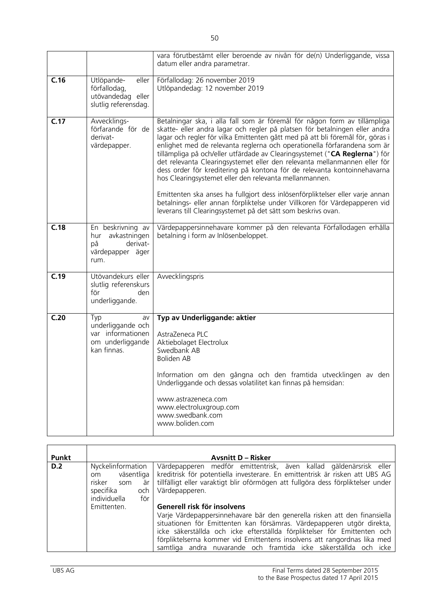|      |                                                                                        | vara förutbestämt eller beroende av nivån för de(n) Underliggande, vissa                                                                                                                                                                                                                                                                                                                                                                                                                                                                                                                                                                                                                                                                                                                                                                               |
|------|----------------------------------------------------------------------------------------|--------------------------------------------------------------------------------------------------------------------------------------------------------------------------------------------------------------------------------------------------------------------------------------------------------------------------------------------------------------------------------------------------------------------------------------------------------------------------------------------------------------------------------------------------------------------------------------------------------------------------------------------------------------------------------------------------------------------------------------------------------------------------------------------------------------------------------------------------------|
|      |                                                                                        | datum eller andra parametrar.                                                                                                                                                                                                                                                                                                                                                                                                                                                                                                                                                                                                                                                                                                                                                                                                                          |
| C.16 | Utlöpande-<br>eller<br>förfallodag,<br>utövandedag eller<br>slutlig referensdag.       | Förfallodag: 26 november 2019<br>Utlöpandedag: 12 november 2019                                                                                                                                                                                                                                                                                                                                                                                                                                                                                                                                                                                                                                                                                                                                                                                        |
| C.17 | Avvecklings-<br>förfarande för de<br>derivat-<br>värdepapper.                          | Betalningar ska, i alla fall som är föremål för någon form av tillämpliga<br>skatte- eller andra lagar och regler på platsen för betalningen eller andra<br>lagar och regler för vilka Emittenten gått med på att bli föremål för, göras i<br>enlighet med de relevanta reglerna och operationella förfarandena som är<br>tillämpliga på och/eller utfärdade av Clearingsystemet ("CA Reglerna") för<br>det relevanta Clearingsystemet eller den relevanta mellanmannen eller för<br>dess order för kreditering på kontona för de relevanta kontoinnehavarna<br>hos Clearingsystemet eller den relevanta mellanmannen.<br>Emittenten ska anses ha fullgjort dess inlösenförpliktelser eller varje annan<br>betalnings- eller annan förpliktelse under Villkoren för Värdepapperen vid<br>leverans till Clearingsystemet på det sätt som beskrivs ovan. |
| C.18 | En beskrivning av<br>avkastningen<br>hur<br>derivat-<br>рå<br>värdepapper äger<br>rum. | Värdepappersinnehavare kommer på den relevanta Förfallodagen erhålla<br>betalning i form av Inlösenbeloppet.                                                                                                                                                                                                                                                                                                                                                                                                                                                                                                                                                                                                                                                                                                                                           |
| C.19 | Utövandekurs eller<br>slutlig referenskurs<br>för<br>den<br>underliggande.             | Avvecklingspris                                                                                                                                                                                                                                                                                                                                                                                                                                                                                                                                                                                                                                                                                                                                                                                                                                        |
| C.20 | Typ<br>av<br>underliggande och<br>var informationen<br>om underliggande<br>kan finnas. | Typ av Underliggande: aktier<br>AstraZeneca PLC<br>Aktiebolaget Electrolux<br>Swedbank AB<br><b>Boliden AB</b><br>Information om den gångna och den framtida utvecklingen av den<br>Underliggande och dessas volatilitet kan finnas på hemsidan:<br>www.astrazeneca.com<br>www.electroluxgroup.com<br>www.swedbank.com<br>www.boliden.com                                                                                                                                                                                                                                                                                                                                                                                                                                                                                                              |

| <b>Punkt</b> |                                                                                                             | <b>Avsnitt D – Risker</b>                                                                                                                                                                                                                                                                                                                                                                                      |
|--------------|-------------------------------------------------------------------------------------------------------------|----------------------------------------------------------------------------------------------------------------------------------------------------------------------------------------------------------------------------------------------------------------------------------------------------------------------------------------------------------------------------------------------------------------|
| D.2          | Nyckelinformation<br>väsentliga<br>om<br>risker<br>är I<br>som<br>specifika<br>och I<br>individuella<br>för | Värdepapperen medför emittentrisk, även kallad gäldenärsrisk eller<br>kreditrisk för potentiella investerare. En emittentrisk är risken att UBS AG<br>tillfälligt eller varaktigt blir oförmögen att fullgöra dess förpliktelser under<br>Värdepapperen.                                                                                                                                                       |
|              | Emittenten.                                                                                                 | Generell risk för insolvens<br>Varje Värdepappersinnehavare bär den generella risken att den finansiella<br>situationen för Emittenten kan försämras. Värdepapperen utgör direkta,<br>icke säkerställda och icke efterställda förpliktelser för Emittenten och<br>förpliktelserna kommer vid Emittentens insolvens att rangordnas lika med<br>samtliga andra nuvarande och framtida icke säkerställda och icke |

 $\overline{\mathsf{I}}$ 

 $\overline{1}$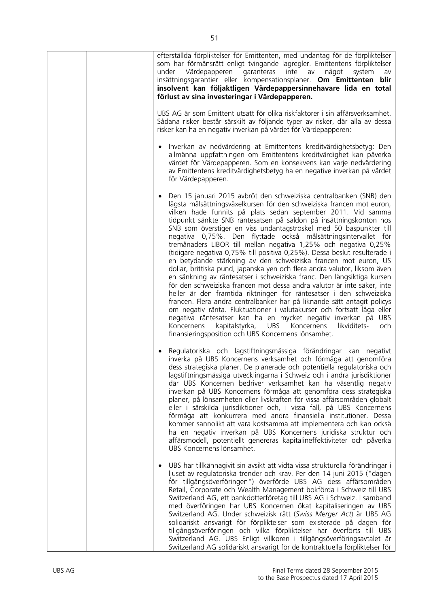| efterställda förpliktelser för Emittenten, med undantag för de förpliktelser<br>som har förmånsrätt enligt tvingande lagregler. Emittentens förpliktelser<br>under Värdepapperen<br>garanteras<br>inte<br>av något system<br>av<br>insättningsgarantier eller kompensationsplaner. Om Emittenten blir<br>insolvent kan följaktligen Värdepappersinnehavare lida en total<br>förlust av sina investeringar i Värdepapperen.                                                                                                                                                                                                                                                                                                                                                                                                                                                                                                                                                                                                                                                                                                                                                                                                                                                                                  |
|-------------------------------------------------------------------------------------------------------------------------------------------------------------------------------------------------------------------------------------------------------------------------------------------------------------------------------------------------------------------------------------------------------------------------------------------------------------------------------------------------------------------------------------------------------------------------------------------------------------------------------------------------------------------------------------------------------------------------------------------------------------------------------------------------------------------------------------------------------------------------------------------------------------------------------------------------------------------------------------------------------------------------------------------------------------------------------------------------------------------------------------------------------------------------------------------------------------------------------------------------------------------------------------------------------------|
| UBS AG är som Emittent utsatt för olika riskfaktorer i sin affärsverksamhet.<br>Sådana risker består särskilt av följande typer av risker, där alla av dessa<br>risker kan ha en negativ inverkan på värdet för Värdepapperen:                                                                                                                                                                                                                                                                                                                                                                                                                                                                                                                                                                                                                                                                                                                                                                                                                                                                                                                                                                                                                                                                              |
| Inverkan av nedvärdering at Emittentens kreditvärdighetsbetyg: Den<br>allmänna uppfattningen om Emittentens kreditvärdighet kan påverka<br>värdet för Värdepapperen. Som en konsekvens kan varje nedvärdering<br>av Emittentens kreditvärdighetsbetyg ha en negative inverkan på värdet<br>för Värdepapperen.                                                                                                                                                                                                                                                                                                                                                                                                                                                                                                                                                                                                                                                                                                                                                                                                                                                                                                                                                                                               |
| Den 15 januari 2015 avbröt den schweiziska centralbanken (SNB) den<br>lägsta målsättningsväxelkursen för den schweiziska francen mot euron,<br>vilken hade funnits på plats sedan september 2011. Vid samma<br>tidpunkt sänkte SNB räntesatsen på saldon på insättningskonton hos<br>SNB som överstiger en viss undantagströskel med 50 baspunkter till<br>negativa 0,75%. Den flyttade också målsättningsintervallet för<br>tremånaders LIBOR till mellan negativa 1,25% och negativa 0,25%<br>(tidigare negativa 0,75% till positiva 0,25%). Dessa beslut resulterade i<br>en betydande stärkning av den schweiziska francen mot euron, US<br>dollar, brittiska pund, japanska yen och flera andra valutor, liksom även<br>en sänkning av räntesatser i schweiziska franc. Den långsiktiga kursen<br>för den schweiziska francen mot dessa andra valutor är inte säker, inte<br>heller är den framtida riktningen för räntesatser i den schweiziska<br>francen. Flera andra centralbanker har på liknande sätt antagit policys<br>om negativ ränta. Fluktuationer i valutakurser och fortsatt låga eller<br>negativa räntesatser kan ha en mycket negativ inverkan på UBS<br>Koncernens<br>kapitalstyrka,<br>UBS Koncernens<br>likviditets-<br>och<br>finansieringsposition och UBS Koncernens lönsamhet. |
| Regulatoriska och lagstiftningsmässiga förändringar kan negativt<br>inverka på UBS Koncernens verksamhet och förmåga att genomföra<br>dess strategiska planer. De planerade och potentiella regulatoriska och<br>lagstiftningsmässiga utvecklingarna i Schweiz och i andra jurisdiktioner<br>där UBS Koncernen bedriver verksamhet kan ha väsentlig negativ<br>inverkan på UBS Koncernens förmåga att genomföra dess strategiska<br>planer, på lönsamheten eller livskraften för vissa affärsområden globalt<br>eller i särskilda jurisdiktioner och, i vissa fall, på UBS Koncernens<br>förmåga att konkurrera med andra finansiella institutioner. Dessa<br>kommer sannolikt att vara kostsamma att implementera och kan också<br>ha en negativ inverkan på UBS Koncernens juridiska struktur och<br>affärsmodell, potentiellt genereras kapitalineffektiviteter och påverka<br>UBS Koncernens lönsamhet.                                                                                                                                                                                                                                                                                                                                                                                                 |
| UBS har tillkännagivit sin avsikt att vidta vissa strukturella förändringar i<br>ljuset av regulatoriska trender och krav. Per den 14 juni 2015 ("dagen<br>för tillgångsöverföringen") överförde UBS AG dess affärsområden<br>Retail, Corporate och Wealth Management bokförda i Schweiz till UBS<br>Switzerland AG, ett bankdotterföretag till UBS AG i Schweiz. I samband<br>med överföringen har UBS Koncernen ökat kapitaliseringen av UBS<br>Switzerland AG. Under schweizisk rätt (Swiss Merger Act) är UBS AG<br>solidariskt ansvarigt för förpliktelser som existerade på dagen för<br>tillgångsöverföringen och vilka förpliktelser har överförts till UBS<br>Switzerland AG. UBS Enligt villkoren i tillgångsöverföringsavtalet är<br>Switzerland AG solidariskt ansvarigt för de kontraktuella förpliktelser för                                                                                                                                                                                                                                                                                                                                                                                                                                                                                 |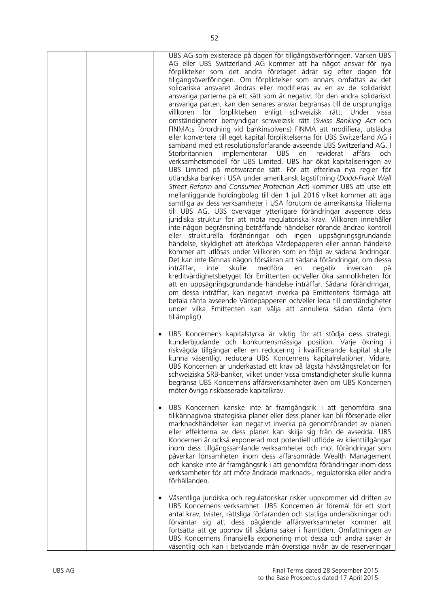| UBS AG som existerade på dagen för tillgångsöverföringen. Varken UBS<br>AG eller UBS Switzerland AG kommer att ha något ansvar för nya<br>förpliktelser som det andra företaget ådrar sig efter dagen för<br>tillgångsöverföringen. Om förpliktelser som annars omfattas av det<br>solidariska ansvaret ändras eller modifieras av en av de solidariskt<br>ansvariga parterna på ett sätt som är negativt för den andra solidariskt<br>ansvariga parten, kan den senares ansvar begränsas till de ursprungliga<br>villkoren för förpliktelsen enligt schweizisk rätt. Under vissa<br>omständigheter bemyndigar schweizisk rätt (Swiss Banking Act och<br>FINMA:s förordning vid bankinsolvens) FINMA att modifiera, utsläcka<br>eller konvertera till eget kapital förpliktelserna för UBS Switzerland AG i<br>samband med ett resolutionsförfarande avseende UBS Switzerland AG. I<br>implementerar UBS<br>affärs<br>Storbritannien<br>reviderat<br>och<br>en<br>verksamhetsmodell för UBS Limited. UBS har ökat kapitaliseringen av<br>UBS Limited på motsvarande sätt. För att efterleva nya regler för<br>utländska banker i USA under amerikansk lagstiftning (Dodd-Frank Wall<br>Street Reform and Consumer Protection Act) kommer UBS att utse ett<br>mellanliggande holdingbolag till den 1 juli 2016 vilket kommer att äga<br>samtliga av dess verksamheter i USA förutom de amerikanska filialerna<br>till UBS AG. UBS överväger ytterligare förändringar avseende dess<br>juridiska struktur för att möta regulatoriska krav. Villkoren innehåller<br>inte någon begränsning beträffande händelser rörande ändrad kontroll<br>eller strukturella förändringar och ingen uppsägningsgrundande<br>händelse, skyldighet att återköpa Värdepapperen eller annan händelse<br>kommer att utlösas under Villkoren som en följd av sådana ändringar.<br>Det kan inte lämnas någon försäkran att sådana förändringar, om dessa<br>skulle<br>inträffar,<br>inte<br>medföra<br>negativ<br>en<br>inverkan<br>рå<br>kreditvärdighetsbetyget för Emittenten och/eller öka sannolikheten för<br>att en uppsägningsgrundande händelse inträffar. Sådana förändringar,<br>om dessa inträffar, kan negativt inverka på Emittentens förmåga att<br>betala ränta avseende Värdepapperen och/eller leda till omständigheter<br>under vilka Emittenten kan välja att annullera sådan ränta (om<br>tillämpligt). |
|------------------------------------------------------------------------------------------------------------------------------------------------------------------------------------------------------------------------------------------------------------------------------------------------------------------------------------------------------------------------------------------------------------------------------------------------------------------------------------------------------------------------------------------------------------------------------------------------------------------------------------------------------------------------------------------------------------------------------------------------------------------------------------------------------------------------------------------------------------------------------------------------------------------------------------------------------------------------------------------------------------------------------------------------------------------------------------------------------------------------------------------------------------------------------------------------------------------------------------------------------------------------------------------------------------------------------------------------------------------------------------------------------------------------------------------------------------------------------------------------------------------------------------------------------------------------------------------------------------------------------------------------------------------------------------------------------------------------------------------------------------------------------------------------------------------------------------------------------------------------------------------------------------------------------------------------------------------------------------------------------------------------------------------------------------------------------------------------------------------------------------------------------------------------------------------------------------------------------------------------------------------------------------------------------------------------------------------------------------------------------------------------------|
| UBS Koncernens kapitalstyrka är viktig för att stödja dess strategi,<br>kunderbjudande och konkurrensmässiga position. Varje ökning i<br>riskvägda tillgångar eller en reducering i kvalificerande kapital skulle<br>kunna väsentligt reducera UBS Koncernens kapitalrelationer. Vidare,<br>UBS Koncernen är underkastad ett krav på lägsta hävstångsrelation för<br>schweiziska SRB-banker, vilket under vissa omständigheter skulle kunna<br>begränsa UBS Koncernens affärsverksamheter även om UBS Koncernen<br>möter övriga riskbaserade kapitalkrav.                                                                                                                                                                                                                                                                                                                                                                                                                                                                                                                                                                                                                                                                                                                                                                                                                                                                                                                                                                                                                                                                                                                                                                                                                                                                                                                                                                                                                                                                                                                                                                                                                                                                                                                                                                                                                                            |
| UBS Koncernen kanske inte är framgångsrik i att genomföra sina<br>tillkännagivna strategiska planer eller dess planer kan bli försenade eller<br>marknadshändelser kan negativt inverka på genomförandet av planen<br>eller effekterna av dess planer kan skilja sig från de avsedda. UBS<br>Koncernen är också exponerad mot potentiell utflöde av klienttillgångar<br>inom dess tillgångssamlande verksamheter och mot förändringar som<br>påverkar lönsamheten inom dess affärsområde Wealth Management<br>och kanske inte är framgångsrik i att genomföra förändringar inom dess<br>verksamheter för att möte ändrade marknads-, regulatoriska eller andra<br>förhållanden.                                                                                                                                                                                                                                                                                                                                                                                                                                                                                                                                                                                                                                                                                                                                                                                                                                                                                                                                                                                                                                                                                                                                                                                                                                                                                                                                                                                                                                                                                                                                                                                                                                                                                                                      |
| Väsentliga juridiska och regulatoriskar risker uppkommer vid driften av<br>UBS Koncernens verksamhet. UBS Koncernen är föremål för ett stort<br>antal krav, tvister, rättsliga förfaranden och statliga undersökningar och<br>förväntar sig att dess pågående affärsverksamheter kommer att<br>fortsätta att ge upphov till sådana saker i framtiden. Omfattningen av<br>UBS Koncernens finansiella exponering mot dessa och andra saker är<br>väsentlig och kan i betydande mån överstiga nivån av de reserveringar                                                                                                                                                                                                                                                                                                                                                                                                                                                                                                                                                                                                                                                                                                                                                                                                                                                                                                                                                                                                                                                                                                                                                                                                                                                                                                                                                                                                                                                                                                                                                                                                                                                                                                                                                                                                                                                                                 |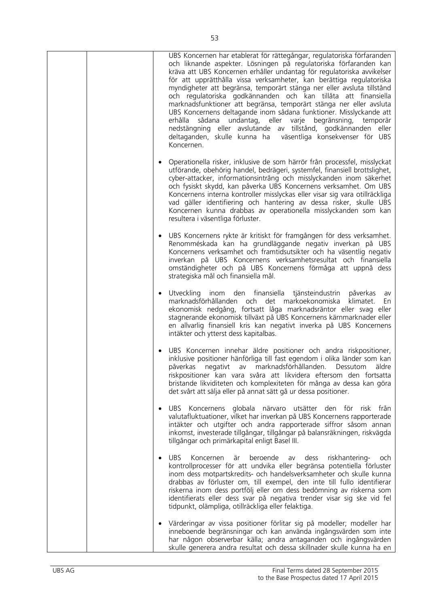| UBS Koncernen har etablerat för rättegångar, regulatoriska förfaranden<br>och liknande aspekter. Lösningen på regulatoriska förfaranden kan<br>kräva att UBS Koncernen erhåller undantag för regulatoriska avvikelser<br>för att upprätthålla vissa verksamheter, kan berättiga regulatoriska<br>myndigheter att begränsa, temporärt stänga ner eller avsluta tillstånd<br>och regulatoriska godkännanden och kan tillåta att finansiella<br>marknadsfunktioner att begränsa, temporärt stänga ner eller avsluta<br>UBS Koncernens deltagande inom sådana funktioner. Misslyckande att<br>undantag, eller varje begränsning, temporär<br>erhålla<br>sådana<br>nedstängning eller avslutande av tillstånd, godkännanden eller<br>deltaganden, skulle kunna ha väsentliga konsekvenser för UBS<br>Koncernen. |
|------------------------------------------------------------------------------------------------------------------------------------------------------------------------------------------------------------------------------------------------------------------------------------------------------------------------------------------------------------------------------------------------------------------------------------------------------------------------------------------------------------------------------------------------------------------------------------------------------------------------------------------------------------------------------------------------------------------------------------------------------------------------------------------------------------|
| Operationella risker, inklusive de som härrör från processfel, misslyckat<br>utförande, obehörig handel, bedrägeri, systemfel, finansiell brottslighet,<br>cyber-attacker, informationsintrång och misslyckanden inom säkerhet<br>och fysiskt skydd, kan påverka UBS Koncernens verksamhet. Om UBS<br>Koncernens interna kontroller misslyckas eller visar sig vara otillräckliga<br>vad gäller identifiering och hantering av dessa risker, skulle UBS<br>Koncernen kunna drabbas av operationella misslyckanden som kan<br>resultera i väsentliga förluster.                                                                                                                                                                                                                                             |
| • UBS Koncernens rykte är kritiskt för framgången för dess verksamhet.<br>Renomméskada kan ha grundläggande negativ inverkan på UBS<br>Koncernens verksamhet och framtidsutsikter och ha väsentlig negativ<br>inverkan på UBS Koncernens verksamhetsresultat och finansiella<br>omständigheter och på UBS Koncernens förmåga att uppnå dess<br>strategiska mål och finansiella mål.                                                                                                                                                                                                                                                                                                                                                                                                                        |
| inom den finansiella<br>tjänsteindustrin påverkas<br>Utveckling<br>av<br>$\bullet$<br>marknadsförhållanden och det markoekonomiska<br>klimatet.<br>En<br>ekonomisk nedgång, fortsatt låga marknadsräntor eller svag eller<br>stagnerande ekonomisk tillväxt på UBS Koncernens kärnmarknader eller<br>en allvarlig finansiell kris kan negativt inverka på UBS Koncernens<br>intäkter och ytterst dess kapitalbas.                                                                                                                                                                                                                                                                                                                                                                                          |
| UBS Koncernen innehar äldre positioner och andra riskpositioner,<br>inklusive positioner hänförliga till fast egendom i olika länder som kan<br>påverkas negativt av marknadsförhållanden. Dessutom äldre<br>riskpositioner kan vara svåra att likvidera eftersom den fortsatta<br>bristande likviditeten och komplexiteten för många av dessa kan göra<br>det svårt att sälja eller på annat sätt gå ur dessa positioner.                                                                                                                                                                                                                                                                                                                                                                                 |
| UBS Koncernens globala närvaro utsätter den för risk från<br>valutafluktuationer, vilket har inverkan på UBS Koncernens rapporterade<br>intäkter och utgifter och andra rapporterade siffror såsom annan<br>inkomst, investerade tillgångar, tillgångar på balansräkningen, riskvägda<br>tillgångar och primärkapital enligt Basel III.                                                                                                                                                                                                                                                                                                                                                                                                                                                                    |
| <b>UBS</b><br>Koncernen<br>är<br>beroende<br>dess<br>riskhantering-<br>av<br>och<br>kontrollprocesser för att undvika eller begränsa potentiella förluster<br>inom dess motpartskredits- och handelsverksamheter och skulle kunna<br>drabbas av förluster om, till exempel, den inte till fullo identifierar<br>riskerna inom dess portfölj eller om dess bedömning av riskerna som<br>identifierats eller dess svar på negativa trender visar sig ske vid fel<br>tidpunkt, olämpliga, otillräckliga eller felaktiga.                                                                                                                                                                                                                                                                                      |
| • Värderingar av vissa positioner förlitar sig på modeller; modeller har<br>inneboende begränsningar och kan använda ingångsvärden som inte<br>har någon observerbar källa; andra antaganden och ingångsvärden<br>skulle generera andra resultat och dessa skillnader skulle kunna ha en                                                                                                                                                                                                                                                                                                                                                                                                                                                                                                                   |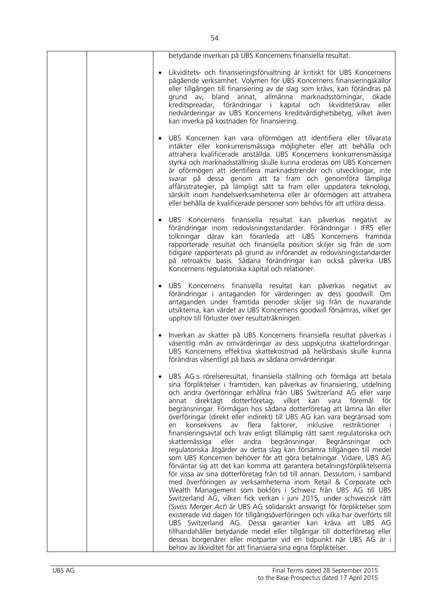| betydande inverkan på UBS Koncernens finansiella resultat.                                                                                                                                                                                                                                                                                                                                                                                                                                                                                                                                                                                                                                                                                                                                                                                                                                                                                                                                                                                                                                                                                                                                                                                                                                                                                                                                                                                                                                                                                                                                                                                                |
|-----------------------------------------------------------------------------------------------------------------------------------------------------------------------------------------------------------------------------------------------------------------------------------------------------------------------------------------------------------------------------------------------------------------------------------------------------------------------------------------------------------------------------------------------------------------------------------------------------------------------------------------------------------------------------------------------------------------------------------------------------------------------------------------------------------------------------------------------------------------------------------------------------------------------------------------------------------------------------------------------------------------------------------------------------------------------------------------------------------------------------------------------------------------------------------------------------------------------------------------------------------------------------------------------------------------------------------------------------------------------------------------------------------------------------------------------------------------------------------------------------------------------------------------------------------------------------------------------------------------------------------------------------------|
| Likviditets- och finansieringsförvaltning är kritiskt för UBS Koncernens<br>pågående verksamhet. Volymen för UBS Koncernens finansieringskällor<br>eller tillgången till finansiering av de slag som krävs, kan förändras på<br>grund av, bland annat, allmänna marknadsstörningar, ökade<br>kreditspreadar, förändringar i kapital och likviditetskrav eller<br>nedvärderingar av UBS Koncernens kreditvärdighetsbetyg, vilket även<br>kan inverka på kostnaden för finansiering.                                                                                                                                                                                                                                                                                                                                                                                                                                                                                                                                                                                                                                                                                                                                                                                                                                                                                                                                                                                                                                                                                                                                                                        |
| UBS Koncernen kan vara oförmögen att identifiera eller tillvarata<br>intäkter eller konkurrensmässiga möjligheter eller att behålla och<br>attrahera kvalificerade anställda. UBS Koncernens konkurrensmässiga<br>styrka och marknadsställning skulle kunna eroderas om UBS Koncernen<br>är oförmögen att identifiera marknadstrender och utvecklingar, inte<br>svarar på dessa genom att ta fram och genomföra lämpliga<br>affärsstrategier, på lämpligt sätt ta fram eller uppdatera teknologi,<br>särskilt inom handelsverksamheterna eller är oförmögen att attrahera<br>eller behålla de kvalificerade personer som behövs för att utföra dessa.                                                                                                                                                                                                                                                                                                                                                                                                                                                                                                                                                                                                                                                                                                                                                                                                                                                                                                                                                                                                     |
| UBS Koncernens finansiella resultat kan påverkas negativt av<br>förändringar inom redovisningsstandarder. Förändringar i IFRS eller<br>tolkningar därav kan föranleda att UBS Koncernens framtida<br>rapporterade resultat och finansiella position skiljer sig från de som<br>tidigare rapporterats på grund av införandet av redovisningsstandarder<br>på retroaktiv basis. Sådana förändringar kan också påverka UBS<br>Koncernens regulatoriska kapital och relationer.                                                                                                                                                                                                                                                                                                                                                                                                                                                                                                                                                                                                                                                                                                                                                                                                                                                                                                                                                                                                                                                                                                                                                                               |
| UBS Koncernens finansiella resultat kan påverkas negativt av<br>förändringar i antaganden för värderingen av dess goodwill. Om<br>antaganden under framtida perioder skiljer sig från de nuvarande<br>utsikterna, kan värdet av UBS Koncernens goodwill försämras, vilket ger<br>upphov till förluster över resultaträkningen.                                                                                                                                                                                                                                                                                                                                                                                                                                                                                                                                                                                                                                                                                                                                                                                                                                                                                                                                                                                                                                                                                                                                                                                                                                                                                                                            |
| Inverkan av skatter på UBS Koncernens finansiella resultat påverkas i<br>$\bullet$<br>väsentlig mån av omvärderingar av dess uppskjutna skattefordringar.<br>UBS Koncernens effektiva skattekostnad på helårsbasis skulle kunna<br>förändras väsentligt på basis av sådana omvärderingar.                                                                                                                                                                                                                                                                                                                                                                                                                                                                                                                                                                                                                                                                                                                                                                                                                                                                                                                                                                                                                                                                                                                                                                                                                                                                                                                                                                 |
| UBS AG:s rörelseresultat, finansiella ställning och förmåga att betala<br>sina förpliktelser i framtiden, kan påverkas av finansiering, utdelning<br>och andra överföringar erhållna från UBS Switzerland AG eller varje<br>direktägt dotterföretag, vilket kan vara<br>föremål<br>annat<br>för<br>begränsningar. Förmågan hos sådana dotterföretag att lämna lån eller<br>överföringar (direkt eller indirekt) till UBS AG kan vara begränsad som<br>konsekvens<br>faktorer,<br>inklusive<br>restriktioner<br>av<br>flera<br>en<br>finansieringsavtal och krav enligt tillämplig rätt samt regulatoriska och<br>skattemässiga<br>eller<br>andra<br>begränsningar.<br>Begränsningar<br>och<br>regulatoriska åtgärder av detta slag kan försämra tillgången till medel<br>som UBS Koncernen behöver för att göra betalningar. Vidare, UBS AG<br>förväntar sig att det kan komma att garantera betalningsförpliktelserna<br>för vissa av sina dotterföretag från tid till annan. Dessutom, i samband<br>med överföringen av verksamheterna inom Retail & Corporate och<br>Wealth Management som bokförs i Schweiz från UBS AG till UBS<br>Switzerland AG, vilken fick verkan i juni 2015, under schweizisk rätt<br>(Swiss Merger Act) är UBS AG solidariskt ansvarigt för förpliktelser som<br>existerade vid dagen för tillgångsöverföringen och vilka har överförts till<br>UBS Switzerland AG. Dessa garantier kan kräva att UBS AG<br>tillhandahåller betydande medel eller tillgångar till dotterföretag eller<br>dessas borgenärer eller motparter vid en tidpunkt när UBS AG är i<br>behov av likviditet för att finansiera sina egna förpliktelser. |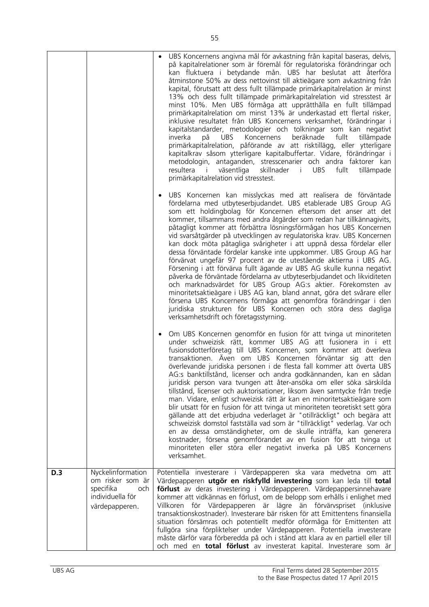|     |                                                                                                 | UBS Koncernens angivna mål för avkastning från kapital baseras, delvis,<br>på kapitalrelationer som är föremål för regulatoriska förändringar och<br>kan fluktuera i betydande mån. UBS har beslutat att återföra<br>åtminstone 50% av dess nettovinst till aktieägare som avkastning från<br>kapital, förutsatt att dess fullt tillämpade primärkapitalrelation är minst<br>13% och dess fullt tillämpade primärkapitalrelation vid stresstest är<br>minst 10%. Men UBS förmåga att upprätthålla en fullt tillämpad<br>primärkapitalrelation om minst 13% är underkastad ett flertal risker,<br>inklusive resultatet från UBS Koncernens verksamhet, förändringar i<br>kapitalstandarder, metodologier och tolkningar som kan negativt<br>Koncernens<br>beräknade<br>fullt<br>inverka<br><b>UBS</b><br>tillämpade<br>på<br>primärkapitalrelation, påförande av att risktillägg, eller ytterligare<br>kapitalkrav såsom ytterligare kapitalbuffertar. Vidare, förändringar i<br>metodologin, antaganden, stresscenarier och andra faktorer kan<br>skillnader i UBS<br>i väsentliga<br>fullt<br>resultera<br>tillämpade<br>primärkapitalrelation vid stresstest. |
|-----|-------------------------------------------------------------------------------------------------|-----------------------------------------------------------------------------------------------------------------------------------------------------------------------------------------------------------------------------------------------------------------------------------------------------------------------------------------------------------------------------------------------------------------------------------------------------------------------------------------------------------------------------------------------------------------------------------------------------------------------------------------------------------------------------------------------------------------------------------------------------------------------------------------------------------------------------------------------------------------------------------------------------------------------------------------------------------------------------------------------------------------------------------------------------------------------------------------------------------------------------------------------------------------|
|     |                                                                                                 | UBS Koncernen kan misslyckas med att realisera de förväntade<br>fördelarna med utbyteserbjudandet. UBS etablerade UBS Group AG<br>som ett holdingbolag för Koncernen eftersom det anser att det<br>kommer, tillsammans med andra åtgärder som redan har tillkännagivits,<br>påtagligt kommer att förbättra lösningsförmågan hos UBS Koncernen<br>vid svarsåtgärder på utvecklingen av regulatoriska krav. UBS Koncernen<br>kan dock möta påtagliga svårigheter i att uppnå dessa fördelar eller<br>dessa förväntade fördelar kanske inte uppkommer. UBS Group AG har<br>förvärvat ungefär 97 procent av de utestående aktierna i UBS AG.<br>Försening i att förvärva fullt ägande av UBS AG skulle kunna negativt<br>påverka de förväntade fördelarna av utbyteserbjudandet och likviditeten<br>och marknadsvärdet för UBS Group AG:s aktier. Förekomsten av<br>minoritetsaktieägare i UBS AG kan, bland annat, göra det svårare eller<br>försena UBS Koncernens förmåga att genomföra förändringar i den<br>juridiska strukturen för UBS Koncernen och störa dess dagliga<br>verksamhetsdrift och företagsstyrning.                                            |
|     |                                                                                                 | Om UBS Koncernen genomför en fusion för att tvinga ut minoriteten<br>under schweizisk rätt, kommer UBS AG att fusionera in i ett<br>fusionsdotterföretag till UBS Koncernen, som kommer att överleva<br>transaktionen. Även om UBS Koncernen förväntar sig att den<br>överlevande juridiska personen i de flesta fall kommer att överta UBS<br>AG:s banktillstånd, licenser och andra godkännanden, kan en sådan<br>juridisk person vara tvungen att åter-ansöka om eller söka särskilda<br>tillstånd, licenser och auktorisationer, liksom även samtycke från tredje<br>man. Vidare, enligt schweizisk rätt är kan en minoritetsaktieägare som<br>blir utsatt för en fusion för att tvinga ut minoriteten teoretiskt sett göra<br>gällande att det erbjudna vederlaget är "otillräckligt" och begära att<br>schweizisk domstol fastställa vad som är "tillräckligt" vederlag. Var och<br>en av dessa omständigheter, om de skulle inträffa, kan generera<br>kostnader, försena genomförandet av en fusion för att tvinga ut<br>minoriteten eller störa eller negativt inverka på UBS Koncernens<br>verksamhet.                                                 |
| D.3 | Nyckelinformation<br>om risker som är<br>specifika<br>och<br>individuella för<br>värdepapperen. | Potentiella investerare i Värdepapperen ska vara medvetna om att<br>Värdepapperen utgör en riskfylld investering som kan leda till total<br>förlust av deras investering i Värdepapperen. Värdepappersinnehavare<br>kommer att vidkännas en förlust, om de belopp som erhålls i enlighet med<br>Villkoren för Värdepapperen är lägre än förvärvspriset (inklusive<br>transaktionskostnader). Investerare bär risken för att Emittentens finansiella<br>situation försämras och potentiellt medför oförmåga för Emittenten att<br>fullgöra sina förpliktelser under Värdepapperen. Potentiella investerare<br>måste därför vara förberedda på och i stånd att klara av en partiell eller till<br>och med en <b>total förlust</b> av investerat kapital. Investerare som är                                                                                                                                                                                                                                                                                                                                                                                       |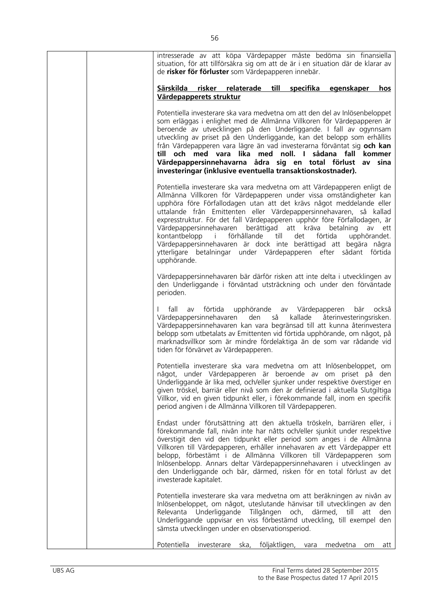| intresserade av att köpa Värdepapper måste bedöma sin finansiella<br>situation, för att tillförsäkra sig om att de är i en situation där de klarar av<br>de risker för förluster som Värdepapperen innebär.                                                                                                                                                                                                                                                                                                                                                                                                                                                                                |
|--------------------------------------------------------------------------------------------------------------------------------------------------------------------------------------------------------------------------------------------------------------------------------------------------------------------------------------------------------------------------------------------------------------------------------------------------------------------------------------------------------------------------------------------------------------------------------------------------------------------------------------------------------------------------------------------|
| Särskilda<br><u>risker relaterade till </u><br><u>specifika egenskaper </u><br><u>hos</u>                                                                                                                                                                                                                                                                                                                                                                                                                                                                                                                                                                                                  |
| Värdepapperets struktur                                                                                                                                                                                                                                                                                                                                                                                                                                                                                                                                                                                                                                                                    |
| Potentiella investerare ska vara medvetna om att den del av Inlösenbeloppet<br>som erläggas i enlighet med de Allmänna Villkoren för Värdepapperen är<br>beroende av utvecklingen på den Underliggande. I fall av ogynnsam<br>utveckling av priset på den Underliggande, kan det belopp som erhållits<br>från Värdepapperen vara lägre än vad investerarna förväntat sig och kan<br>till och med vara lika med noll. I sådana fall kommer<br>Värdepappersinnehavarna ådra sig en total förlust av sina<br>investeringar (inklusive eventuella transaktionskostnader).                                                                                                                      |
| Potentiella investerare ska vara medvetna om att Värdepapperen enligt de<br>Allmänna Villkoren för Värdepapperen under vissa omständigheter kan<br>upphöra före Förfallodagen utan att det krävs något meddelande eller<br>uttalande från Emittenten eller Värdepappersinnehavaren, så kallad<br>expresstruktur. För det fall Värdepapperen upphör före Förfallodagen, är<br>Värdepappersinnehavaren berättigad att kräva<br>betalning<br>av ett<br>förhållande<br>kontantbelopp<br>$\pm$<br>till<br>det<br>förtida<br>upphörandet.<br>Värdepappersinnehavaren är dock inte berättigad att begära några<br>ytterligare betalningar under Värdepapperen efter sådant förtida<br>upphörande. |
| Värdepappersinnehavaren bär därför risken att inte delta i utvecklingen av<br>den Underliggande i förväntad utsträckning och under den förväntade<br>perioden.                                                                                                                                                                                                                                                                                                                                                                                                                                                                                                                             |
| förtida<br>upphörande av Värdepapperen<br>också<br>fall<br>bär<br>av<br>den<br>Värdepappersinne havaren<br>kallade<br>återinvesteringsrisken.<br>så<br>Värdepappersinnehavaren kan vara begränsad till att kunna återinvestera<br>belopp som utbetalats av Emittenten vid förtida upphörande, om något, på<br>marknadsvillkor som är mindre fördelaktiga än de som var rådande vid<br>tiden för förvärvet av Värdepapperen.                                                                                                                                                                                                                                                                |
| Potentiella investerare ska vara medvetna om att Inlösenbeloppet, om<br>något, under Värdepapperen är beroende av om priset på den<br>Underliggande är lika med, och/eller sjunker under respektive överstiger en<br>given tröskel, barriär eller nivå som den är definierad i aktuella Slutgiltiga<br>Villkor, vid en given tidpunkt eller, i förekommande fall, inom en specifik<br>period angiven i de Allmänna Villkoren till Värdepapperen.                                                                                                                                                                                                                                           |
| Endast under förutsättning att den aktuella tröskeln, barriären eller, i<br>förekommande fall, nivån inte har nåtts och/eller sjunkit under respektive<br>överstigit den vid den tidpunkt eller period som anges i de Allmänna<br>Villkoren till Värdepapperen, erhåller innehavaren av ett Värdepapper ett<br>belopp, förbestämt i de Allmänna Villkoren till Värdepapperen som<br>Inlösenbelopp. Annars deltar Värdepappersinnehavaren i utvecklingen av<br>den Underliggande och bär, därmed, risken för en total förlust av det<br>investerade kapitalet.                                                                                                                              |
| Potentiella investerare ska vara medvetna om att beräkningen av nivån av<br>Inlösenbeloppet, om något, uteslutande hänvisar till utvecklingen av den<br>Relevanta Underliggande Tillgången<br>därmed,<br>och,<br>till<br>att<br>den<br>Underliggande uppvisar en viss förbestämd utveckling, till exempel den<br>sämsta utvecklingen under en observationsperiod.                                                                                                                                                                                                                                                                                                                          |
| Potentiella<br>investerare<br>ska,<br>följaktligen, vara<br>medvetna<br>om<br>att                                                                                                                                                                                                                                                                                                                                                                                                                                                                                                                                                                                                          |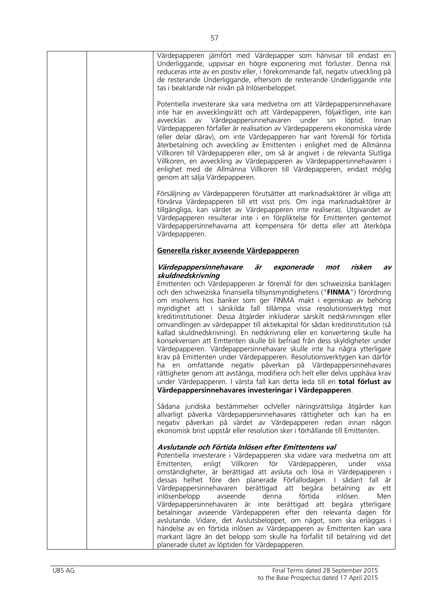|  | Värdepapperen jämfört med Värdepapper som hänvisar till endast en<br>Underliggande, uppvisar en högre exponering mot förluster. Denna risk<br>reduceras inte av en positiv eller, i förekommande fall, negativ utveckling på<br>de resterande Underliggande, eftersom de resterande Underliggande inte<br>tas i beaktande när nivån på Inlösenbeloppet.                                                                                                                                                                                                                                                                                                                                                                                                                                                                                                                                                                                                                                                                                                                                                                                                         |
|--|-----------------------------------------------------------------------------------------------------------------------------------------------------------------------------------------------------------------------------------------------------------------------------------------------------------------------------------------------------------------------------------------------------------------------------------------------------------------------------------------------------------------------------------------------------------------------------------------------------------------------------------------------------------------------------------------------------------------------------------------------------------------------------------------------------------------------------------------------------------------------------------------------------------------------------------------------------------------------------------------------------------------------------------------------------------------------------------------------------------------------------------------------------------------|
|  | Potentiella investerare ska vara medvetna om att Värdepappersinnehavare<br>inte har en avvecklingsrätt och att Värdepapperen, följaktligen, inte kan<br>avvecklas av Värdepappersinnehavaren under<br>sin löptid.<br>Innan<br>Värdepapperen förfaller är realisation av Värdepapperens ekonomiska värde<br>(eller delar därav), om inte Värdepapperen har varit föremål för förtida<br>återbetalning och avveckling av Emittenten i enlighet med de Allmänna<br>Villkoren till Värdepapperen eller, om så är angivet i de relevanta Slutliga<br>Villkoren, en avveckling av Värdepapperen av Värdepappersinnehavaren i<br>enlighet med de Allmänna Villkoren till Värdepapperen, endast möjlig<br>genom att sälja Värdepapperen.                                                                                                                                                                                                                                                                                                                                                                                                                                |
|  | Försäljning av Värdepapperen förutsätter att marknadsaktörer är villiga att<br>förvärva Värdepapperen till ett visst pris. Om inga marknadsaktörer är<br>tillgängliga, kan värdet av Värdepapperen inte realiseras. Utgivandet av<br>Värdepapperen resulterar inte i en förpliktelse för Emittenten gentemot<br>Värdepappersinnehavarna att kompensera för detta eller att återköpa<br>Värdepapperen.                                                                                                                                                                                                                                                                                                                                                                                                                                                                                                                                                                                                                                                                                                                                                           |
|  | Generella risker avseende Värdepapperen                                                                                                                                                                                                                                                                                                                                                                                                                                                                                                                                                                                                                                                                                                                                                                                                                                                                                                                                                                                                                                                                                                                         |
|  | mot risken<br>Värdepappersinnehavare<br>är<br>exponerade<br>aV<br>skuldnedskrivning<br>Emittenten och Värdepapperen är föremål för den schweiziska banklagen<br>och den schweiziska finansiella tillsynsmyndighetens ("FINMA") förordning<br>om insolvens hos banker som ger FINMA makt i egenskap av behörig<br>myndighet att i särskilda fall tillämpa vissa resolutionsverktyg mot<br>kreditinstitutioner. Dessa åtgärder inkluderar särskilt nedskrivningen eller<br>omvandlingen av värdepapper till aktiekapital för sådan kreditinstitution (så<br>kallad skuldnedskrivning). En nedskrivning eller en konvertering skulle ha<br>konsekvensen att Emttenten skulle bli befriad från dess skyldigheter under<br>Värdepapperen. Värdepappersinnehavare skulle inte ha några ytterligare<br>krav på Emittenten under Värdepapperen. Resolutionsverktygen kan därför<br>ha en omfattande negativ påverkan på Värdepappersinnehavares<br>rättigheter genom att avstänga, modifiera och helt eller delvis upphäva krav<br>under Värdepapperen. I värsta fall kan detta leda till en total förlust av<br>Värdepappersinnehavares investeringar i Värdepapperen. |
|  | Sådana juridiska bestämmelser och/eller näringsrättsliga åtgärder kan<br>allvarligt påverka Värdepappersinnehavares rättigheter och kan ha en<br>negativ påverkan på värdet av Värdepapperen redan innan någon<br>ekonomisk brist uppstår eller resolution sker i förhållande till Emittenten.                                                                                                                                                                                                                                                                                                                                                                                                                                                                                                                                                                                                                                                                                                                                                                                                                                                                  |
|  | Avslutande och Förtida Inlösen efter Emittentens val<br>Potentiella investerare i Värdepapperen ska vidare vara medvetna om att<br>Emittenten,<br>enligt Villkoren för Värdepapperen, under<br>vissa<br>omständigheter, är berättigad att avsluta och lösa in Värdepapperen i<br>dessas helhet före den planerade Förfallodagen. I sådant fall är<br>Värdepappersinnehavaren berättigad att begära<br>betalning<br>av<br>ett<br>inlösenbelopp<br>denna<br>förtida<br>inlösen.<br>Men<br>avseende<br>Värdepappersinnehavaren är inte berättigad att begära ytterligare<br>betalningar avseende Värdepapperen efter den relevanta dagen för<br>avslutande. Vidare, det Avslutsbeloppet, om något, som ska erläggas i<br>händelse av en förtida inlösen av Värdepapperen av Emittenten kan vara<br>markant lägre än det belopp som skulle ha förfallit till betalning vid det<br>planerade slutet av löptiden för Värdepapperen.                                                                                                                                                                                                                                   |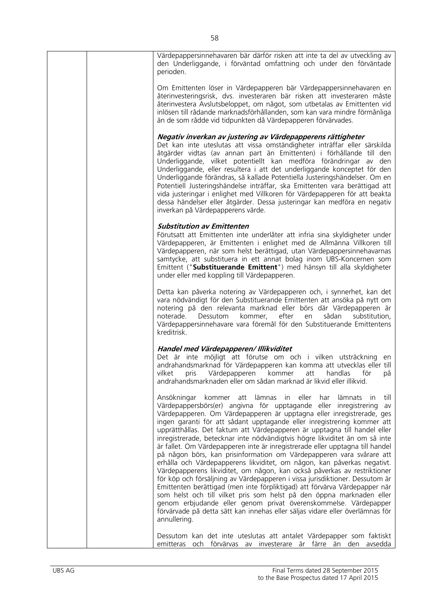| Värdepappersinnehavaren bär därför risken att inte ta del av utveckling av<br>den Underliggande, i förväntad omfattning och under den förväntade<br>perioden.                                                                                                                                                                                                                                                                                                                                                                                                                                                                                                                                                                                                                                                                                                                                                                                                                                                                                                                                                                                                                                   |
|-------------------------------------------------------------------------------------------------------------------------------------------------------------------------------------------------------------------------------------------------------------------------------------------------------------------------------------------------------------------------------------------------------------------------------------------------------------------------------------------------------------------------------------------------------------------------------------------------------------------------------------------------------------------------------------------------------------------------------------------------------------------------------------------------------------------------------------------------------------------------------------------------------------------------------------------------------------------------------------------------------------------------------------------------------------------------------------------------------------------------------------------------------------------------------------------------|
| Om Emittenten löser in Värdepapperen bär Värdepappersinnehavaren en<br>återinvesteringsrisk, dvs. investeraren bär risken att investeraren måste<br>återinvestera Avslutsbeloppet, om något, som utbetalas av Emittenten vid<br>inlösen till rådande marknadsförhållanden, som kan vara mindre förmånliga<br>än de som rådde vid tidpunkten då Värdepapperen förvärvades.                                                                                                                                                                                                                                                                                                                                                                                                                                                                                                                                                                                                                                                                                                                                                                                                                       |
| Negativ inverkan av justering av Värdepapperens rättigheter<br>Det kan inte uteslutas att vissa omständigheter inträffar eller särskilda<br>åtgärder vidtas (av annan part än Emittenten) i förhållande till den<br>Underliggande, vilket potentiellt kan medföra förändringar av den<br>Underliggande, eller resultera i att det underliggande konceptet för den<br>Underliggande förändras, så kallade Potentiella Justeringshändelser. Om en<br>Potentiell Justeringshändelse inträffar, ska Emittenten vara berättigad att<br>vida justeringar i enlighet med Villkoren för Värdepapperen för att beakta<br>dessa händelser eller åtgärder. Dessa justeringar kan medföra en negativ<br>inverkan på Värdepapperens värde.                                                                                                                                                                                                                                                                                                                                                                                                                                                                   |
| <b>Substitution av Emittenten</b><br>Förutsatt att Emittenten inte underlåter att infria sina skyldigheter under<br>Värdepapperen, är Emittenten i enlighet med de Allmänna Villkoren till<br>Värdepapperen, när som helst berättigad, utan Värdepappersinnehavarnas<br>samtycke, att substituera in ett annat bolag inom UBS-Koncernen som<br>Emittent ("Substituerande Emittent") med hänsyn till alla skyldigheter<br>under eller med koppling till Värdepapperen.                                                                                                                                                                                                                                                                                                                                                                                                                                                                                                                                                                                                                                                                                                                           |
| Detta kan påverka notering av Värdepapperen och, i synnerhet, kan det<br>vara nödvändigt för den Substituerande Emittenten att ansöka på nytt om<br>notering på den relevanta marknad eller börs där Värdepapperen är<br>Dessutom<br>kommer,<br>efter<br>sådan<br>noterade.<br>en<br>substitution,<br>Värdepappersinnehavare vara föremål för den Substituerande Emittentens<br>kreditrisk.                                                                                                                                                                                                                                                                                                                                                                                                                                                                                                                                                                                                                                                                                                                                                                                                     |
| Handel med Värdepapperen/ Illikviditet<br>Det är inte möjligt att förutse om och i vilken utsträckning en<br>andrahandsmarknad för Värdepapperen kan komma att utvecklas eller till<br>vilket<br>pris Värdepapperen<br>kommer<br>att<br>handlas<br>tor<br>pă<br>andrahandsmarknaden eller om sådan marknad är likvid eller illikvid.                                                                                                                                                                                                                                                                                                                                                                                                                                                                                                                                                                                                                                                                                                                                                                                                                                                            |
| Ansökningar kommer<br>att lämnas in<br>eller<br>lämnats in<br>till<br>har<br>Värdepappersbörs(er) angivna för upptagande eller inregistrering<br>av<br>Värdepapperen. Om Värdepapperen är upptagna eller inregistrerade, ges<br>ingen garanti för att sådant upptagande eller inregistrering kommer att<br>upprätthållas. Det faktum att Värdepapperen är upptagna till handel eller<br>inregistrerade, betecknar inte nödvändigtvis högre likviditet än om så inte<br>är fallet. Om Värdepapperen inte är inregistrerade eller upptagna till handel<br>på någon börs, kan prisinformation om Värdepapperen vara svårare att<br>erhålla och Värdepapperens likviditet, om någon, kan påverkas negativt.<br>Värdepapperens likviditet, om någon, kan också påverkas av restriktioner<br>för köp och försäljning av Värdepapperen i vissa jurisdiktioner. Dessutom är<br>Emittenten berättigad (men inte förpliktigad) att förvärva Värdepapper när<br>som helst och till vilket pris som helst på den öppna marknaden eller<br>genom erbjudande eller genom privat överenskommelse. Värdepapper<br>förvärvade på detta sätt kan innehas eller säljas vidare eller överlämnas för<br>annullering. |
| Dessutom kan det inte uteslutas att antalet Värdepapper som faktiskt<br>emitteras och förvärvas av investerare är färre än den avsedda                                                                                                                                                                                                                                                                                                                                                                                                                                                                                                                                                                                                                                                                                                                                                                                                                                                                                                                                                                                                                                                          |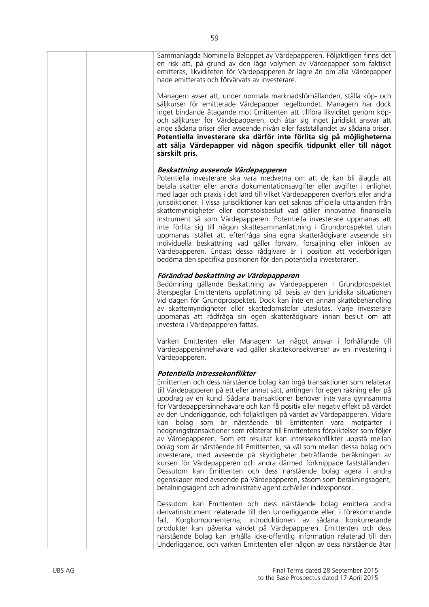| Sammanlagda Nominella Beloppet av Värdepapperen. Följaktligen finns det<br>en risk att, på grund av den låga volymen av Värdepapper som faktiskt<br>emitteras, likviditeten för Värdepapperen är lägre än om alla Värdepapper<br>hade emitterats och förvärvats av investerare.                                                                                                                                                                                                                                                                                                                                                                                                                                                                                                                                                                                                                                                                                                                                                                                                                              |
|--------------------------------------------------------------------------------------------------------------------------------------------------------------------------------------------------------------------------------------------------------------------------------------------------------------------------------------------------------------------------------------------------------------------------------------------------------------------------------------------------------------------------------------------------------------------------------------------------------------------------------------------------------------------------------------------------------------------------------------------------------------------------------------------------------------------------------------------------------------------------------------------------------------------------------------------------------------------------------------------------------------------------------------------------------------------------------------------------------------|
| Managern avser att, under normala marknadsförhållanden, ställa köp- och<br>säljkurser för emitterade Värdepapper regelbundet. Managern har dock<br>inget bindande åtagande mot Emittenten att tillföra likviditet genom köp-<br>och säljkurser för Värdepapperen, och åtar sig inget juridiskt ansvar att<br>ange sådana priser eller avseende nivån eller fastställandet av sådana priser.<br>Potentiella investerare ska därför inte förlita sig på möjligheterna<br>att sälja Värdepapper vid någon specifik tidpunkt eller till något<br>särskilt pris.                                                                                                                                                                                                                                                                                                                                                                                                                                                                                                                                                  |
| Beskattning avseende Värdepapperen<br>Potentiella investerare ska vara medvetna om att de kan bli ålagda att<br>betala skatter eller andra dokumentationsavgifter eller avgifter i enlighet<br>med lagar och praxis i det land till vilket Värdepapperen överförs eller andra<br>jurisdiktioner. I vissa jurisdiktioner kan det saknas officiella uttalanden från<br>skattemyndigheter eller domstolsbeslut vad gäller innovativa finansiella<br>instrument så som Värdepapperen. Potentiella investerare uppmanas att<br>inte förlita sig till någon skattesammanfattning i Grundprospektet utan<br>uppmanas istället att efterfråga sina egna skatterådgivare avseende sin<br>individuella beskattning vad gäller förvärv, försäljning eller inlösen av<br>Värdepapperen. Endast dessa rådgivare är i position att vederbörligen<br>bedöma den specifika positionen för den potentiella investeraren.                                                                                                                                                                                                      |
| Förändrad beskattning av Värdepapperen<br>Bedömning gällande Beskattning av Värdepapperen i Grundprospektet<br>återspeglar Emittentens uppfattning på basis av den juridiska situationen<br>vid dagen för Grundprospektet. Dock kan inte en annan skattebehandling<br>av skattemyndigheter eller skattedomstolar uteslutas. Varje investerare<br>uppmanas att rådfråga sin egen skatterådgivare innan beslut om att<br>investera i Värdepapperen fattas.                                                                                                                                                                                                                                                                                                                                                                                                                                                                                                                                                                                                                                                     |
| Varken Emittenten eller Managern tar något ansvar i förhållande till<br>Värdepappersinnehavare vad gäller skattekonsekvenser av en investering i<br>Värdepapperen.                                                                                                                                                                                                                                                                                                                                                                                                                                                                                                                                                                                                                                                                                                                                                                                                                                                                                                                                           |
| Potentiella Intressekonflikter<br>Emittenten och dess närstående bolag kan ingå transaktioner som relaterar<br>till Värdepapperen på ett eller annat sätt, antingen för egen räkning eller på<br>uppdrag av en kund. Sådana transaktioner behöver inte vara gynnsamma<br>för Värdepappersinnehavare och kan få positiv eller negativ effekt på värdet<br>av den Underliggande, och följaktligen på värdet av Värdepapperen. Vidare<br>kan bolag som är närstående till Emittenten vara motparter i<br>hedgningstransaktioner som relaterar till Emittentens förpliktelser som följer<br>av Värdepapperen. Som ett resultat kan intressekonflikter uppstå mellan<br>bolag som är närstående till Emittenten, så väl som mellan dessa bolag och<br>investerare, med avseende på skyldigheter beträffande beräkningen av<br>kursen för Värdepapperen och andra därmed förknippade fastställanden.<br>Dessutom kan Emittenten och dess närstående bolag agera i andra<br>egenskaper med avseende på Värdepapperen, såsom som beräkningsagent,<br>betalningsagent och administrativ agent och/eller indexsponsor. |
| Dessutom kan Emittenten och dess närstående bolag emittera andra<br>derivatinstrument relaterade till den Underliggande eller, i förekommande<br>fall, Korgkomponenterna; introduktionen av sådana konkurrerande<br>produkter kan påverka värdet på Värdepapperen. Emittenten och dess<br>närstående bolag kan erhålla icke-offentlig information relaterad till den<br>Underliggande, och varken Emittenten eller någon av dess närstående åtar                                                                                                                                                                                                                                                                                                                                                                                                                                                                                                                                                                                                                                                             |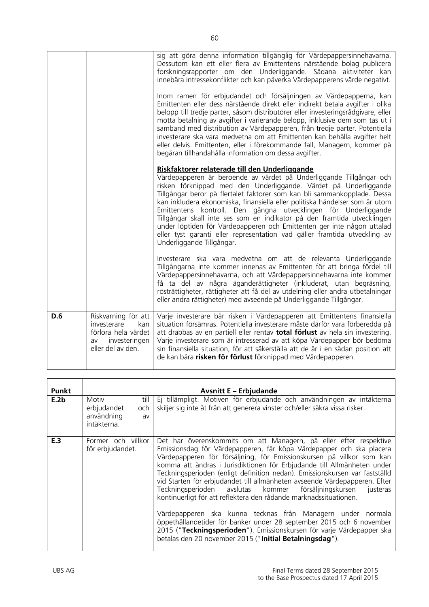|     |                                                                                                              | sig att göra denna information tillgänglig för Värdepappersinnehavarna.<br>Dessutom kan ett eller flera av Emittentens närstående bolag publicera<br>forskningsrapporter om den Underliggande. Sådana aktiviteter kan<br>innebära intressekonflikter och kan påverka Värdepapperens värde negativt.<br>Inom ramen för erbjudandet och försäljningen av Värdepapperna, kan<br>Emittenten eller dess närstående direkt eller indirekt betala avgifter i olika<br>belopp till tredje parter, såsom distributörer eller investeringsrådgivare, eller<br>motta betalning av avgifter i varierande belopp, inklusive dem som tas ut i<br>samband med distribution av Värdepapperen, från tredje parter. Potentiella<br>investerare ska vara medvetna om att Emittenten kan behålla avgifter helt<br>eller delvis. Emittenten, eller i förekommande fall, Managern, kommer på<br>begäran tillhandahålla information om dessa avgifter. |
|-----|--------------------------------------------------------------------------------------------------------------|---------------------------------------------------------------------------------------------------------------------------------------------------------------------------------------------------------------------------------------------------------------------------------------------------------------------------------------------------------------------------------------------------------------------------------------------------------------------------------------------------------------------------------------------------------------------------------------------------------------------------------------------------------------------------------------------------------------------------------------------------------------------------------------------------------------------------------------------------------------------------------------------------------------------------------|
|     |                                                                                                              | Riskfaktorer relaterade till den Underliggande<br>Värdepapperen är beroende av värdet på Underliggande Tillgångar och<br>risken förknippad med den Underliggande. Värdet på Underliggande<br>Tillgångar beror på flertalet faktorer som kan bli sammankopplade. Dessa<br>kan inkludera ekonomiska, finansiella eller politiska händelser som är utom<br>Emittentens kontroll. Den gångna utvecklingen för Underliggande<br>Tillgångar skall inte ses som en indikator på den framtida utvecklingen<br>under löptiden för Värdepapperen och Emittenten ger inte någon uttalad<br>eller tyst garanti eller representation vad gäller framtida utveckling av<br>Underliggande Tillgångar.                                                                                                                                                                                                                                          |
|     |                                                                                                              | Investerare ska vara medvetna om att de relevanta Underliggande<br>Tillgångarna inte kommer innehas av Emittenten för att bringa fördel till<br>Värdepappersinnehavarna, och att Värdepappersinnehavarna inte kommer<br>få ta del av några äganderättigheter (inkluderat, utan begräsning,<br>rösträttigheter, rättigheter att få del av utdelning eller andra utbetalningar<br>eller andra rättigheter) med avseende på Underliggande Tillgångar.                                                                                                                                                                                                                                                                                                                                                                                                                                                                              |
| D.6 | Riskvarning för att<br>investerare<br>kan<br>förlora hela värdet<br>investeringen<br>av<br>eller del av den. | Varje investerare bär risken i Värdepapperen att Emittentens finansiella<br>situation försämras. Potentiella investerare måste därför vara förberedda på<br>att drabbas av en partiell eller rentav total förlust av hela sin investering.<br>Varje investerare som är intresserad av att köpa Värdepapper bör bedöma<br>sin finansiella situation, för att säkerställa att de är i en sådan position att<br>de kan bära risken för förlust förknippad med Värdepapperen.                                                                                                                                                                                                                                                                                                                                                                                                                                                       |

| Punkt<br>E.2b | Motiv<br>till<br>erbjudandet<br>och<br>användning<br>av<br>intäkterna. | <b>Avsnitt E - Erbjudande</b><br>Ej tillämpligt. Motiven för erbjudande och användningen av intäkterna<br>skiljer sig inte åt från att generera vinster och/eller säkra vissa risker.                                                                                                                                                                                                                                                                                                                                                                                                                                                                                                                                                                                                                                                                                          |
|---------------|------------------------------------------------------------------------|--------------------------------------------------------------------------------------------------------------------------------------------------------------------------------------------------------------------------------------------------------------------------------------------------------------------------------------------------------------------------------------------------------------------------------------------------------------------------------------------------------------------------------------------------------------------------------------------------------------------------------------------------------------------------------------------------------------------------------------------------------------------------------------------------------------------------------------------------------------------------------|
| E.3           | Former och villkor<br>för erbjudandet.                                 | Det har överenskommits om att Managern, på eller efter respektive<br>Emissionsdag för Värdepapperen, får köpa Värdepapper och ska placera<br>Värdepapperen för försäljning, för Emissionskursen på villkor som kan<br>komma att ändras i Jurisdiktionen för Erbjudande till Allmänheten under<br>Teckningsperioden (enligt definition nedan). Emissionskursen var fastställd<br>vid Starten för erbjudandet till allmänheten avseende Värdepapperen. Efter<br>Teckningsperioden avslutas kommer försäljningskursen<br>iusteras<br>kontinuerligt för att reflektera den rådande marknadssituationen.<br>Värdepapperen ska kunna tecknas från Managern under normala<br>öppethållandetider för banker under 28 september 2015 och 6 november<br>2015 ("Teckningsperioden"). Emissionskursen för varje Värdepapper ska<br>betalas den 20 november 2015 ("Initial Betalningsdag"). |